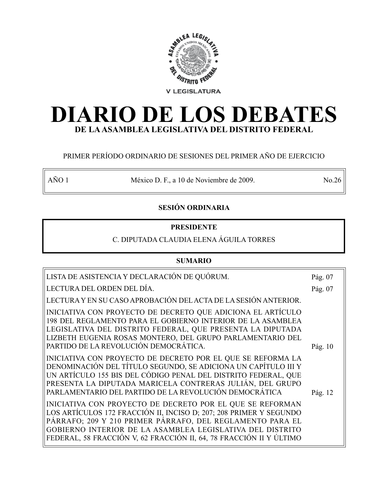

# **DIARIO DE LOS DEBATES DE LA ASAMBLEA LEGISLATIVA DEL DISTRITO FEDERAL**

### PRIMER PERÍODO ORDINARIO DE SESIONES DEL PRIMER AÑO DE EJERCICIO

AÑO 1 México D. F., a 10 de Noviembre de 2009. No.26

### **SESIÓN ORDINARIA**

### **PRESIDENTE**

## C. DIPUTADA CLAUDIA ELENA ÁGUILA TORRES

### **SUMARIO**

| LISTA DE ASISTENCIA Y DECLARACIÓN DE QUÓRUM.                                                                                                                                                                                                                                                                                     | Pág. 07   |
|----------------------------------------------------------------------------------------------------------------------------------------------------------------------------------------------------------------------------------------------------------------------------------------------------------------------------------|-----------|
| LECTURA DEL ORDEN DEL DÍA.                                                                                                                                                                                                                                                                                                       | Pág. 07   |
| LECTURA Y EN SU CASO APROBACIÓN DEL ACTA DE LA SESIÓN ANTERIOR.                                                                                                                                                                                                                                                                  |           |
| INICIATIVA CON PROYECTO DE DECRETO QUE ADICIONA EL ARTÍCULO<br>198 DEL REGLAMENTO PARA EL GOBIERNO INTERIOR DE LA ASAMBLEA<br>LEGISLATIVA DEL DISTRITO FEDERAL, QUE PRESENTA LA DIPUTADA<br>LIZBETH EUGENIA ROSAS MONTERO, DEL GRUPO PARLAMENTARIO DEL<br>PARTIDO DE LA REVOLUCIÓN DEMOCRÁTICA.                                  | Pág. $10$ |
| INICIATIVA CON PROYECTO DE DECRETO POR EL QUE SE REFORMA LA<br>DENOMINACIÓN DEL TÍTULO SEGUNDO, SE ADICIONA UN CAPÍTULO III Y<br>UN ARTÍCULO 155 BIS DEL CÓDIGO PENAL DEL DISTRITO FEDERAL, QUE<br>PRESENTA LA DIPUTADA MARICELA CONTRERAS JULIÁN, DEL GRUPO<br>PARLAMENTARIO DEL PARTIDO DE LA REVOLUCIÓN DEMOCRÁTICA           | Pág. 12   |
| INICIATIVA CON PROYECTO DE DECRETO POR EL QUE SE REFORMAN<br>LOS ARTÍCULOS 172 FRACCIÓN II, INCISO D; 207; 208 PRIMER Y SEGUNDO<br>PÁRRAFO; 209 Y 210 PRIMER PÁRRAFO, DEL REGLAMENTO PARA EL<br>GOBIERNO INTERIOR DE LA ASAMBLEA LEGISLATIVA DEL DISTRITO<br>FEDERAL, 58 FRACCIÓN V, 62 FRACCIÓN II, 64, 78 FRACCIÓN II Y ÚLTIMO |           |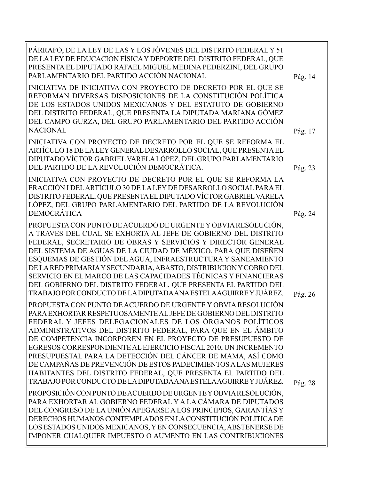| PÁRRAFO, DE LA LEY DE LAS Y LOS JÓVENES DEL DISTRITO FEDERAL Y 51<br>DE LA LEY DE EDUCACIÓN FÍSICA Y DEPORTE DEL DISTRITO FEDERAL, QUE<br>PRESENTA EL DIPUTADO RAFAEL MIGUEL MEDINA PEDERZINI, DEL GRUPO<br>PARLAMENTARIO DEL PARTIDO ACCIÓN NACIONAL                                                                                                                                                                                                                                                                                                                                                                                                          | Pág. 14 |
|----------------------------------------------------------------------------------------------------------------------------------------------------------------------------------------------------------------------------------------------------------------------------------------------------------------------------------------------------------------------------------------------------------------------------------------------------------------------------------------------------------------------------------------------------------------------------------------------------------------------------------------------------------------|---------|
| INICIATIVA DE INICIATIVA CON PROYECTO DE DECRETO POR EL QUE SE<br>REFORMAN DIVERSAS DISPOSICIONES DE LA CONSTITUCIÓN POLÍTICA<br>DE LOS ESTADOS UNIDOS MEXICANOS Y DEL ESTATUTO DE GOBIERNO<br>DEL DISTRITO FEDERAL, QUE PRESENTA LA DIPUTADA MARIANA GÓMEZ<br>DEL CAMPO GURZA, DEL GRUPO PARLAMENTARIO DEL PARTIDO ACCIÓN<br><b>NACIONAL</b>                                                                                                                                                                                                                                                                                                                  | Pág. 17 |
| INICIATIVA CON PROYECTO DE DECRETO POR EL QUE SE REFORMA EL<br>ARTÍCULO 18 DE LA LEY GENERAL DESARROLLO SOCIAL, QUE PRESENTA EL<br>DIPUTADO VÍCTOR GABRIEL VARELA LÓPEZ, DEL GRUPO PARLAMENTARIO<br>DEL PARTIDO DE LA REVOLUCIÓN DEMOCRÁTICA.                                                                                                                                                                                                                                                                                                                                                                                                                  | Pág. 23 |
| INICIATIVA CON PROYECTO DE DECRETO POR EL QUE SE REFORMA LA<br>FRACCIÓN I DEL ARTÍCULO 30 DE LA LEY DE DESARROLLO SOCIAL PARA EL<br>DISTRITO FEDERAL, QUE PRESENTA EL DIPUTADO VÍCTOR GABRIEL VARELA<br>LÓPEZ, DEL GRUPO PARLAMENTARIO DEL PARTIDO DE LA REVOLUCIÓN<br><b>DEMOCRÁTICA</b>                                                                                                                                                                                                                                                                                                                                                                      | Pág. 24 |
| PROPUESTA CON PUNTO DE ACUERDO DE URGENTE Y OBVIA RESOLUCIÓN,<br>A TRAVES DEL CUAL SE EXHORTA AL JEFE DE GOBIERNO DEL DISTRITO<br>FEDERAL, SECRETARIO DE OBRAS Y SERVICIOS Y DIRECTOR GENERAL<br>DEL SISTEMA DE AGUAS DE LA CIUDAD DE MÉXICO, PARA QUE DISEÑEN<br>ESQUEMAS DE GESTIÓN DEL AGUA, INFRAESTRUCTURA Y SANEAMIENTO<br>DE LA RED PRIMARIA Y SECUNDARIA, ABASTO, DISTRIBUCIÓN Y COBRO DEL<br>SERVICIO EN EL MARCO DE LAS CAPACIDADES TÉCNICAS Y FINANCIERAS<br>DEL GOBIERNO DEL DISTRITO FEDERAL, QUE PRESENTA EL PARTIDO DEL<br>TRABAJO POR CONDUCTO DE LA DIPUTADA ANA ESTELA AGUIRRE Y JUÁREZ.                                                     | Pág. 26 |
| PROPUESTA CON PUNTO DE ACUERDO DE URGENTE Y OBVIA RESOLUCIÓN<br>PARA EXHORTAR RESPETUOSAMENTE AL JEFE DE GOBIERNO DEL DISTRITO<br>FEDERAL Y JEFES DELEGACIONALES DE LOS ÓRGANOS POLÍTICOS<br>ADMINISTRATIVOS DEL DISTRITO FEDERAL, PARA QUE EN EL ÁMBITO<br>DE COMPETENCIA INCORPOREN EN EL PROYECTO DE PRESUPUESTO DE<br>EGRESOS CORRESPONDIENTE AL EJERCICIO FISCAL 2010, UN INCREMENTO<br>PRESUPUESTAL PARA LA DETECCIÓN DEL CÁNCER DE MAMA, ASÍ COMO<br>DE CAMPAÑAS DE PREVENCIÓN DE ESTOS PADECIMIENTOS A LAS MUJERES<br>HABITANTES DEL DISTRITO FEDERAL, QUE PRESENTA EL PARTIDO DEL<br>TRABAJO POR CONDUCTO DE LA DIPUTADA ANA ESTELA AGUIRRE Y JUÁREZ. | Pág. 28 |
| PROPOSICIÓN CON PUNTO DE ACUERDO DE URGENTE Y OBVIA RESOLUCIÓN,<br>PARA EXHORTAR AL GOBIERNO FEDERAL Y A LA CÁMARA DE DIPUTADOS<br>DEL CONGRESO DE LA UNIÓN APEGARSE A LOS PRINCIPIOS, GARANTÍAS Y<br>DERECHOS HUMANOS CONTEMPLADOS EN LA CONSTITUCIÓN POLÍTICA DE<br>LOS ESTADOS UNIDOS MEXICANOS, Y EN CONSECUENCIA, ABSTENERSE DE<br>IMPONER CUALQUIER IMPUESTO O AUMENTO EN LAS CONTRIBUCIONES                                                                                                                                                                                                                                                             |         |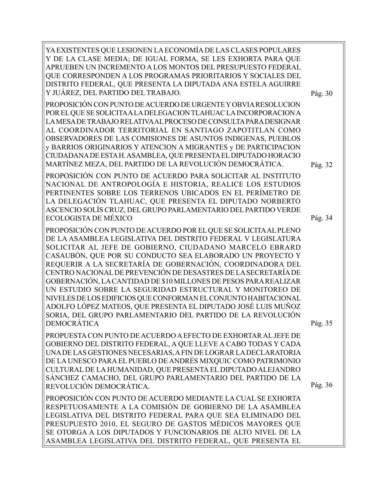YA EXISTENTES QUE LESIONEN LA ECONOMÍA DE LAS CLASES POPULARES Y DE LA CLASE MEDIA; DE IGUAL FORMA, SE LES EXHORTA PARA QUE APRUEBEN UN INCREMENTO A LOS MONTOS DEL PRESUPUESTO FEDERAL QUE CORRESPONDEN A LOS PROGRAMAS PRIORITARIOS Y SOCIALES DEL DISTRITO FEDERAL, QUE PRESENTA LA DIPUTADA ANA ESTELA AGUIRRE Y JUÁREZ, DEL PARTIDO DEL TRABAJO. PROPOSICIÓN CON PUNTO DE ACUERDO DE URGENTE Y OBVIA RESOLUCION POR EL QUE SE SOLICITA A LA DELEGACION TLAHUAC LA INCORPORACION A LA MESA DE TRABAJO RELATIVA AL PROCESO DE CONSULTA PARA DESIGNAR AL COORDINADOR TERRITORIAL EN SANTIAGO ZAPOTITLAN COMO OBSERVADORES DE LAS COMISIONES DE ASUNTOS INDIGENAS, PUEBLOS y BARRIOS ORIGINARIOS Y ATENCION A MIGRANTES y DE PARTICIPACION CIUDADANA DE ESTA H. ASAMBLEA, QUE PRESENTA EL DIPUTADO HORACIO MARTÍNEZ MEZA, DEL PARTIDO DE LA REVOLUCIÓN DEMOCRÁTICA. PROPOSICIÓN CON PUNTO DE ACUERDO PARA SOLICITAR AL INSTITUTO NACIONAL DE ANTROPOLOGÍA E HISTORIA, REALICE LOS ESTUDIOS PERTINENTES SOBRE LOS TERRENOS UBICADOS EN EL PERÍMETRO DE LA DELEGACIÓN TLAHUAC, QUE PRESENTA EL DIPUTADO NORBERTO ASCENCIO SOLÍS CRUZ, DEL GRUPO PARLAMENTARIO DEL PARTIDO VERDE ECOLOGISTA DE MÉXICO PROPOSICIÓN CON PUNTO DE ACUERDO POR EL QUE SE SOLICITA AL PLENO DE LA ASAMBLEA LEGISLATIVA DEL DISTRITO FEDERAL V LEGISLATURA SOLICITAR AL JEFE DE GOBIERNO, CIUDADANO MARCELO EBRARD CASAUBÓN, QUE POR SU CONDUCTO SEA ELABORADO UN PROYECTO Y REQUERIR A LA SECRETARÍA DE GOBERNACIÓN, COORDINADORA DEL CENTRO NACIONAL DE PREVENCIÓN DE DESASTRES DE LA SECRETARÍA DE GOBERNACIÓN, LA CANTIDAD DE \$10 MILLONES DE PESOS PARA REALIZAR UN ESTUDIO SOBRE LA SEGURIDAD ESTRUCTURAL Y MONITOREO DE NIVELES DE LOS EDIFICIOS QUE CONFORMAN EL CONJUNTO HABITACIONAL ADOLFO LÓPEZ MATEOS, QUE PRESENTA EL DIPUTADO JOSÉ LUIS MUÑOZ SORIA, DEL GRUPO PARLAMENTARIO DEL PARTIDO DE LA REVOLUCIÓN DEMOCRÁTICA PROPUESTA CON PUNTO DE ACUERDO A EFECTO DE EXHORTAR AL JEFE DE GOBIERNO DEL DISTRITO FEDERAL, A QUE LLEVE A CABO TODAS Y CADA UNA DE LAS GESTIONES NECESARIAS, A FIN DE LOGRAR LA DECLARATORIA DE LA UNESCO PARA EL PUEBLO DE ANDRÉS MIXQUIC COMO PATRIMONIO CULTURAL DE LA HUMANIDAD, QUE PRESENTA EL DIPUTADO ALEJANDRO SÁNCHEZ CAMACHO, DEL GRUPO PARLAMENTARIO DEL PARTIDO DE LA REVOLUCIÓN DEMOCRÁTICA. PROPOSICIÓN CON PUNTO DE ACUERDO MEDIANTE LA CUAL SE EXHORTA RESPETUOSAMENTE A LA COMISIÓN DE GOBIERNO DE LA ASAMBLEA LEGISLATIVA DEL DISTRITO FEDERAL PARA QUE SEA ELIMINADO DEL PRESUPUESTO 2010, EL SEGURO DE GASTOS MÉDICOS MAYORES QUE SE OTORGA A LOS DIPUTADOS Y FUNCIONARIOS DE ALTO NIVEL DE LA ASAMBLEA LEGISLATIVA DEL DISTRITO FEDERAL, QUE PRESENTA EL Pág. 30 Pág. 35 Pág. 32 Pág. 34 Pág. 36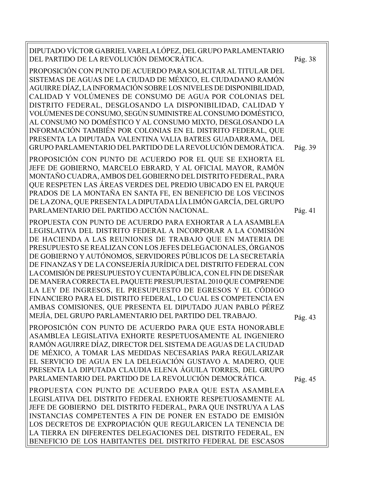| DIPUTADO VÍCTOR GABRIEL VARELA LÓPEZ, DEL GRUPO PARLAMENTARIO<br>DEL PARTIDO DE LA REVOLUCIÓN DEMOCRÁTICA.                                                                                                                                                                                                                                                                                                                                                                                                                                                                                                                                                                                                                                                                                  | Pág. 38 |
|---------------------------------------------------------------------------------------------------------------------------------------------------------------------------------------------------------------------------------------------------------------------------------------------------------------------------------------------------------------------------------------------------------------------------------------------------------------------------------------------------------------------------------------------------------------------------------------------------------------------------------------------------------------------------------------------------------------------------------------------------------------------------------------------|---------|
| PROPOSICIÓN CON PUNTO DE ACUERDO PARA SOLICITAR AL TITULAR DEL<br>SISTEMAS DE AGUAS DE LA CIUDAD DE MÉXICO, EL CIUDADANO RAMÓN<br>AGUIRRE DÍAZ, LA INFORMACIÓN SOBRE LOS NIVELES DE DISPONIBILIDAD,<br>CALIDAD Y VOLÚMENES DE CONSUMO DE AGUA POR COLONIAS DEL<br>DISTRITO FEDERAL, DESGLOSANDO LA DISPONIBILIDAD, CALIDAD Y<br>VOLÚMENES DE CONSUMO, SEGÚN SUMINISTRE AL CONSUMO DOMÉSTICO,<br>AL CONSUMO NO DOMÉSTICO Y AL CONSUMO MIXTO, DESGLOSANDO LA<br>INFORMACIÓN TAMBIÉN POR COLONIAS EN EL DISTRITO FEDERAL, QUE<br>PRESENTA LA DIPUTADA VALENTINA VALIA BATRES GUADARRAMA, DEL<br>GRUPO PARLAMENTARIO DEL PARTIDO DE LA REVOLUCIÓN DEMORÁTICA.                                                                                                                                   | Pág. 39 |
| PROPOSICIÓN CON PUNTO DE ACUERDO POR EL QUE SE EXHORTA EL<br>JEFE DE GOBIERNO, MARCELO EBRARD, Y AL OFICIAL MAYOR, RAMÓN<br>MONTAÑO CUADRA, AMBOS DEL GOBIERNO DEL DISTRITO FEDERAL, PARA<br>QUE RESPETEN LAS ÁREAS VERDES DEL PREDIO UBICADO EN EL PARQUE<br>PRADOS DE LA MONTAÑA EN SANTA FE, EN BENEFICIO DE LOS VECINOS<br>DE LA ZONA, QUE PRESENTA LA DIPUTADA LÍA LIMÓN GARCÍA, DEL GRUPO<br>PARLAMENTARIO DEL PARTIDO ACCIÓN NACIONAL.                                                                                                                                                                                                                                                                                                                                               | Pág. 41 |
| PROPUESTA CON PUNTO DE ACUERDO PARA EXHORTAR A LA ASAMBLEA<br>LEGISLATIVA DEL DISTRITO FEDERAL A INCORPORAR A LA COMISIÓN<br>DE HACIENDA A LAS REUNIONES DE TRABAJO QUE EN MATERIA DE<br>PRESUPUESTO SE REALIZAN CON LOS JEFES DELEGACIONALES, ÓRGANOS<br>DE GOBIERNO Y AUTÓNOMOS, SERVIDORES PÚBLICOS DE LA SECRETARÍA<br>DE FINANZAS Y DE LA CONSEJERÍA JURÍDICA DEL DISTRITO FEDERAL CON<br>LA COMISIÓN DE PRESUPUESTO Y CUENTA PÚBLICA, CON EL FIN DE DISEÑAR<br>DE MANERA CORRECTA EL PAQUETE PRESUPUESTAL 2010 QUE COMPRENDE<br>LA LEY DE INGRESOS, EL PRESUPUESTO DE EGRESOS Y EL CÓDIGO<br>FINANCIERO PARA EL DISTRITO FEDERAL, LO CUAL ES COMPETENCIA EN<br>AMBAS COMISIONES, QUE PRESENTA EL DIPUTADO JUAN PABLO PÉREZ<br>MEJÍA, DEL GRUPO PARLAMENTARIO DEL PARTIDO DEL TRABAJO. | Pág. 43 |
| PROPOSICIÓN CON PUNTO DE ACUERDO PARA QUE ESTA HONORABLE<br>ASAMBLEA LEGISLATIVA EXHORTE RESPETUOSAMENTE AL INGENIERO<br>RAMÓN AGUIRRE DÍAZ, DIRECTOR DEL SISTEMA DE AGUAS DE LA CIUDAD<br>DE MÉXICO, A TOMAR LAS MEDIDAS NECESARIAS PARA REGULARIZAR<br>EL SERVICIO DE AGUA EN LA DELEGACIÓN GUSTAVO A. MADERO, QUE<br>PRESENTA LA DIPUTADA CLAUDIA ELENA ÁGUILA TORRES, DEL GRUPO<br>PARLAMENTARIO DEL PARTIDO DE LA REVOLUCIÓN DEMOCRÁTICA.                                                                                                                                                                                                                                                                                                                                              | Pág. 45 |
| PROPUESTA CON PUNTO DE ACUERDO PARA QUE ESTA ASAMBLEA<br>LEGISLATIVA DEL DISTRITO FEDERAL EXHORTE RESPETUOSAMENTE AL<br>JEFE DE GOBIERNO DEL DISTRITO FEDERAL, PARA QUE INSTRUYA A LAS<br>INSTANCIAS COMPETENTES A FIN DE PONER EN ESTADO DE EMISIÓN<br>LOS DECRETOS DE EXPROPIACIÓN QUE REGULARICEN LA TENENCIA DE<br>LA TIERRA EN DIFERENTES DELEGACIONES DEL DISTRITO FEDERAL, EN<br>BENEFICIO DE LOS HABITANTES DEL DISTRITO FEDERAL DE ESCASOS                                                                                                                                                                                                                                                                                                                                         |         |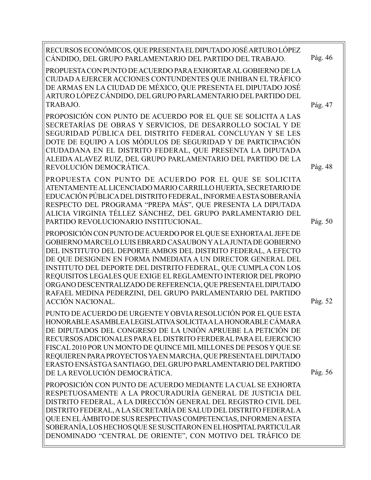| RECURSOS ECONÓMICOS, QUE PRESENTA EL DIPUTADO JOSÉ ARTURO LÓPEZ<br>CÁNDIDO, DEL GRUPO PARLAMENTARIO DEL PARTIDO DEL TRABAJO.                                                                                                                                                                                                                                                                                        | Pág. 46 |
|---------------------------------------------------------------------------------------------------------------------------------------------------------------------------------------------------------------------------------------------------------------------------------------------------------------------------------------------------------------------------------------------------------------------|---------|
| PROPUESTA CON PUNTO DE ACUERDO PARA EXHORTAR AL GOBIERNO DE LA<br>CIUDAD A EJERCER ACCIONES CONTUNDENTES QUE INHIBAN EL TRÁFICO<br>DE ARMAS EN LA CIUDAD DE MÉXICO, QUE PRESENTA EL DIPUTADO JOSÉ<br>ARTURO LÓPEZ CÁNDIDO, DEL GRUPO PARLAMENTARIO DEL PARTIDO DEL<br>TRABAJO.                                                                                                                                      |         |
|                                                                                                                                                                                                                                                                                                                                                                                                                     | Pág. 47 |
| PROPOSICIÓN CON PUNTO DE ACUERDO POR EL QUE SE SOLICITA A LAS<br>SECRETARÍAS DE OBRAS Y SERVICIOS, DE DESARROLLO SOCIAL Y DE<br>SEGURIDAD PÚBLICA DEL DISTRITO FEDERAL CONCLUYAN Y SE LES<br>DOTE DE EQUIPO A LOS MÓDULOS DE SEGURIDAD Y DE PARTICIPACIÓN<br>CIUDADANA EN EL DISTRITO FEDERAL, QUE PRESENTA LA DIPUTADA<br>ALEIDA ALAVEZ RUIZ, DEL GRUPO PARLAMENTARIO DEL PARTIDO DE LA<br>REVOLUCIÓN DEMOCRÁTICA. | Pág. 48 |
| PROPUESTA CON PUNTO DE ACUERDO POR EL QUE SE SOLICITA<br>ATENTAMENTE AL LICENCIADO MARIO CARRILLO HUERTA, SECRETARIO DE<br>EDUCACIÓN PÚBLICA DEL DISTRITO FEDERAL, INFORME A ESTA SOBERANÍA<br>RESPECTO DEL PROGRAMA "PREPA MÁS", QUE PRESENTA LA DIPUTADA<br>ALICIA VIRGINIA TÉLLEZ SÁNCHEZ, DEL GRUPO PARLAMENTARIO DEL<br>PARTIDO REVOLUCIONARIO INSTITUCIONAL.                                                  | Pág. 50 |
| PROPOSICIÓN CON PUNTO DE ACUERDO POR EL QUE SE EXHORTA AL JEFE DE                                                                                                                                                                                                                                                                                                                                                   |         |
| GOBIERNO MARCELO LUIS EBRARD CASAUBON Y A LA JUNTA DE GOBIERNO                                                                                                                                                                                                                                                                                                                                                      |         |
| DEL INSTITUTO DEL DEPORTE AMBOS DEL DISTRITO FEDERAL, A EFECTO                                                                                                                                                                                                                                                                                                                                                      |         |
| DE QUE DESIGNEN EN FORMA INMEDIATA A UN DIRECTOR GENERAL DEL                                                                                                                                                                                                                                                                                                                                                        |         |
| INSTITUTO DEL DEPORTE DEL DISTRITO FEDERAL, QUE CUMPLA CON LOS                                                                                                                                                                                                                                                                                                                                                      |         |
| REQUISITOS LEGALES QUE EXIGE EL REGLAMENTO INTERIOR DEL PROPIO                                                                                                                                                                                                                                                                                                                                                      |         |
| ORGANO DESCENTRALIZADO DE REFERENCIA, QUE PRESENTA EL DIPUTADO<br>RAFAEL MEDINA PEDERZINI, DEL GRUPO PARLAMENTARIO DEL PARTIDO                                                                                                                                                                                                                                                                                      |         |
| <b>ACCIÓN NACIONAL.</b>                                                                                                                                                                                                                                                                                                                                                                                             | Pág. 52 |
|                                                                                                                                                                                                                                                                                                                                                                                                                     |         |
| PUNTO DE ACUERDO DE URGENTE Y OBVIA RESOLUCIÓN POR EL QUE ESTA<br>HONORABLE ASAMBLEA LEGISLATIVA SOLICITA A LA HONORABLE CÁMARA                                                                                                                                                                                                                                                                                     |         |
| DE DIPUTADOS DEL CONGRESO DE LA UNIÓN APRUEBE LA PETICIÓN DE                                                                                                                                                                                                                                                                                                                                                        |         |
| RECURSOS ADICIONALES PARA EL DISTRITO FERDERAL PARA EL EJERCICIO                                                                                                                                                                                                                                                                                                                                                    |         |
| FISCAL 2010 POR UN MONTO DE QUINCE MIL MILLONES DE PESOS Y QUE SE                                                                                                                                                                                                                                                                                                                                                   |         |
| REQUIEREN PARA PROYECTOS YA EN MARCHA, QUE PRESENTA EL DIPUTADO                                                                                                                                                                                                                                                                                                                                                     |         |
| ERASTO ENSÁSTGA SANTIAGO, DEL GRUPO PARLAMENTARIO DEL PARTIDO                                                                                                                                                                                                                                                                                                                                                       |         |
| DE LA REVOLUCIÓN DEMOCRÁTICA.                                                                                                                                                                                                                                                                                                                                                                                       | Pág. 56 |
| PROPOSICIÓN CON PUNTO DE ACUERDO MEDIANTE LA CUAL SE EXHORTA                                                                                                                                                                                                                                                                                                                                                        |         |
| RESPETUOSAMENTE A LA PROCURADURÍA GENERAL DE JUSTICIA DEL                                                                                                                                                                                                                                                                                                                                                           |         |
| DISTRITO FEDERAL, A LA DIRECCIÓN GENERAL DEL REGISTRO CIVIL DEL                                                                                                                                                                                                                                                                                                                                                     |         |
| DISTRITO FEDERAL, A LA SECRETARÍA DE SALUD DEL DISTRITO FEDERAL A                                                                                                                                                                                                                                                                                                                                                   |         |
| QUE EN EL ÁMBITO DE SUS RESPECTIVAS COMPETENCIAS, INFORMENA ESTA                                                                                                                                                                                                                                                                                                                                                    |         |
| SOBERANÍA, LOS HECHOS QUE SE SUSCITARON EN EL HOSPITAL PARTICULAR                                                                                                                                                                                                                                                                                                                                                   |         |
| DENOMINADO "CENTRAL DE ORIENTE", CON MOTIVO DEL TRÁFICO DE                                                                                                                                                                                                                                                                                                                                                          |         |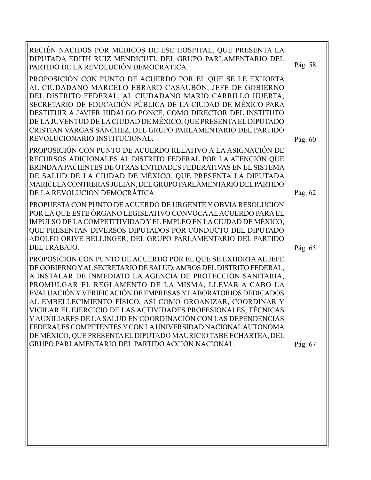RECIÉN NACIDOS POR MÉDICOS DE ESE HOSPITAL, QUE PRESENTA LA DIPUTADA EDITH RUIZ MENDICUTI, DEL GRUPO PARLAMENTARIO DEL PARTIDO DE LA REVOLUCIÓN DEMOCRÁTICA. PROPOSICIÓN CON PUNTO DE ACUERDO POR EL QUE SE LE EXHORTA AL CIUDADANO MARCELO EBRARD CASAUBÓN, JEFE DE GOBIERNO DEL DISTRITO FEDERAL, AL CIUDADANO MARIO CARRILLO HUERTA, SECRETARIO DE EDUCACIÓN PÚBLICA DE LA CIUDAD DE MÉXICO PARA DESTITUIR A JAVIER HIDALGO PONCE, COMO DIRECTOR DEL INSTITUTO DE LA JUVENTUD DE LA CIUDAD DE MÉXICO, QUE PRESENTA EL DIPUTADO CRISTIAN VARGAS SÁNCHEZ, DEL GRUPO PARLAMENTARIO DEL PARTIDO REVOLUCIONARIO INSTITUCIONAL. PROPOSICIÓN CON PUNTO DE ACUERDO RELATIVO A LA ASIGNACIÓN DE RECURSOS ADICIONALES AL DISTRITO FEDERAL POR LA ATENCIÓN QUE BRINDA A PACIENTES DE OTRAS ENTIDADES FEDERATIVAS EN EL SISTEMA DE SALUD DE LA CIUDAD DE MÉXICO, QUE PRESENTA LA DIPUTADA MARICELA CONTRERAS JULIÁN, DEL GRUPO PARLAMENTARIO DEL PARTIDO DE LA REVOLUCIÓN DEMOCRÁTICA. PROPUESTA CON PUNTO DE ACUERDO DE URGENTE Y OBVIA RESOLUCIÓN POR LA QUE ESTE ÓRGANO LEGISLATIVO CONVOCA AL ACUERDO PARA EL IMPULSO DE LA COMPETITIVIDAD Y EL EMPLEO EN LA CIUDAD DE MÉXICO, QUE PRESENTAN DIVERSOS DIPUTADOS POR CONDUCTO DEL DIPUTADO ADOLFO ORIVE BELLINGER, DEL GRUPO PARLAMENTARIO DEL PARTIDO DEL TRABAJO. PROPOSICIÓN CON PUNTO DE ACUERDO POR EL QUE SE EXHORTA AL JEFE Pág. 65 Pág. 58 Pág. 62 Pág. 60

DE GOBIERNO Y AL SECRETARIO DE SALUD, AMBOS DEL DISTRITO FEDERAL, A INSTALAR DE INMEDIATO LA AGENCIA DE PROTECCIÓN SANITARIA, PROMULGAR EL REGLAMENTO DE LA MISMA, LLEVAR A CABO LA EVALUACIÓN Y VERIFICACIÓN DE EMPRESAS Y LABORATORIOS DEDICADOS AL EMBELLECIMIENTO FÍSICO, ASÍ COMO ORGANIZAR, COORDINAR Y VIGILAR EL EJERCICIO DE LAS ACTIVIDADES PROFESIONALES, TÉCNICAS Y AUXILIARES DE LA SALUD EN COORDINACIÓN CON LAS DEPENDENCIAS FEDERALES COMPETENTES Y CON LA UNIVERSIDAD NACIONAL AUTÓNOMA DE MÉXICO, QUE PRESENTA EL DIPUTADO MAURICIO TABE ECHARTEA, DEL GRUPO PARLAMENTARIO DEL PARTIDO ACCIÓN NACIONAL.

Pág. 67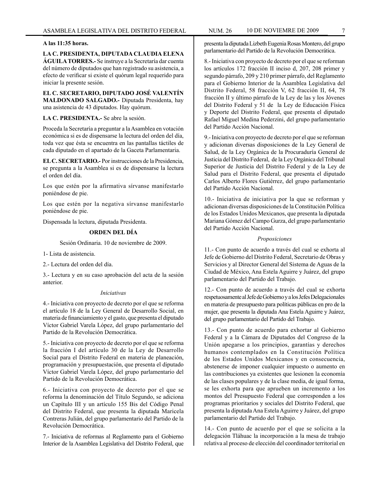#### **A las 11:35 horas.**

**LA C. PRESIDENTA, DIPUTADA CLAUDIA ELENA ÁGUILA TORRES.-** Se instruye a la Secretaría dar cuenta del número de diputados que han registrado su asistencia, a efecto de verificar si existe el quórum legal requerido para iniciar la presente sesión.

**EL C. SECRETARIO, DIPUTADO JOSÉ VALENTÍN MALDONADO SALGADO.-** Diputada Presidenta, hay una asistencia de 43 diputados. Hay quórum.

**LA C. PRESIDENTA.-** Se abre la sesión.

Proceda la Secretaría a preguntar a la Asamblea en votación económica si es de dispensarse la lectura del orden del día, toda vez que ésta se encuentra en las pantallas táctiles de cada diputado en el apartado de la Gaceta Parlamentaria.

**EL C. SECRETARIO.-** Por instrucciones de la Presidencia, se pregunta a la Asamblea si es de dispensarse la lectura el orden del día.

Los que estén por la afirmativa sírvanse manifestarlo poniéndose de pie.

Los que estén por la negativa sírvanse manifestarlo poniéndose de pie.

Dispensada la lectura, diputada Presidenta.

#### **ORDEN DEL DÍA**

Sesión Ordinaria. 10 de noviembre de 2009.

1- Lista de asistencia.

2.- Lectura del orden del día.

3.- Lectura y en su caso aprobación del acta de la sesión anterior.

#### *Iniciativas*

4.- Iniciativa con proyecto de decreto por el que se reforma el artículo 18 de la Ley General de Desarrollo Social, en materia de financiamiento y el gasto, que presenta el diputado Víctor Gabriel Varela López, del grupo parlamentario del Partido de la Revolución Democrática.

5.- Iniciativa con proyecto de decreto por el que se reforma la fracción I del artículo 30 de la Ley de Desarrollo Social para el Distrito Federal en materia de planeación, programación y presupuestación, que presenta el diputado Víctor Gabriel Varela López, del grupo parlamentario del Partido de la Revolución Democrática.

6.- Iniciativa con proyecto de decreto por el que se reforma la denominación del Título Segundo, se adiciona un Capítulo III y un artículo 155 Bis del Código Penal del Distrito Federal, que presenta la diputada Maricela Contreras Julián, del grupo parlamentario del Partido de la Revolución Democrática.

7.- Iniciativa de reformas al Reglamento para el Gobierno Interior de la Asamblea Legislativa del Distrito Federal, que presenta la diputada Lizbeth Eugenia Rosas Montero, del grupo parlamentario del Partido de la Revolución Democrática.

8.- Iniciativa con proyecto de decreto por el que se reforman los artículos 172 fracción II inciso d, 207, 208 primer y segundo párrafo, 209 y 210 primer párrafo, del Reglamento para el Gobierno Interior de la Asamblea Legislativa del Distrito Federal, 58 fracción V, 62 fracción II, 64, 78 fracción II y último párrafo de la Ley de las y los Jóvenes del Distrito Federal y 51 de la Ley de Educación Física y Deporte del Distrito Federal, que presenta el diputado Rafael Miguel Medina Pederzini, del grupo parlamentario del Partido Acción Nacional.

9.- Iniciativa con proyecto de decreto por el que se reforman y adicionan diversas disposiciones de la Ley General de Salud, de la Ley Orgánica de la Procuraduría General de Justicia del Distrito Federal, de la Ley Orgánica del Tribunal Superior de Justicia del Distrito Federal y de la Ley de Salud para el Distrito Federal, que presenta el diputado Carlos Alberto Flores Gutiérrez, del grupo parlamentario del Partido Acción Nacional.

10.- Iniciativa de iniciativa por la que se reforman y adicionan diversas disposiciones de la Constitución Política de los Estados Unidos Mexicanos, que presenta la diputada Mariana Gómez del Campo Gurza, del grupo parlamentario del Partido Acción Nacional.

#### *Proposiciones*

11.- Con punto de acuerdo a través del cual se exhorta al Jefe de Gobierno del Distrito Federal, Secretario de Obras y Servicios y al Director General del Sistema de Aguas de la Ciudad de México, Ana Estela Aguirre y Juárez, del grupo parlamentario del Partido del Trabajo.

12.- Con punto de acuerdo a través del cual se exhorta respetuosamente al Jefe de Gobierno y a los Jefes Delegacionales en materia de presupuesto para políticas públicas en pro de la mujer, que presenta la diputada Ana Estela Aguirre y Juárez, del grupo parlamentario del Partido del Trabajo.

13.- Con punto de acuerdo para exhortar al Gobierno Federal y a la Cámara de Diputados del Congreso de la Unión apegarse a los principios, garantías y derechos humanos contemplados en la Constitución Política de los Estados Unidos Mexicanos y en consecuencia, abstenerse de imponer cualquier impuesto o aumento en las contribuciones ya existentes que lesionen la economía de las clases populares y de la clase media, de igual forma, se les exhorta para que aprueben un incremento a los montos del Presupuesto Federal que corresponden a los programas prioritarios y sociales del Distrito Federal, que presenta la diputada Ana Estela Aguirre y Juárez, del grupo parlamentario del Partido del Trabajo.

14.- Con punto de acuerdo por el que se solicita a la delegación Tláhuac la incorporación a la mesa de trabajo relativa al proceso de elección del coordinador territorial en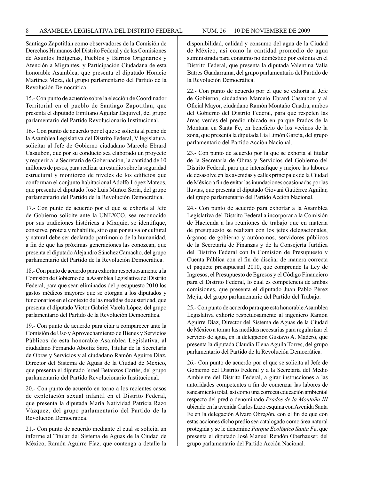Santiago Zapotitlán como observadores de la Comisión de Derechos Humanos del Distrito Federal y de las Comisiones de Asuntos Indígenas, Pueblos y Barrios Originarios y Atención a Migrantes, y Participación Ciudadana de esta honorable Asamblea, que presenta el diputado Horacio Martínez Meza, del grupo parlamentario del Partido de la Revolución Democrática.

15.- Con punto de acuerdo sobre la elección de Coordinador Territorial en el pueblo de Santiago Zapotitlan, que presenta el diputado Emiliano Aguilar Esquivel, del grupo parlamentario del Partido Revolucionario Institucional.

16.- Con punto de acuerdo por el que se solicita al pleno de la Asamblea Legislativa del Distrito Federal, V legislatura, solicitar al Jefe de Gobierno ciudadano Marcelo Ebrard Casaubon, que por su conducto sea elaborado un proyecto y requerir a la Secretaría de Gobernación, la cantidad de 10 millones de pesos, para realizar un estudio sobre la seguridad estructural y monitoreo de niveles de los edificios que conforman el conjunto habitacional Adolfo López Mateos, que presenta el diputado José Luis Muñoz Soria, del grupo parlamentario del Partido de la Revolución Democrática.

17.- Con punto de acuerdo por el que se exhorta al Jefe de Gobierno solicite ante la UNEXCO, sea reconocido por sus tradiciones históricas a Mixquic, se identifique, conserve, proteja y rehabilite, sitio que por su valor cultural y natural debe ser declarado patrimonio de la humanidad, a fin de que las próximas generaciones las conozcan, que presenta el diputado Alejandro Sánchez Camacho, del grupo parlamentario del Partido de la Revolución Democrática.

18.- Con punto de acuerdo para exhortar respetuosamente a la Comisión de Gobierno de la Asamblea Legislativa del Distrito Federal, para que sean eliminados del presupuesto 2010 los gastos médicos mayores que se otorgan a los diputados y funcionarios en el contexto de las medidas de austeridad, que presenta el diputado Víctor Gabriel Varela López, del grupo parlamentario del Partido de la Revolución Democrática.

19.- Con punto de acuerdo para citar a comparecer ante la Comisión de Uso y Aprovechamiento de Bienes y Servicios Públicos de esta honorable Asamblea Legislativa, al ciudadano Fernando Aboitiz Saro, Titular de la Secretaría de Obras y Servicios y al ciudadano Ramón Aguirre Díaz, Director del Sistema de Aguas de la Ciudad de México, que presenta el diputado Israel Betanzos Cortés, del grupo parlamentario del Partido Revolucionario Institucional.

20.- Con punto de acuerdo en torno a los recientes casos de explotación sexual infantil en el Distrito Federal, que presenta la diputada María Natividad Patricia Razo Vázquez, del grupo parlamentario del Partido de la Revolución Democrática.

21.- Con punto de acuerdo mediante el cual se solicita un informe al Titular del Sistema de Aguas de la Ciudad de México, Ramón Aguirre Fíaz, que contenga a detalle la

disponibilidad, calidad y consumo del agua de la Ciudad de México, así como la cantidad promedio de agua suministrada para consumo no doméstico por colonia en el Distrito Federal, que presenta la diputada Valentina Valia Batres Guadarrama, del grupo parlamentario del Partido de la Revolución Democrática.

22.- Con punto de acuerdo por el que se exhorta al Jefe de Gobierno, ciudadano Marcelo Ebrard Casaubon y al Oficial Mayor, ciudadano Ramón Montaño Cuadra, ambos del Gobierno del Distrito Federal, para que respeten las áreas verdes del predio ubicado en parque Prados de la Montaña en Santa Fe, en beneficio de los vecinos de la zona, que presenta la diputada Lía Limón García, del grupo parlamentario del Partido Acción Nacional.

23.- Con punto de acuerdo por la que se exhorta al titular de la Secretaría de Obras y Servicios del Gobierno del Distrito Federal, para que intensifique y mejore las labores de desasolve en las avenidas y calles principales de la Ciudad de México a fin de evitar las inundaciones ocasionadas por las lluvias, que presenta el diputado Giovani Gutiérrez Aguilar, del grupo parlamentario del Partido Acción Nacional.

24.- Con punto de acuerdo para exhortar a la Asamblea Legislativa del Distrito Federal a incorporar a la Comisión de Hacienda a las reuniones de trabajo que en materia de presupuesto se realizan con los jefes delegacionales, órganos de gobierno y autónomos, servidores públicos de la Secretaría de Finanzas y de la Consejería Jurídica del Distrito Federal con la Comisión de Presupuesto y Cuenta Pública con el fin de diseñar de manera correcta el paquete presupuestal 2010, que comprende la Ley de Ingresos, el Presupuesto de Egresos y el Código Financiero para el Distrito Federal, lo cual es competencia de ambas comisiones, que presenta el diputado Juan Pablo Pérez Mejía, del grupo parlamentario del Partido del Trabajo.

25.- Con punto de acuerdo para que esta honorable Asamblea Legislativa exhorte respetuosamente al ingeniero Ramón Aguirre Díaz, Director del Sistema de Aguas de la Ciudad de México a tomar las medidas necesarias para regularizar el servicio de agua, en la delegación Gustavo A. Madero, que presenta la diputada Claudia Elena Aguila Torres, del grupo parlamentario del Partido de la Revolución Democrática.

26.- Con punto de acuerdo por el que se solicita al Jefe de Gobierno del Distrito Federal y a la Secretaría del Medio Ambiente del Distrito Federal, a girar instrucciones a las autoridades competentes a fin de comenzar las labores de saneamiento total, así como una correcta educación ambiental respecto del predio denominado *Prados de la Montaña III* ubicado en la avenida Carlos Lazo esquina con Avenida Santa Fe en la delegación Alvaro Obregón, con el fin de que con estas acciones dicho predio sea catalogado como área natural protegida y se le denomine *Parque Ecológico Santa Fe*, que presenta el diputado José Manuel Rendón Oberhauser, del grupo parlamentario del Partido Acción Nacional.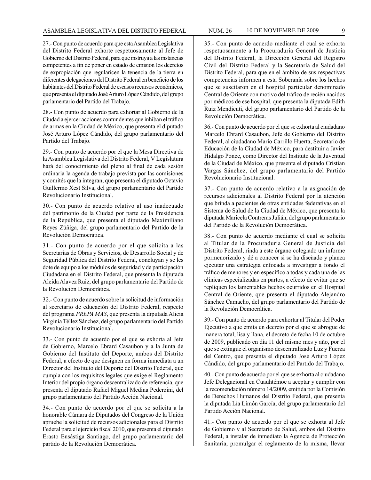27.- Con punto de acuerdo para que esta Asamblea Legislativa del Distrito Federal exhorte respetuosamente al Jefe de Gobierno del Distrito Federal, para que instruya a las instancias competentes a fin de poner en estado de emisión los decretos de expropiación que regularicen la tenencia de la tierra en diferentes delegaciones del Distrito Federal en beneficio de los habitantes del Distrito Federal de escasos recursos económicos, que presenta el diputado José Arturo López Cándido, del grupo parlamentario del Partido del Trabajo.

28.- Con punto de acuerdo para exhortar al Gobierno de la Ciudad a ejercer acciones contundentes que inhiban el tráfico de armas en la Ciudad de México, que presenta el diputado José Arturo López Cándido, del grupo parlamentario del Partido del Trabajo.

29.- Con punto de acuerdo por el que la Mesa Directiva de la Asamblea Legislativa del Distrito Federal, V Legislatura hará del conocimiento del pleno al final de cada sesión ordinaria la agenda de trabajo prevista por las comisiones y comités que la integran, que presenta el diputado Octavio Guillermo Xest Silva, del grupo parlamentario del Partido Revolucionario Institucional.

30.- Con punto de acuerdo relativo al uso inadecuado del patrimonio de la Ciudad por parte de la Presidencia de la República, que presenta el diputado Maximiliano Reyes Zúñiga, del grupo parlamentario del Partido de la Revolución Democrática.

31.- Con punto de acuerdo por el que solicita a las Secretarías de Obras y Servicios, de Desarrollo Social y de Seguridad Pública del Distrito Federal, concluyan y se les dote de equipo a los módulos de seguridad y de participación Ciudadana en el Distrito Federal, que presenta la diputada Aleida Alavez Ruiz, del grupo parlamentario del Partido de la Revolución Democrática.

32.- Con punto de acuerdo sobre la solicitud de información al secretario de educación del Distrito Federal, respecto del programa *PREPA MAS*, que presenta la diputada Alicia Virginia Téllez Sánchez, del grupo parlamentario del Partido Revolucionario Institucional.

33.- Con punto de acuerdo por el que se exhorta al Jefe de Gobierno, Marcelo Ebrard Casaubon y a la Junta de Gobierno del Instituto del Deporte, ambos del Distrito Federal, a efecto de que designen en forma inmediata a un Director del Instituto del Deporte del Distrito Federal, que cumpla con los requisitos legales que exige el Reglamento Interior del propio órgano descentralizado de referencia, que presenta el diputado Rafael Miguel Medina Pederzini, del grupo parlamentario del Partido Acción Nacional.

34.- Con punto de acuerdo por el que se solicita a la honorable Cámara de Diputados del Congreso de la Unión apruebe la solicitud de recursos adicionales para el Distrito Federal para el ejercicio fiscal 2010, que presenta el diputado Erasto Ensástiga Santiago, del grupo parlamentario del partido de la Revolución Democrática.

35.- Con punto de acuerdo mediante el cual se exhorta respetuosamente a la Procuraduría General de Justicia del Distrito Federal, la Dirección General del Registro Civil del Distrito Federal y la Secretaría de Salud del Distrito Federal, para que en el ámbito de sus respectivas competencias informen a esta Soberanía sobre los hechos que se suscitaron en el hospital particular denominado Central de Oriente con motivo del tráfico de recién nacidos por médicos de ese hospital, que presenta la diputada Edith Ruiz Mendicuti, del grupo parlamentario del Partido de la Revolución Democrática.

36.- Con punto de acuerdo por el que se exhorta al ciudadano Marcelo Ebrard Casaubon, Jefe de Gobierno del Distrito Federal, al ciudadano Mario Carrillo Huerta, Secretario de Educación de la Ciudad de México, para destituir a Javier Hidalgo Ponce, como Director del Instituto de la Juventud de la Ciudad de México, que presenta el diputado Cristian Vargas Sánchez, del grupo parlamentario del Partido Revolucionario Institucional.

37.- Con punto de acuerdo relativo a la asignación de recursos adicionales al Distrito Federal por la atención que brinda a pacientes de otras entidades federativas en el Sistema de Salud de la Ciudad de México, que presenta la diputada Maricela Contreras Julián, del grupo parlamentario del Partido de la Revolución Democrática.

38.- Con punto de acuerdo mediante el cual se solicita al Titular de la Procuraduría General de Justicia del Distrito Federal, rinda a este órgano colegiado un informe pormenorizado y dé a conocer si se ha diseñado y planea ejecutar una estrategia enfocada a investigar a fondo el tráfico de menores y en específico a todas y cada una de las clínicas especializadas en partos, a efecto de evitar que se repliquen los lamentables hechos ocurridos en el Hospital Central de Oriente, que presenta el diputado Alejandro Sánchez Camacho, del grupo parlamentario del Partido de la Revolución Democrática.

39.- Con punto de acuerdo para exhortar al Titular del Poder Ejecutivo a que emita un decreto por el que se abrogue de manera total, lisa y llana, el decreto de fecha 10 de octubre de 2009, publicado en día 11 del mismo mes y año, por el que se extingue el organismo descentralizado Luz y Fuerza del Centro, que presenta el diputado José Arturo López Cándido, del grupo parlamentario del Partido del Trabajo.

40.- Con punto de acuerdo por el que se exhorta al ciudadano Jefe Delegacional en Cuauhtémoc a aceptar y cumplir con la recomendación número 14/2009, emitida por la Comisión de Derechos Humanos del Distrito Federal, que presenta la diputada Lía Limón García, del grupo parlamentario del Partido Acción Nacional.

41.- Con punto de acuerdo por el que se exhorta al Jefe de Gobierno y al Secretario de Salud, ambos del Distrito Federal, a instalar de inmediato la Agencia de Protección Sanitaria, promulgar el reglamento de la misma, llevar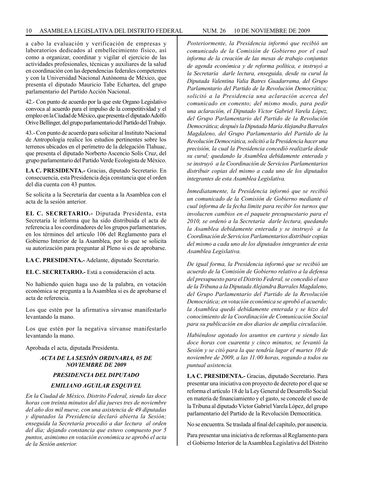a cabo la evaluación y verificación de empresas y laboratorios dedicados al embellecimiento físico, así como a organizar, coordinar y vigilar el ejercicio de las actividades profesionales, técnicas y auxiliares de la salud en coordinación con las dependencias federales competentes y con la Universidad Nacional Autónoma de México, que presenta el diputado Mauricio Tabe Echartea, del grupo parlamentario del Partido Acción Nacional.

42.- Con punto de acuerdo por la que este Organo Legislativo convoca al acuerdo para el impulso de la competitividad y el empleo en la Ciudad de México, que presenta el diputado Adolfo Orive Bellinger, del grupo parlamentario del Partido del Trabajo.

43.- Con punto de acuerdo para solicitar al Instituto Nacional de Antropología realice los estudios pertinentes sobre los terrenos ubicados en el perímetro de la delegación Tlahuac, que presenta el diputado Norberto Ascencio Solís Cruz, del grupo parlamentario del Partido Verde Ecologista de México.

**LA C. PRESIDENTA.-** Gracias, diputado Secretario. En consecuencia, esta Presidencia deja constancia que el orden del día cuenta con 43 puntos.

Se solicita a la Secretaría dar cuenta a la Asamblea con el acta de la sesión anterior.

**EL C. SECRETARIO.-** Diputada Presidenta, esta Secretaría le informa que ha sido distribuida el acta de referencia a los coordinadores de los grupos parlamentarios, en los términos del artículo 106 del Reglamento para el Gobierno Interior de la Asamblea, por lo que se solicita su autorización para preguntar al Pleno si es de aprobarse.

**LA C. PRESIDENTA.-** Adelante, diputado Secretario.

**EL C. SECRETARIO.-** Está a consideración el acta.

No habiendo quien haga uso de la palabra, en votación económica se pregunta a la Asamblea si es de aprobarse el acta de referencia.

Los que estén por la afirmativa sírvanse manifestarlo levantando la mano.

Los que estén por la negativa sírvanse manifestarlo levantando la mano.

Aprobada el acta, diputada Presidenta.

#### *ACTA DE LA SESIÓN ORDINARIA, 05 DE NOVIEMBRE DE 2009*

#### *PRESIDENCIA DEL DIPUTADO*

#### *EMILIANO AGUILAR ESQUIVEL*

*En la Ciudad de México, Distrito Federal, siendo las doce horas con treinta minutos del día jueves tres de noviembre del año dos mil nueve, con una asistencia de 49 diputadas y diputados la Presidencia declaró abierta la Sesión; enseguida la Secretaría procedió a dar lectura al orden del día; dejando constancia que estuvo compuesto por 5 puntos, asimismo en votación económica se aprobó el acta de la Sesión anterior.*

*Posteriormente, la Presidencia informó que recibió un comunicado de la Comisión de Gobierno por el cual informa de la creación de las mesas de trabajo conjuntas de agenda económica y de reforma política, e instruyó a la Secretaría darle lectura, enseguida, desde su curul la Diputada Valentina Valia Batres Guadarrama, del Grupo Parlamentario del Partido de la Revolución Democrática; solicitó a la Presidencia una aclaración acerca del comunicado en comento; del mismo modo, para pedir una aclaración, el Diputado Víctor Gabriel Varela López, del Grupo Parlamentario del Partido de la Revolución Democrática; después la Diputada María Alejandra Barrales Magdaleno, del Grupo Parlamentario del Partido de la Revolución Democrática, solicitó a la Presidencia hacer una precisión, la cual la Presidencia concedió realizarla desde su curul; quedando la Asamblea debidamente enterada y se instruyó a la Coordinación de Servicios Parlamentarios distribuir copias del mismo a cada uno de los diputados integrantes de esta Asamblea Legislativa.*

*Inmediatamente, la Presidencia informó que se recibió un comunicado de la Comisión de Gobierno mediante el cual informa de la fecha límite para recibir los turnos que involucren cambios en el paquete presupuestario para el 2010, se ordenó a la Secretaría darle lectura, quedando la Asamblea debidamente enterada y se instruyó a la Coordinación de Servicios Parlamentarios distribuir copias del mismo a cada uno de los diputados integrantes de esta Asamblea Legislativa.*

*De igual forma, la Presidencia informó que se recibió un acuerdo de la Comisión de Gobierno relativo a la defensa del presupuesto para el Distrito Federal, se concedió el uso de la Tribuna a la Diputada Alejandra Barrales Magdaleno, del Grupo Parlamentario del Partido de la Revolución Democrática; en votación económica se aprobó el acuerdo; la Asamblea quedó debidamente enterada y se hizo del conocimiento de la Coordinación de Comunicación Social para su publicación en dos diarios de amplia circulación.*

*Habiéndose agotado los asuntos en cartera y siendo las doce horas con cuarenta y cinco minutos, se levantó la Sesión y se citó para la que tendría lugar el martes 10 de noviembre de 2009, a las 11:00 horas, rogando a todos su puntual asistencia.*

**LA C. PRESIDENTA.-** Gracias, diputado Secretario. Para presentar una iniciativa con proyecto de decreto por el que se reforma el artículo 18 de la Ley General de Desarrollo Social en materia de financiamiento y el gasto, se concede el uso de la Tribuna al diputado Víctor Gabriel Varela López, del grupo parlamentario del Partido de la Revolución Democrática.

No se encuentra. Se traslada al final del capítulo, por ausencia.

Para presentar una iniciativa de reformas al Reglamento para el Gobierno Interior de la Asamblea Legislativa del Distrito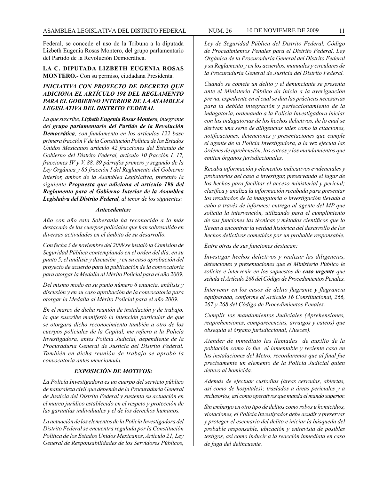Federal, se concede el uso de la Tribuna a la diputada Lizbeth Eugenia Rosas Montero, del grupo parlamentario del Partido de la Revolución Democrática.

**LA C. DIPUTADA LIZBETH EUGENIA ROSAS MONTERO.-** Con su permiso, ciudadana Presidenta.

#### *INICIATIVA CON PROYECTO DE DECRETO QUE ADICIONA EL ARTÍCULO 198 DEL REGLAMENTO PARA EL GOBIERNO INTERIOR DE LA ASAMBLEA LEGISLATIVA DEL DISTRITO FEDERAL*

*La que suscribe, Lizbeth Eugenia Rosas Montero, integrante del grupo parlamentario del Partido de la Revolución Democrática, con fundamento en los artículos 122 base primera fracción V de la Constitución Política de los Estados Unidos Mexicanos artículo 42 fracciones del Estatuto de Gobierno del Distrito Federal, artículo 10 fracción I, 17, fracciones IV y V, 88, 89 párrafos primero y segundo de la Ley Orgánica y 85 fracción I del Reglamento del Gobierno Interior, ambos de la Asamblea Legislativa, presento la siguiente Propuesta que adiciona el artículo 198 del Reglamento para el Gobierno Interior de la Asamblea Legislativa del Distrito Federal, al tenor de los siguientes:* 

#### *Antecedentes:*

*Año con año esta Soberanía ha reconocido a lo más destacado de los cuerpos policiales que han sobresalido en diversas actividades en el ámbito de su desarrollo.*

*Con fecha 3 de noviembre del 2009 se instaló la Comisión de Seguridad Pública contemplando en el orden del día, en su punto 5, el análisis y discusión y en su caso aprobación del proyecto de acuerdo para la publicación de la convocatoria para otorgar la Medalla al Mérito Policial para el año 2009.*

*Del mismo modo en su punto número 6 enuncia, análisis y discusión y en su caso aprobación de la convocatoria para otorgar la Medalla al Mérito Policial para el año 2009.*

*En el marco de dicha reunión de instalación y de trabajo, la que suscribe manifestó la intención particular de que se otorgara dicho reconocimiento también a otro de los cuerpos policiales de la Capital, me refiero a la Policía Investigadora, antes Policía Judicial, dependiente de la Procuraduría General de Justicia del Distrito Federal. También en dicha reunión de trabajo se aprobó la convocatoria antes mencionada.* 

#### *EXPOSICIÓN DE MOTIVOS:*

*La Policía Investigadora es un cuerpo del servicio público de naturaleza civil que depende de la Procuraduría General de Justicia del Distrito Federal y sustenta su actuación en el marco jurídico establecido en el respeto y protección de las garantías individuales y el de los derechos humanos.*

*La actuación de los elementos de la Policía Investigadora del Distrito Federal se encuentra regulada por la Constitución Política de los Estados Unidos Mexicanos, Artículo 21, Ley General de Responsabilidades de los Servidores Públicos,* 

*Ley de Seguridad Pública del Distrito Federal, Código de Procedimientos Penales para el Distrito Federal, Ley Orgánica de la Procuraduría General del Distrito Federal y su Reglamento y en los acuerdos, manuales y circulares de la Procuraduría General de Justicia del Distrito Federal.*

*Cuando se comete un delito y el denunciante se presenta ante el Ministerio Público da inicio a la averiguación previa, expediente en el cual se dan las prácticas necesarias para la debida integración y perfeccionamiento de la indagatoria, ordenando a la Policía Investigadora iniciar con las indagatorias de los hechos delictivos, de lo cual se derivan una serie de diligencias tales como la citaciones, notificaciones, detenciones y presentaciones que cumple el agente de la Policía Investigadora, a la vez ejecuta las órdenes de aprehensión, los cateos y los mandamientos que emiten órganos jurisdiccionales.*

*Recaba información y elementos indicativos evidenciales y probatorios del caso a investigar, preservando el lugar de los hechos para facilitar el acceso ministerial y pericial; clasifica y analiza la información recabada para presentar los resultados de la indagatoria o investigación llevada a cabo a través de informes; entrega al agente del MP que solicita la intervención, utilizando para el cumplimiento de sus funciones las técnicas y métodos científicos que lo llevan a encontrar la verdad histórica del desarrollo de los hechos delictivos cometidos por un probable responsable.*

*Entre otras de sus funciones destacan:*

*Investigar hechos delictivos y realizar las diligencias, detenciones y presentaciones que el Ministerio Público le solicite e intervenir en los supuestos de caso urgente que señala el Artículo 268 del Código de Procedimientos Penales.*

*Intervenir en los casos de delito flagrante y flagrancia equiparada, conforme al Artículo 16 Constitucional, 266, 267 y 268 del Código de Procedimientos Penales.*

*Cumplir los mandamientos Judiciales (Aprehensiones, reaprehensiones, comparecencias, arraigos y cateos) que obsequia el órgano jurisdiccional, (Jueces).*

*Atender de inmediato las llamadas de auxilio de la población como lo fue el lamentable y reciente caso en las instalaciones del Metro, recordaremos que al final fue precisamente un elemento de la Policía Judicial quien detuvo al homicida.*

*Además de efectuar custodias (áreas cerradas, abiertas, así como de hospitales); traslados a áreas periciales y a reclusorios, así como operativos que manda el mando superior.*

*Sin embargo en otro tipo de delitos como robos u homicidios, violaciones, el Policía Investigador debe acudir y preservar y proteger el escenario del delito e iniciar la búsqueda del probable responsable, ubicación y entrevista de posibles testigos, así como inducir a la reacción inmediata en caso de fuga del delincuente.*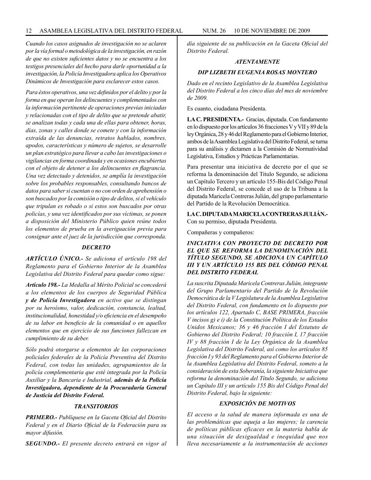*Cuando los casos asignados de investigación no se aclaren por la vía formal o metodológica de la investigación, en razón de que no existen suficientes datos y no se encuentra a los testigos presenciales del hecho para darle oportunidad a la investigación, la Policía Investigadora aplica los Operativos Dinámicos de Investigación para esclarecer estos casos.*

*Para éstos operativos, una vez definidos por el delito y por la forma en que operan los delincuentes y complementados con la información pertinente de operaciones previas iniciadas y relacionadas con el tipo de delito que se pretende abatir, se analizan todas y cada una de ellas para obtener, horas, días, zonas y calles donde se comete y con la información extraída de las denuncias, retratos hablados, nombres, apodos, características y número de sujetos, se desarrolle un plan estratégico para llevar a cabo las investigaciones o vigilancias en forma coordinada y en ocasiones encubiertas con el objeto de detener a los delincuentes en flagrancia. Una vez detectado y detenidos, se amplía la investigación sobre los probables responsables, consultando bancos de datos para saber si cuentan o no con orden de aprehensión o son buscados por la comisión o tipo de delitos, si el vehículo que tripulan es robado o si estos son buscados por otras policías, y una vez identificados por sus víctimas, se ponen a disposición del Ministerio Público quien reúne todos los elementos de prueba en la averiguación previa para consignar ante el juez de la jurisdicción que corresponda.* 

#### *DECRETO*

*ARTÍCULO ÚNICO.- Se adiciona el artículo 198 del Reglamento para el Gobierno Interior de la Asamblea Legislativa del Distrito Federal para quedar como sigue:* 

*Artículo 198.- La Medalla al Mérito Policial se concederá a los elementos de los cuerpos de Seguridad Pública y de Policía Investigadora en activo que se distingan por su heroísmo, valor, dedicación, constancia, lealtad, institucionalidad, honestidad y/o eficiencia en el desempeño de su labor en beneficio de la comunidad o en aquellos elementos que en ejercicio de sus funciones fallezcan en cumplimiento de su deber.*

*Sólo podrá otorgarse a elementos de las corporaciones policiales federales de la Policía Preventiva del Distrito Federal, con todas las unidades, agrupamientos de la policía complementaria que esté integrada por la Policía Auxiliar y la Bancaria e Industrial, además de la Policía Investigadora, dependiente de la Procuraduría General de Justicia del Distrito Federal.*

#### *TRANSITORIOS*

*PRIMERO.- Publíquese en la Gaceta Oficial del Distrito Federal y en el Diario Oficial de la Federación para su mayor difusión.*

*SEGUNDO.- El presente decreto entrará en vigor al*

*día siguiente de su publicación en la Gaceta Oficial del Distrito Federal.* 

#### *ATENTAMENTE*

#### *DIP LIZBETH EUGENIA ROSAS MONTERO*

*Dado en el recinto Legislativo de la Asamblea Legislativa del Distrito Federal a los cinco días del mes de noviembre de 2009.*

Es cuanto, ciudadana Presidenta.

**LA C. PRESIDENTA.-** Gracias, diputada. Con fundamento en lo dispuesto por los artículos 36 fracciones V y VII y 89 de la ley Orgánica, 28 y 46 del Reglamento para el Gobierno Interior, ambos de la Asamblea Legislativa del Distrito Federal, se turna para su análisis y dictamen a la Comisión de Normatividad Legislativa, Estudios y Prácticas Parlamentarias.

Para presentar una iniciativa de decreto por el que se reforma la denominación del Titulo Segundo, se adiciona un Capítulo Tercero y un artículo 155-Bis del Código Penal del Distrito Federal, se concede el uso de la Tribuna a la diputada Maricela Contreras Julián, del grupo parlamentario del Partido de la Revolución Democrática.

**LA C. DIPUTADA MARICELA CONTRERAS JULIÁN.-** Con su permiso, diputada Presidenta.

Compañeras y compañeros:

#### *INICIATIVA CON PROYECTO DE DECRETO POR EL QUE SE REFORMA LA DENOMINACIÓN DEL TÍTULO SEGUNDO, SE ADICIONA UN CAPÍTULO III Y UN ARTÍCULO 155 BIS DEL CÓDIGO PENAL DEL DISTRITO FEDERAL*

*La suscrita Diputada Maricela Contreras Julián, integrante del Grupo Parlamentario del Partido de la Revolución Democrática de la V Legislatura de la Asamblea Legislativa del Distrito Federal, con fundamento en lo dispuesto por los artículos 122, Apartado C, BASE PRIMERA, fracción V incisos g) e i) de la Constitución Política de los Estados Unidos Mexicanos; 36 y 46 fracción I del Estatuto de Gobierno del Distrito Federal; 10 fracción I, 17 fracción IV y 88 fracción I de la Ley Orgánica de la Asamblea Legislativa del Distrito Federal, así como los artículos 85 fracción I y 93 del Reglamento para el Gobierno Interior de la Asamblea Legislativa del Distrito Federal, someto a la consideración de esta Soberanía, la siguiente Iniciativa que reforma la denominación del Título Segundo, se adiciona un Capítulo III y un artículo 155 Bis del Código Penal del Distrito Federal, bajo la siguiente:*

#### *EXPOSICIÓN DE MOTIVOS*

*El acceso a la salud de manera informada es una de las problemáticas que aqueja a las mujeres; la carencia de políticas públicas eficaces en la materia habla de una situación de desigualdad e inequidad que nos lleva necesariamente a la instrumentación de acciones*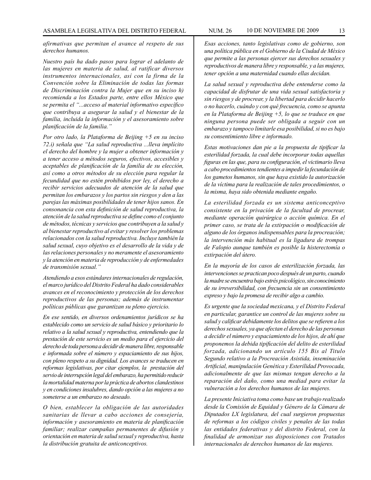*afirmativas que permitan el avance al respeto de sus derechos humanos.*

*Nuestro país ha dado pasos para lograr el adelanto de las mujeres en materia de salud, al ratificar diversos instrumentos internacionales, así con la firma de la Convención sobre la Eliminación de todas las formas de Discriminación contra la Mujer que en su inciso h) recomienda a los Estados parte, entre ellos México que se permita el "...acceso al material informativo específico que contribuya a asegurar la salud y el bienestar de la familia, incluida la información y el asesoramiento sobre planificación de la familia."*

*Por otro lado, la Plataforma de Beijing +5 en su inciso 72.i) señala que "La salud reproductiva ...lleva implícito el derecho del hombre y la mujer a obtener información y a tener acceso a métodos seguros, efectivos, accesibles y aceptables de planificación de la familia de su elección, así como a otros métodos de su elección para regular la fecundidad que no estén prohibidos por ley, el derecho a recibir servicios adecuados de atención de la salud que permitan los embarazos y los partos sin riesgos y den a las parejas las máximas posibilidades de tener hijos sanos. En consonancia con esta definición de salud reproductiva, la atención de la salud reproductiva se define como el conjunto de métodos, técnicas y servicios que contribuyen a la salud y al bienestar reproductivo al evitar y resolver los problemas relacionados con la salud reproductiva. Incluye también la salud sexual, cuyo objetivo es el desarrollo de la vida y de las relaciones personales y no meramente el asesoramiento y la atención en materia de reproducción y de enfermedades de transmisión sexual."*

*Atendiendo a esos estándares internacionales de regulación, el marco jurídico del Distrito Federal ha dado considerables avances en el reconocimiento y protección de los derechos reproductivos de las personas; además de instrumentar políticas públicas que garantizan su pleno ejercicio.*

*En ese sentido, en diversos ordenamientos jurídicos se ha establecido como un servicio de salud básico y prioritario lo relativo a la salud sexual y reproductiva, entendiendo que la prestación de este servicio es un medio para el ejercicio del derecho de toda persona a decidir de manera libre, responsable e informada sobre el número y espaciamiento de sus hijos, con pleno respeto a su dignidad. Los avances se traducen en reformas legislativas, por citar ejemplos, la prestación del servio de interrupción legal del embarazo, ha permitido reducir la mortalidad materna por la práctica de abortos clandestinos y en condiciones insalubres, dando opción a las mujeres a no someterse a un embarazo no deseado.*

*O bien, establecer la obligación de las autoridades sanitarias de llevar a cabo acciones de consejería, información y asesoramiento en materia de planificación familiar; realizar campañas permanentes de difusión y orientación en materia de salud sexual y reproductiva, hasta la distribución gratuita de anticonceptivos.*

*Esas acciones, tanto legislativas como de gobierno, son una política pública en el Gobierno de la Ciudad de México que permite a las personas ejercer sus derechos sexuales y reproductivos de manera libre y responsable, y a las mujeres, tener opción a una maternidad cuando ellas decidan.*

*La salud sexual y reproductiva debe entenderse como la capacidad de disfrutar de una vida sexual satisfactoria y sin riesgos y de procrear, y la libertad para decidir hacerlo o no hacerlo, cuándo y con qué frecuencia, como se apunta en la Plataforma de Beijing +5, lo que se traduce en que ninguna persona puede ser obligada a seguir con un embarazo y tampoco limitarle esa posibilidad, si no es bajo su consentimiento libre e informado.*

*Estas motivaciones dan pie a la propuesta de tipificar la esterilidad forzada, la cual debe incorporar todas aquellas figuras en las que, para su configuración, el victimario lleva a cabo procedimientos tendientes a impedir la fecundación de los gametos humanos, sin que haya existido la autorización de la víctima para la realización de tales procedimientos, o la misma, haya sido obtenida mediante engaño.*

*La esterilidad forzada es un sistema anticonceptivo consistente en la privación de la facultad de procrear, mediante operación quirúrgica o acción química. En el primer caso, se trata de la extirpación o modificación de alguno de los órganos indispensables para la procreación; la intervención más habitual es la ligadura de trompas de Falopio aunque también es posible la histerectomía o extirpación del útero.*

*En la mayoría de los casos de esterilización forzada, las intervenciones se practican poco después de un parto, cuando la madre se encuentra bajo estrés psicológico, sin conocimiento de su irreversibilidad, con frecuencia sin un consentimiento expreso y bajo la promesa de recibir algo a cambio.*

*Es urgente que la sociedad mexicana, y el Distrito Federal en particular, garantice un control de las mujeres sobre su salud y calificar debidamente los delitos que se refieren a los derechos sexuales, ya que afectan el derecho de las personas a decidir el número y espaciamiento de los hijos, de ahí que proponemos la debida tipificación del delito de esterilidad forzada, adicionando un artículo 155 Bis al Titulo Segundo relativo a la Procreación Asistida, inseminación Artificial, manipulación Genética y Esterilidad Provocada, adicionalmente de que las mismas tengan derecho a la reparación del daño, como una mediad para evitar la vulneración a los derechos humanos de las mujeres.*

*La presente Iniciativa toma como base un trabajo realizado desde la Comisión de Equidad y Género de la Cámara de Diputados LX legislatura, del cual surgieron propuestas de reformas a los códigos civiles y penales de las todas las entidades federativas y del distrito Federal, con la finalidad de armonizar sus disposiciones con Tratados internacionales de derechos humanos de las mujeres.*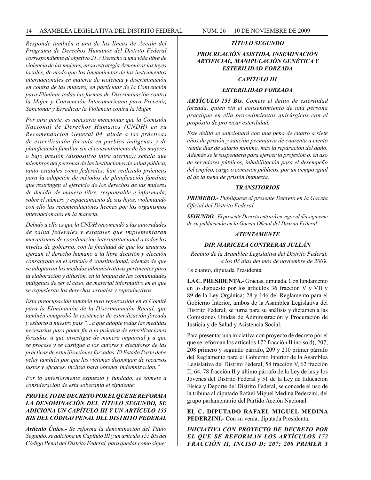*Responde también a una de las líneas de Acción del Programa de Derechos Humanos del Distrito Federal correspondiente al objetivo 21.7 Derecho a una vida libre de violencia de las mujeres, en su estrategia Armonizar las leyes locales, de modo que los lineamientos de los instrumentos internacionales en materia de violencia y discriminación en contra de las mujeres, en particular de la Convención para Eliminar todas las formas de Discriminación contra la Mujer y Convención Interamericana para Prevenir, Sancionar y Erradicar la Violencia contra la Mujer.* 

*Por otra parte, es necesario mencionar que la Comisión Nacional de Derechos Humanos (CNDH) en su Recomendación General 04, alude a las prácticas de esterilización forzada en pueblos indígenas y de planificación familiar sin el consentimiento de las mujeres o bajo presión (dispositivo intra uterino); señala que miembros del personal de las instituciones de salud pública, tanto estatales como federales, han realizado prácticas para la adopción de métodos de planificación familiar, que restringen el ejercicio de los derechos de las mujeres de decidir de manera libre, responsable e informada, sobre el número y espaciamiento de sus hijos, violentando con ello las recomendaciones hechas por los organismos internacionales en la materia.*

*Debido a ello es que la CNDH recomendó a las autoridades de salud federales y estatales que implementaran mecanismos de coordinación interinstitucional a todos los niveles de gobierno, con la finalidad de que los usuarios ejerzan el derecho humano a la libre decisión y elección consagrado en el artículo 4 constitucional, además de que se adoptaran las medidas administrativas pertinentes para la elaboración y difusión, en la lengua de las comunidades indígenas de ser el caso, de material informativo en el que se expusieran los derechos sexuales y reproductivos.*

*Esta preocupación también tuvo repercusión en el Comité para la Eliminación de la Discriminación Racial, que también comprobó la existencia de esterilización forzada y exhortó a nuestro país "...a que adopte todas las medidas necesarias para poner fin a la práctica de esterilizaciones forzadas, a que investigue de manera imparcial y a que se procese y se castigue a los autores y ejecutores de las prácticas de esterilizaciones forzadas. El Estado Parte debe velar también por que las víctimas dispongan de recursos justos y eficaces, incluso para obtener indemnización."*

*Por lo anteriormente expuesto y fundado, se somete a consideración de esta soberanía el siguiente:*

#### *PROYECTO DE DECRETO POR EL QUE SE REFORMA LA DENOMINACIÓN DEL TÍTULO SEGUNDO, SE ADICIONA UN CAPÍTULO III Y UN ARTÍCULO 155 BIS DEL CÓDIGO PENAL DEL DISTRITO FEDERAL*

*Artículo Único.- Se reforma la denominación del Título Segundo, se adiciona un Capítulo III y un artículo 155 Bis del Código Penal del Distrito Federal, para quedar como sigue:*

#### *TÍTULO SEGUNDO*

#### *PROCREACIÓN ASISTIDA, INSEMINACIÓN ARTIFICIAL, MANIPULACIÓN GENÉTICA Y ESTERILIDAD FORZADA*

#### *CAPÍTULO III*

#### *ESTERILIDAD FORZADA*

*ARTÍCULO 155 Bis. Comete el delito de esterilidad forzada, quien sin el consentimiento de una persona practique en ella procedimientos quirúrgicos con el propósito de provocar esterilidad.*

*Este delito se sancionará con una pena de cuatro a siete años de prisión y sanción pecuniaria de cuarenta a ciento veinte días de salario mínimo, más la reparación del daño. Además se le suspenderá para ejercer la profesión o, en aso de servidores públicos, inhabilitación para el desempeño del empleo, cargo o comisión públicos, por un tiempo igual al de la pena de prisión impuesta.*

#### *TRANSITORIOS*

*PRIMERO.- Publíquese el presente Decreto en la Gaceta Oficial del Distrito Federal.*

*SEGUNDO.- El presente Decreto entrará en vigor al día siguiente de su publicación en la Gaceta Oficial del Distrito Federal.*

#### *ATENTAMENTE*

#### *DIP. MARICELA CONTRERAS JULLÁN*

*Recinto de la Asamblea Legislativa del Distrito Federal, a los 03 días del mes de noviembre de 2009.*

Es cuanto, diputada Presidenta

**LA C. PRESIDENTA.-** Gracias, diputada. Con fundamento en lo dispuesto por los artículos 36 fracción V y VII y 89 de la Ley Orgánica; 28 y 146 del Reglamento para el Gobierno Interior, ambos de la Asamblea Legislativa del Distrito Federal, se turna para su análisis y dictamen a las Comisiones Unidas de Administración y Procuración de Justicia y de Salud y Asistencia Social.

Para presentar una iniciativa con proyecto de decreto por el que se reforman los artículos 172 fracción II inciso d), 207, 208 primero y segundo párrafo, 209 y 210 primer párrafo del Reglamento para el Gobierno Interior de la Asamblea Legislativa del Distrito Federal, 58 fracción V, 62 fracción II, 64, 78 fracción II y último párrafo de la Ley de las y los Jóvenes del Distrito Federal y 51 de la Ley de Educación Física y Deporte del Distrito Federal, se concede el uso de la tribuna al diputado Rafael Miguel Medina Pederzini, del grupo parlamentario del Partido Acción Nacional.

**EL C. DIPUTADO RAFAEL MIGUEL MEDINA PEDERZINI.-** Con su venia, diputada Presidenta.

*INICIATIVA CON PROYECTO DE DECRETO POR EL QUE SE REFORMAN LOS ARTÍCULOS 172 FRACCIÓN II, INCISO D; 207; 208 PRIMER Y*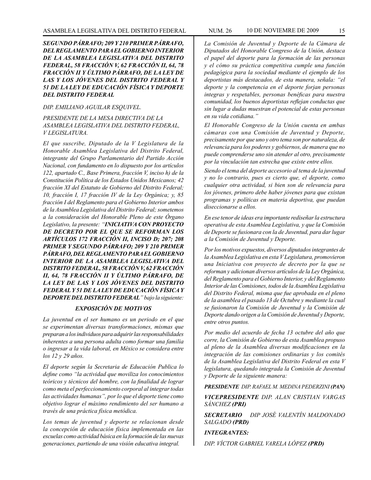*SEGUNDO PÁRRAFO; 209 Y 210 PRIMER PÁRRAFO, DEL REGLAMENTO PARA EL GOBIERNO INTERIOR DE LA ASAMBLEA LEGISLATIVA DEL DISTRITO FEDERAL, 58 FRACCIÓN V, 62 FRACCIÓN II, 64, 78 FRACCIÓN II Y ÚLTIMO PÁRRAFO, DE LA LEY DE LAS Y LOS JÓVENES DEL DISTRITO FEDERAL Y 51 DE LA LEY DE EDUCACIÓN FÍSICA Y DEPORTE DEL DISTRITO FEDERAL*

#### *DIP. EMILIANO AGUILAR ESQUIVEL.*

*PRESIDENTE DE LA MESA DIRECTIVA DE LA ASAMBLEA LEGISLATIVA DEL DISTRITO FEDERAL, V LEGISLATURA.*

*El que suscribe, Diputado de la V Legislatura de la Honorable Asamblea Legislativa del Distrito Federal, integrante del Grupo Parlamentario del Partido Acción Nacional, con fundamento en lo dispuesto por los artículos 122, apartado C., Base Primera, fracción V, inciso h) de la Constitución Política de los Estados Unidos Mexicanos; 42 fracción XI del Estatuto de Gobierno del Distrito Federal; 10, fracción I, 17 fracción IV de la Ley Orgánica; y, 85 fracción I del Reglamento para el Gobierno Interior ambos de la Asamblea Legislativa del Distrito Federal; sometemos a la consideración del Honorable Pleno de este Órgano Legislativo, la presente: "INICIATIVA CON PROYECTO DE DECRETO POR EL QUE SE REFORMAN LOS ARTÍCULOS 172 FRACCIÓN II, INCISO D; 207; 208 PRIMER Y SEGUNDO PÁRRAFO; 209 Y 210 PRIMER PÁRRAFO, DEL REGLAMENTO PARA EL GOBIERNO INTERIOR DE LA ASAMBLEA LEGISLATIVA DEL DISTRITO FEDERAL, 58 FRACCIÓN V, 62 FRACCIÓN II, 64, 78 FRACCIÓN II Y ÚLTIMO PÁRRAFO, DE LA LEY DE LAS Y LOS JÓVENES DEL DISTRITO FEDERAL Y 51 DE LA LEY DE EDUCACIÓN FÍSICA Y DEPORTE DEL DISTRITO FEDERAL" bajo la siguiente:*

#### *EXPOSICIÓN DE MOTIVOS*

*La juventud en el ser humano es un periodo en el que se experimentan diversas transformaciones, mismas que preparan a los individuos para adquirir las responsabilidades inherentes a una persona adulta como formar una familia o ingresar a la vida laboral, en México se considera entre los 12 y 29 años.*

*El deporte según la Secretaria de Educación Publica lo define como "la actividad que moviliza los conocimientos teóricos y técnicos del hombre, con la finalidad de lograr como meta el perfeccionamiento corporal al integrar todas las actividades humanas", por lo que el deporte tiene como objetivo lograr el máximo rendimiento del ser humano a través de una práctica física metódica.*

*Los temas de juventud y deporte se relacionan desde la concepción de educación física implementada en las escuelas como actividad básica en la formación de las nuevas generaciones, partiendo de una visión educativa integral.*

*La Comisión de Juventud y Deporte de la Cámara de Diputados del Honorable Congreso de la Unión, destaca el papel del deporte para la formación de las personas y el cómo su práctica competitiva cumple una función pedagógica para la sociedad mediante el ejemplo de los deportistas más destacados, de esta manera, señala: "el deporte y la competencia en el deporte forjan personas integras y respetables, personas benéficas para nuestra comunidad, los buenos deportistas reflejan conductas que sin lugar a dudas muestran el potencial de estas personas en su vida cotidiana."*

*El Honorable Congreso de la Unión cuenta en ambas cámaras con una Comisión de Juventud y Deporte, precisamente por que uno y otro tema son por naturaleza, de relevancia para los poderes y gobiernos, de manera que no puede comprenderse uno sin atender al otro, precisamente por la vinculación tan estrecha que existe entre ellos.*

*Siendo el tema del deporte accesorio al tema de la juventud y no lo contrario, pues es cierto que, el deporte, como cualquier otra actividad, si bien son de relevancia para los jóvenes, primero debe haber jóvenes para que existan programas y políticas en materia deportiva, que puedan diseccionarse a ellos.*

*En ese tenor de ideas era importante rediseñar la estructura operativa de esta Asamblea Legislativa, y que la Comisión de Deporte se fusionara con la de Juventud, para dar lugar a la Comisión de Juventud y Deporte.* 

*Por los motivos expuestos, diversos diputados integrantes de la Asamblea Legislativa en esta V Legislatura, promovieron una Iniciativa con proyecto de decreto por la que se reforman y adicionan diversos artículos de la Ley Orgánica, del Reglamento para el Gobierno Interior, y del Reglamento Interior de las Comisiones, todos de la Asamblea Legislativa del Distrito Federal, misma que fue aprobada en el pleno de la asamblea el pasado 13 de Octubre y mediante la cual se fusionaron la Comisión de Juventud y la Comisión de Deporte dando origen a la Comisión de Juventud y Deporte, entre otros puntos.*

*Por medio del acuerdo de fecha 13 octubre del año que corre, la Comisión de Gobierno de esta Asamblea propuso al pleno de la Asamblea diversas modificaciones en la integración de las comisiones ordinarias y los comités de la Asamblea Legislativa del Distrito Federal en esta V legislatura, quedando integrada la Comisión de Juventud y Deporte de la siguiente manera:*

*PRESIDENTE DIP. RAFAEL M. MEDINA PEDERZINI (PAN)*

*VICEPRESIDENTE DIP. ALAN CRISTIAN VARGAS SÁNCHEZ (PRI)*

*SECRETARIO DIP JOSÉ VALENTÍN MALDONADO SALGADO (PRD)*

#### *INTEGRANTES:*

*DIP. VÍCTOR GABRIEL VARELA LÓPEZ (PRD)*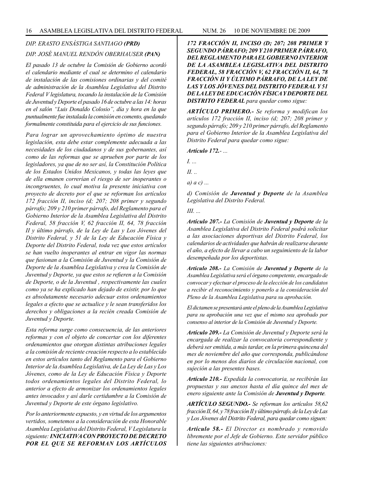#### *DIP. ERASTO ENSÁSTIGA SANTIAGO (PRD)*

#### *DIP. JOSÉ MANUEL RENDÓN OBERHAUSER (PAN)*

*El pasado 13 de octubre la Comisión de Gobierno acordó el calendario mediante el cual se determino el calendario de instalación de las comisiones ordinarias y del comité de administración de la Asamblea Legislativa del Distrito Federal V legislatura, tocando la instalación de la Comisión de Juventud y Deporte el pasado 16 de octubre a las 14: horas en el salón "Luis Donaldo Colosio", día y hora en la que puntualmente fue instalada la comisión en comento, quedando formalmente constituida para el ejercicio de sus funciones.*

*Para lograr un aprovechamiento óptimo de nuestra legislación, esta debe estar complemente adecuada a las necesidades de los ciudadanos y de sus gobernantes, así como de las reformas que se aprueben por parte de los legisladores, ya que de no ser así, la Constitución Política de los Estados Unidos Mexicanos, y todas las leyes que de ella emanen correrían el riesgo de ser inoperantes o incongruentes, lo cual motiva la presente iniciativa con proyecto de decreto por el que se reforman los artículos 172 fracción II, inciso (d; 207; 208 primer y segundo párrafo; 209 y 210 primer párrafo, del Reglamento para el Gobierno Interior de la Asamblea Legislativa del Distrito Federal, 58 fracción V, 62 fracción II, 64, 78 fracción II y último párrafo, de la Ley de Las y Los Jóvenes del Distrito Federal, y 51 de la Ley de Educación Física y Deporte del Distrito Federal, toda vez que estos artículos se han vuelto inoperantes al entrar en vigor las normas que fusionan a la Comisión de Juventud y la Comisión de Deporte de la Asamblea Legislativa y crea la Comisión de Juventud y Deporte, ya que estos se refieren a la Comisión de Deporte, o de la Juventud , respectivamente las cuales como ya se ha explicado han dejado de existir, por lo que es absolutamente necesario adecuar estos ordenamientos legales a efecto que se actualice y le sean transferidos los derechos y obligaciones a la recién creada Comisión de Juventud y Deporte.*

*Esta reforma surge como consecuencia, de las anteriores reformas y con el objeto de concertar con los diferentes ordenamientos que otorgan distintas atribuciones legales a la comisión de reciente creación respecto a lo establecido en estos artículos tanto del Reglamento para el Gobierno Interior de la Asamblea Legislativa, de La Ley de Las y Los Jóvenes, como de la Ley de Educación Física y Deporte todos ordenamientos legales del Distrito Federal, lo anterior a efecto de armonizar los ordenamientos legales antes invocados y así darle certidumbre a la Comisión de Juventud y Deporte de este órgano legislativo.*

*Por lo anteriormente expuesto, y en virtud de los argumentos vertidos, sometemos a la consideración de esta Honorable Asamblea Legislativa del Distrito Federal, V Legislatura la siguiente: INICIATIVA CON PROYECTO DE DECRETO POR EL QUE SE REFORMAN LOS ARTÍCULOS*  *172 FRACCIÓN II, INCISO (D; 207; 208 PRIMER Y SEGUNDO PÁRRAFO; 209 Y 210 PRIMER PÁRRAFO, DEL REGLAMENTO PARA EL GOBIERNO INTERIOR DE LA ASAMBLEA LEGISLATIVA DEL DISTRITO FEDERAL, 58 FRACCIÓN V, 62 FRACCIÓN II, 64, 78 FRACCIÓN II Y ÚLTIMO PÁRRAFO, DE LA LEY DE LAS Y LOS JÓVENES DEL DISTRITO FEDERAL Y 51 DE LA LEY DE EDUCACIÓN FÍSICA Y DEPORTE DEL DISTRITO FEDERAL para quedar como sigue:*

*ARTÍCULO PRIMERO.- Se reforma y modifican los artículos 172 fracción II, inciso (d; 207; 208 primer y segundo párrafo; 209 y 210 primer párrafo, del Reglamento para el Gobierno Interior de la Asamblea Legislativa del Distrito Federal para quedar como sigue:*

*Artículo 172.- ...*

*I. ...*

*II. ..*

*a) a c) ...*

*d) Comisión de Juventud y Deporte de la Asamblea Legislativa del Distríto Federal.*

*III. ...*

*Artículo 207.- La Comisión de Juventud y Deporte de la Asamblea Legislativa del Distrito Federal podrá solicitar a las asociaciones deportivas del Distrito Federal, los calendarios de actividades que habrán de realizarse durante el año, a efecto de llevar a cabo un seguimiento de la labor desempeñada por los deportistas.*

*Artículo 208.- La Comisión de Juventud y Deporte de la Asamblea Legislativa será el órgano competente, encargado de convocar y efectuar el proceso de la elección de los candidatos a recibir el reconocimiento y ponerlo a la consideración del Pleno de la Asamblea Legislativa para su aprobación.*

*El dictamen se presentará ante el pleno de la Asamblea Legislativa para su aprobación una vez que el mismo sea aprobado por consenso al interior de la Comisión de Juventud y Deporte.*

*Artículo 209.- La Comisión de Juventud y Deporte será la encargada de realizar la convocatoria correspondiente y deberá ser emitida, a más tardar, en la primera quincena del mes de noviembre del año que corresponda, publicándose en por lo menos dos diarios de circulación nacional, con sujeción a las presentes bases.*

*Artículo 210.- Expedida la convocatoria, se recibirán las propuestas y sus anexos hasta el día quince del mes de enero siguiente ante la Comisión de Juventud y Deporte.* 

*ARTÍCULO SEGUNDO.- Se reforman los artículos 58,62 fracción II, 64, y 78 fracción II y último párrafo, de la Ley de Las y Los Jóvenes del Distrito Federal, para quedar como siguen:* 

*Artículo 58.- El Director es nombrado y removido libremente por el Jefe de Gobierno. Este servidor público tiene las siguientes atribuciones:*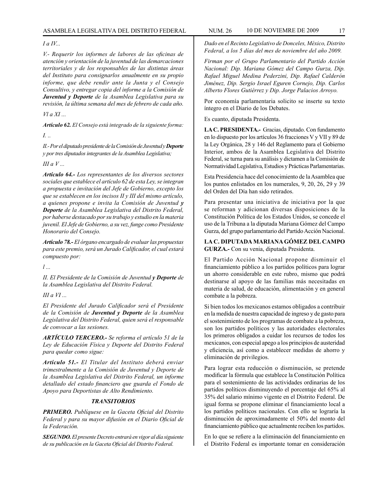#### *I a IV...*

*V.- Requerir los informes de labores de las oficinas de atención y orientación de la juventud de las demarcaciones territoriales y de los responsables de las distintas áreas del Instituto para consignarlos anualmente en su propio informe, que debe rendir ante la Junta y el Consejo Consultivo, y entregar copia del informe a la Comisión de Juventud y Deporte de la Asamblea Legislativa para su revisión, la última semana del mes de febrero de cada año.*

*Vl a XI ...*

*Artículo 62. El Consejo está integrado de la siguiente forma:*

*I. ..*

*II.- Por el diputado presidente de la Comisión de Juventud y Deporte y por tres diputados integrantes de la Asamblea Legislativa;*

*III a V ...*

*Artículo 64.- Los representantes de los diversos sectores sociales que establece el artículo 62 de esta Ley, se integran a propuesta e invitación del Jefe de Gobierno, excepto los que se establecen en los incisos II y III del mismo artículo, a quienes propone e invita la Comisión de Juventud y Deporte de la Asamblea Legislativa del Distrito Federal, por haberse destacado por su trabajo y estudio en la materia juvenil. El Jefe de Gobierno, a su vez, funge como Presidente Honorario del Consejo.*

*Artículo 78.- El órgano encargado de evaluar las propuestas para este premio, será un Jurado Calificador, el cual estará compuesto por:*

*l ...*

*II. El Presidente de la Comisión de Juventud y Deporte de la Asamblea Legislativa del Distrito Federal.*

*III a VI ...*

*El Presidente del Jurado Calificador será el Presidente de la Comisión de Juventud y Deporte de la Asamblea Legislativa del Distrito Federal, quien será el responsable de convocar a las sesiones.*

*ARTÍCULO TERCERO.- Se reforma el artículo 51 de la Ley de Educación Física y Deporte del Distrito Federal para quedar como sigue:*

*Artículo 51.- El Titular del Instituto deberá enviar trimestralmente a la Comisión de Juventud y Deporte de la Asamblea Legislativa del Distrito Federal, un informe detallado del estado financiero que guarda el Fondo de Apoyo para Deportistas de Alto Rendimiento.*

#### *TRANSITORIOS*

*PRIMERO. Publíquese en la Gaceta Oficial del Distrito Federal y para su mayor difusión en el Diario Oficial de la Federación.*

*SEGUNDO. El presente Decreto entrará en vigor al día siguiente de su publicación en la Gaceta Oficial del Distrito Federal.*

*Dado en el Recinto Legislativo de Donceles, México, Distrito Federal, a los 5 días del mes de noviembre del año 2009.*

*Firman por el Grupo Parlamentario del Partido Acción Nacional: Dip. Mariana Gómez del Campo Gurza, Dip. Rafael Miguel Medina Pederzini, Dip. Rafael Calderón Jiménez, Dip. Sergio Israel Eguren Cornejo, Dip. Carlos Alberto Flores Gutiérrez y Dip. Jorge Palacios Arroyo.*

Por economía parlamentaria solicito se inserte su texto íntegro en el Diario de los Debates.

Es cuanto, diputada Presidenta.

**LA C. PRESIDENTA.-** Gracias, diputado. Con fundamento en lo dispuesto por los artículos 36 fracciones V y VII y 89 de la Ley Orgánica, 28 y 146 del Reglamento para el Gobierno Interior, ambos de la Asamblea Legislativa del Distrito Federal, se turna para su análisis y dictamen a la Comisión de Normatividad Legislativa, Estudios y Prácticas Parlamentarias.

Esta Presidencia hace del conocimiento de la Asamblea que los puntos enlistados en los numerales, 9, 20, 26, 29 y 39 del Orden del Día han sido retirados.

Para presentar una iniciativa de iniciativa por la que se reforman y adicionan diversas disposiciones de la Constitución Política de los Estados Unidos, se concede el uso de la Tribuna a la diputada Mariana Gómez del Campo Gurza, del grupo parlamentario del Partido Acción Nacional.

**LA C. DIPUTADA MARIANA GÓMEZ DEL CAMPO GURZA.-** Con su venia, diputada Presidenta.

El Partido Acción Nacional propone disminuir el financiamiento público a los partidos políticos para lograr un ahorro considerable en este rubro, mismo que podrá destinarse al apoyo de las familias más necesitadas en materia de salud, de educación, alimentación y en general combate a la pobreza.

Si bien todos los mexicanos estamos obligados a contribuir en la medida de nuestra capacidad de ingreso y de gasto para el sostenimiento de los programas de combate a la pobreza, son los partidos políticos y las autoridades electorales los primeros obligados a cuidar los recursos de todos los mexicanos, con especial apego a los principios de austeridad y eficiencia, así como a establecer medidas de ahorro y eliminación de privilegios.

Para lograr esta reducción o disminución, se pretende modificar la fórmula que establece la Constitución Política para el sostenimiento de las actividades ordinarias de los partidos políticos disminuyendo el porcentaje del 65% al 35% del salario mínimo vigente en el Distrito Federal. De igual forma se propone eliminar el financiamiento local a los partidos políticos nacionales. Con ello se lograría la disminución de aproximadamente el 50% del monto del financiamiento público que actualmente reciben los partidos.

En lo que se refiere a la eliminación del financiamiento en el Distrito Federal es importante tomar en consideración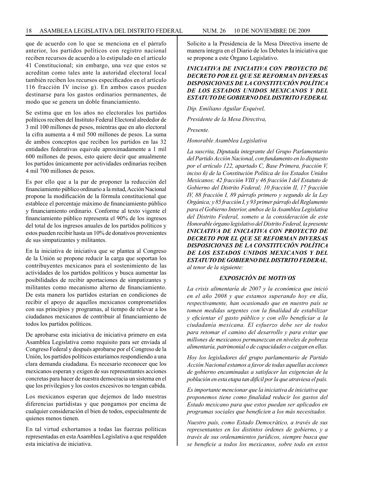que de acuerdo con lo que se menciona en el párrafo anterior, los partidos políticos con registro nacional reciben recursos de acuerdo a lo estipulado en el artículo 41 Constitucional; sin embargo, una vez que estos se acreditan como tales ante la autoridad electoral local también reciben los recursos especificados en el artículo 116 fracción IV inciso g). En ambos casos pueden destinarse para los gastos ordinarios permanentes, de modo que se genera un doble financiamiento.

Se estima que en los años no electorales los partidos políticos reciben del Instituto Federal Electoral alrededor de 3 mil 100 millones de pesos, mientras que en año electoral la cifra aumenta a 4 mil 500 millones de pesos. La suma de ambos conceptos que reciben los partidos en las 32 entidades federativas equivale aproximadamente a 1 mil 600 millones de pesos, esto quiere decir que anualmente los partidos únicamente por actividades ordinarias reciben 4 mil 700 millones de pesos.

Es por ello que a la par de proponer la reducción del financiamiento público ordinario a la mitad, Acción Nacional propone la modificación de la fórmula constitucional que establece el porcentaje máximo de financiamiento público y financiamiento ordinario. Conforme al texto vigente el financiamiento público representa el 90% de los ingresos del total de los ingresos anuales de los partidos políticos y estos pueden recibir hasta un 10% de donativos provenientes de sus simpatizantes y militantes.

En la iniciativa de iniciativa que se plantea al Congreso de la Unión se propone reducir la carga que soportan los contribuyentes mexicanos para el sostenimiento de las actividades de los partidos políticos y busca aumentar las posibilidades de recibir aportaciones de simpatizantes y militantes como mecanismo alterno de financiamiento. De esta manera los partidos estarían en condiciones de recibir el apoyo de aquellos mexicanos comprometidos con sus principios y programas, al tiempo de relevar a los ciudadanos mexicanos de contribuir al financiamiento de todos los partidos políticos.

De aprobarse esta iniciativa de iniciativa primero en esta Asamblea Legislativa como requisito para ser enviada al Congreso Federal y después aprobarse por el Congreso de la Unión, los partidos políticos estaríamos respondiendo a una clara demanda ciudadana. Es necesario reconocer que los mexicanos esperan y exigen de sus representantes acciones concretas para hacer de nuestra democracia un sistema en el que los privilegios y los costos excesivos no tengan cabida.

Los mexicanos esperan que dejemos de lado nuestras diferencias partidistas y que pongamos por encima de cualquier consideración el bien de todos, especialmente de quienes menos tienen.

En tal virtud exhortamos a todas las fuerzas políticas representadas en esta Asamblea Legislativa a que respalden esta iniciativa de iniciativa.

Solicito a la Presidencia de la Mesa Directiva inserte de manera íntegra en el Diario de los Debates la iniciativa que se propone a este Órgano Legislativo.

#### *INICIATIVA DE INICIATIVA CON PROYECTO DE DECRETO POR EL QUE SE REFORMAN DIVERSAS DISPOSICIONES DE LA CONSTITUCIÓN POLÍTICA DE LOS ESTADOS UNIDOS MEXICANOS Y DEL ESTATUTO DE GOBIERNO DEL DISTRITO FEDERAL*

*Dip. Emiliano Aguilar Esquivel,*

*Presidente de la Mesa Directiva,*

*Presente.*

*Honorable Asamblea Legislativa*

*La suscrita, Diputada integrante del Grupo Parlamentario del Partido Acción Nacional, con fundamento en lo dispuesto por el artículo 122, apartado C, Base Primera, fracción V, inciso ñ) de la Constitución Política de los Estados Unidos Mexicanos; 42 fracción VIII y 46 fracción I del Estatuto de Gobierno del Distrito Federal; 10 fracción II, 17 fracción IV, 88 fracción I, 89 párrafo primero y segundo de la Ley Orgánica; y 85 fracción I, y 93 primer párrafo del Reglamento para el Gobierno Interior, ambos de la Asamblea Legislativa del Distrito Federal, someto a la consideración de este Honorable órgano legislativo del Distrito Federal, la presente INICIATIVA DE INICIATIVA CON PROYECTO DE DECRETO POR EL QUE SE REFORMAN DIVERSAS DISPOSICIONES DE LA CONSTITUCIÓN POLÍTICA DE LOS ESTADOS UNIDOS MEXICANOS Y DEL ESTATUTO DE GOBIERNO DEL DISTRITO FEDERAL, al tenor de la siguiente:*

#### *EXPOSICIÓN DE MOTIVOS*

*La crisis alimentaría de 2007 y la económica que inició en el año 2008 y que estamos superando hoy en día, respectivamente, han ocasionado que en nuestro país se tomen medidas urgentes con la finalidad de estabilizar y eficientar el gasto público y con ello beneficiar a la ciudadanía mexicana. El esfuerzo debe ser de todos para retomar el camino del desarrollo y para evitar que millones de mexicanos permanezcan en niveles de pobreza alimentaría, patrimonial o de capacidades o caigan en ellas.*

*Hoy los legisladores del grupo parlamentario de Partido Acción Nacional estamos a favor de todas aquellas acciones de gobierno encaminadas a satisfacer las exigencias de la población en esta etapa tan difícil por la que atraviesa el país.*

*Es importante mencionar que la iniciativa de iniciativa que proponemos tiene como finalidad reducir los gastos del Estado mexicano para que estos puedan ser aplicados en programas sociales que beneficien a los más necesitados.*

*Nuestro país, como Estado Democrático, a través de sus representantes en los distintos órdenes de gobierno, y a través de sus ordenamientos jurídicos, siempre busca que se beneficie a todos los mexicanos, sobre todo en estos*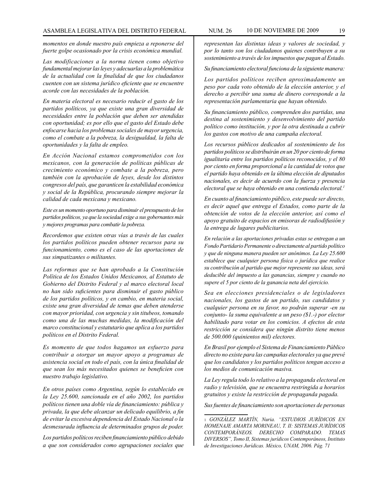*momentos en donde nuestro país empieza a reponerse del fuerte golpe ocasionado por la crisis económica mundial.*

*Las modificaciones a la norma tienen como objetivo fundamental mejorar las leyes y adecuarlas a la problemática de la actualidad con la finalidad de que los ciudadanos cuenten con un sistema jurídico eficiente que se encuentre acorde con las necesidades de la población.*

*En materia electoral es necesario reducir el gasto de los partidos políticos, ya que existe una gran diversidad de necesidades entre la población que deben ser atendidas con oportunidad; es por ello que el gasto del Estado debe enfocarse hacia los problemas sociales de mayor urgencia, como el combate a la pobreza, la desigualdad, la falta de oportunidades y la falta de empleo.*

*En Acción Nacional estamos comprometidos con los mexicanos, con la generación de políticas públicas de crecimiento económico y combate a la pobreza, pero también con la aprobación de leyes, desde los distintos congresos del país, que garanticen la estabilidad económica y social de la República, procurando siempre mejorar la calidad de cada mexicana y mexicano.*

*Este es un momento oportuno para disminuir el presupuesto de los partidos políticos, ya que la sociedad exige a sus gobernantes más y mejores programas para combatir la pobreza.*

*Recordemos que existen otras vías a través de las cuales los partidos políticos pueden obtener recursos para su funcionamiento, como es el caso de las aportaciones de sus simpatizantes o militantes.*

*Las reformas que se han aprobado a la Constitución Política de los Estados Unidos Mexicanos, al Estatuto de Gobierno del Distrito Federal y al marco electoral local no han sido suficientes para disminuir el gasto público de los partidos políticos, y en cambio, en materia social, existe una gran diversidad de temas que deben atenderse con mayor prioridad, con urgencia y sin titubeos, tomando como una de las muchas medidas, la modificación del marco constitucional y estatutario que aplica a los partidos políticos en el Distrito Federal.*

*Es momento de que todos hagamos un esfuerzo para contribuir a otorgar un mayor apoyo a programas de asistencia social en todo el país, con la única finalidad de que sean los más necesitados quienes se beneficien con nuestro trabajo legislativo.* 

*En otros países como Argentina, según lo establecido en la Ley 25.600, sancionada en el año 2002, los partidos políticos tienen una doble vía de financiamiento: pública y privada, la que debe alcanzar un delicado equilibrio, a fin de evitar la excesiva dependencia del Estado Nacional o la desmesurada influencia de determinados grupos de poder.* 

*Los partidos políticos reciben financiamiento público debido a que son considerados como agrupaciones sociales que*  *representan las distintas ideas y valores de sociedad, y por lo tanto son los ciudadanos quienes contribuyen a su sostenimiento a través de los impuestos que pagan al Estado.*

*Su financiamiento electoral funciona de la siguiente manera:* 

*Los partidos políticos reciben aproximadamente un peso por cada voto obtenido de la elección anterior, y el derecho a percibir una suma de dinero corresponde a la representación parlamentaria que hayan obtenido.*

*Su financiamiento público, comprenden dos partidas, una destina al sostenimiento y desenvolvimiento del partido político como institución, y por la otra destinada a cubrir los gastos con motivo de una campaña electoral.*

*Los recursos públicos dedicados al sostenimiento de los partidos políticos se distribuirán en un 20 por ciento de forma igualitaria entre los partidos políticos reconocidos, y el 80 por ciento en forma proporcional a la cantidad de votos que el partido haya obtenido en la última elección de diputados nacionales, es decir de acuerdo con la fuerza y presencia electoral que se haya obtenido en una contienda electoral.1*

*En cuanto al financiamiento público, este puede ser directo, es decir aquel que entrega el Estados, como parte de la obtención de votos de la elección anterior, así como el apoyo gratuito de espacios en emisoras de radiodifusión y la entrega de lugares publicitarios.*

*En relación a las aportaciones privadas estas se entregan a un Fondo Partidario Permanente o directamente al partido político y que de ninguna manera pueden ser anónimos. La Ley 25.600 establece que cualquier persona física o jurídica que realice su contribución al partido que mejor represente sus ideas, será deducible del impuesto a las ganancias, siempre y cuando no supere el 5 por ciento de la ganancia neta del ejercicio.*

*Sea en elecciones presidenciales o de legisladores nacionales, los gastos de un partido, sus candidatos y cualquier persona en su favor, no podrán superar -en su conjunto- la suma equivalente a un peso (\$1.-) por elector habilitado para votar en los comicios. A efectos de esta restricción se considera que ningún distrito tiene menos de 500.000 (quinientos mil) electores.*

*En Brasil por ejemplo el Sistema de Financiamiento Público directo no existe para las campañas electorales ya que prevé que los candidatos y los partidos políticos tengan acceso a los medios de comunicación masiva.*

*La Ley regula todo lo relativo a la propaganda electoral en radio y televisión, que se encuentra restringida a horarios gratuitos y existe la restricción de propaganda pagada.*

*Sus fuentes de financiamiento son aportaciones de personas* 

<sup>1</sup> *GONZÁLEZ MARTÍN, Nuria. "ESTUDIOS JURÍDICOS EN HOMENAJE AMARTA MORINEAU, T. II: SISTEMAS JURÍDICOS CONTEMPORÁNEOS. DERECHO COMPARADO. TEMAS DIVERSOS", Tomo II, Sistemas jurídicos Contemporáneos, Instituto de Investigaciones Jurídicas. México, UNAM, 2006. Pág. 71*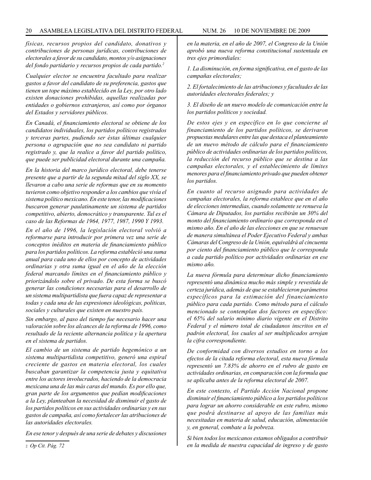*físicas, recursos propios del candidato, donativos y contribuciones de personas jurídicas, contribuciones de electorales a favor de su candidato, montos y/o asignaciones del fondo partidario y recursos propios de cada partido.2*

*Cualquier elector se encuentra facultado para realizar gastos a favor del candidato de su preferencia, gastos que tienen un tope máximo establecido en la Ley, por otro lado existen donaciones prohibidas, aquellas realizadas por entidades o gobiernos extranjeros, así como por órganos del Estados y servidores públicos.*

*En Canadá, el financiamiento electoral se obtiene de los candidatos individuales, los partidos políticos registrados y terceras partes, pudiendo ser éstas últimas cualquier persona o agrupación que no sea candidato ni partido registrado y, que la realice a favor del partido político, que puede ser publicidad electoral durante una campaña.*

*En la historia del marco jurídico electoral, debe tenerse presente que a partir de la segunda mitad del siglo XX, se llevaron a cabo una serie de reformas que en su momento tuvieron como objetivo responder a los cambios que vivía el sistema político mexicano. En este tenor, las modificaciones buscaron generar paulatinamente un sistema de partidos competitivo, abierto, democrático y transparente. Tal es el caso de las Reformas de 1964, 1977, 1987, 1990 Y 1993.*

*En el año de 1996, la legislación electoral volvió a reformarse para introducir por primera vez una serie de conceptos inéditos en materia de financiamiento público para los partidos políticos. La reforma estableció una suma anual para cada uno de ellos por concepto de actividades ordinarias y otra suma igual en el año de la elección federal marcando límites en el financiamiento público y priorizándolo sobre el privado. De esta forma se buscó generar las condiciones necesarias para el desarrollo de un sistema multipartidista que fuera capaz de representar a todas y cada una de las expresiones ideológicas, políticas, sociales y culturales que existen en nuestro país.*

*Sin embargo, al paso del tiempo fue necesario hacer una valoración sobre los alcances de la reforma de 1996, como resultado de la reciente alternancia política y la apertura en el sistema de partidos.*

*El cambio de un sistema de partido hegemónico a un sistema multipartidista competitivo, generó una espiral creciente de gastos en materia electoral, los cuales buscaban garantizar la competencia justa y equitativa entre los actores involucrados, haciendo de la democracia mexicana una de las más caras del mundo. Es por ello que, gran parte de los argumentos que pedían modificaciones a la Ley, planteaban la necesidad de disminuir el gasto de los partidos políticos en sus actividades ordinarias y en sus gastos de campaña, así como fortalecer las atribuciones de las autoridades electorales.*

*En ese tenor y después de una serie de debates y discusiones* 

*1. La disminución, en forma significativa, en el gasto de las campañas electorales;*

*2. El fortalecimiento de las atribuciones y facultades de las autoridades electorales federales; y* 

*3. El diseño de un nuevo modelo de comunicación entre la los partidos políticos y sociedad.*

*De estos ejes y en específico en lo que concierne al financiamiento de los partidos políticos, se derivaron propuestas medulares entre las que destaca el planteamiento de un nuevo método de cálculo para el financiamiento público de actividades ordinarias de los partidos políticos, la reducción del recurso público que se destina a las campañas electorales, y el establecimiento de límites menores para el financiamiento privado que pueden obtener los partidos.*

*En cuanto al recurso asignado para actividades de campañas electorales, la reforma establece que en el año de elecciones intermedias, cuando solamente se renueva la Cámara de Diputados, los partidos recibirán un 30% del monto del financiamiento ordinario que corresponda en el mismo año. En el año de las elecciones en que se renuevan de manera simultánea el Poder Ejecutivo Federal y ambas Cámaras del Congreso de la Unión, equivaldrá al cincuenta por ciento del financiamiento público que le corresponda a cada partido político por actividades ordinarias en ese mismo año.*

*La nueva fórmula para determinar dicho financiamiento representó una dinámica mucho más simple y revestida de certeza jurídica, además de que se establecieron parámetros específicos para la estimación del financiamiento público para cada partido. Como método para el cálculo mencionado se contemplan dos factores en específico: el 65% del salario mínimo diario vigente en el Distrito Federal y el número total de ciudadanos inscritos en el padrón electoral, los cuales al ser multiplicados arrojan la cifra correspondiente.*

*De conformidad con diversos estudios en torno a los efectos de la citada reforma electoral, esta nueva fórmula representó un 7.83% de ahorro en el rubro de gasto en actividades ordinarias, en comparación con la formula que se aplicaba antes de la reforma electoral de 2007.*

*En este contexto, el Partido Acción Nacional propone disminuir el financiamiento público a los partidos políticos para lograr un ahorro considerable en este rubro, mismo que podrá destinarse al apoyo de las familias más necesitadas en materia de salud, educación, alimentación y, en general, combate a la pobreza.*

*Si bien todos los mexicanos estamos obligados a contribuir en la medida de nuestra capacidad de ingreso y de gasto* 

*en la materia, en el año de 2007, el Congreso de la Unión aprobó una nueva reforma constitucional sustentada en tres ejes primordiales:* 

<sup>2</sup> *Op Cit. Pág. 72*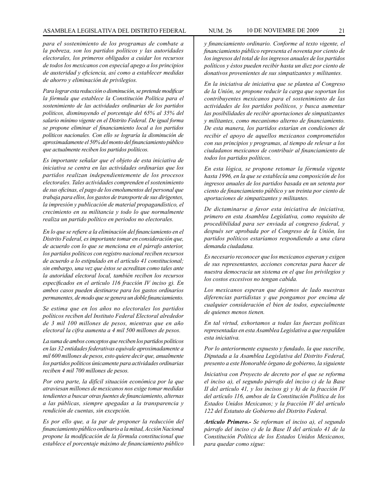*para el sostenimiento de los programas de combate a la pobreza, son los partidos políticos y las autoridades electorales, los primeros obligados a cuidar los recursos de todos los mexicanos con especial apego a los principios de austeridad y eficiencia, así como a establecer medidas de ahorro y eliminación de privilegios.*

*Para lograr esta reducción o disminución, se pretende modificar la fórmula que establece la Constitución Política para el sostenimiento de las actividades ordinarias de los partidos políticos, disminuyendo el porcentaje del 65% al 35% del salario mínimo vigente en el Distrito Federal. De igual forma se propone eliminar el financiamiento local a los partidos políticos nacionales. Con ello se lograría la disminución de aproximadamente el 50% del monto del financiamiento público que actualmente reciben los partidos políticos.*

*Es importante señalar que el objeto de esta iniciativa de iniciativa se centra en las actividades ordinarias que los partidos realizan independientemente de los procesos electorales. Tales actividades comprenden el sostenimiento de sus oficinas, el pago de los emolumentos del personal que trabaja para ellos, los gastos de transporte de sus dirigentes, la impresión y publicación de material propagandístico, el crecimiento en su militancia y todo lo que normalmente realiza un partido político en periodos no electorales.*

*En lo que se refiere a la eliminación del financiamiento en el Distrito Federal, es importante tomar en consideración que, de acuerdo con lo que se menciona en el párrafo anterior, los partidos políticos con registro nacional reciben recursos de acuerdo a lo estipulado en el artículo 41 constitucional; sin embargo, una vez que éstos se acreditan como tales ante la autoridad electoral local, también reciben los recursos especificados en el artículo 116 fracción IV inciso g). En ambos casos pueden destinarse para los gastos ordinarios permanentes, de modo que se genera un doble financiamiento.*

*Se estima que en los años no electorales los partidos políticos reciben del Instituto Federal Electoral alrededor de 3 mil 100 millones de pesos, mientras que en año electoral la cifra aumenta a 4 mil 500 millones de pesos.*

*La suma de ambos conceptos que reciben los partidos políticos en las 32 entidades federativas equivale aproximadamente a mil 600 millones de pesos, esto quiere decir que, anualmente los partidos políticos únicamente para actividades ordinarias reciben 4 mil 700 millones de pesos.*

*Por otra parte, la difícil situación económica por la que atraviesan millones de mexicanos nos exige tomar medidas tendientes a buscar otras fuentes de financiamiento, alternas a las públicas, siempre apegadas a la transparencia y rendición de cuentas, sin excepción.*

*Es por ello que, a la par de proponer la reducción del financiamiento público ordinario a la mitad, Acción Nacional propone la modificación de la fórmula constitucional que establece el porcentaje máximo de financiamiento público* 

*y financiamiento ordinario. Conforme al texto vigente, el financiamiento público representa el noventa por ciento de los ingresos del total de los ingresos anuales de los partidos políticos y éstos pueden recibir hasta un diez por ciento de donativos provenientes de sus simpatizantes y militantes.*

*En la iniciativa de iniciativa que se plantea al Congreso de la Unión, se propone reducir la carga que soportan los contribuyentes mexicanos para el sostenimiento de las actividades de los partidos políticos, y busca aumentar las posibilidades de recibir aportaciones de simpatizantes y militantes, como mecanismo alterno de financiamiento. De esta manera, los partidos estarían en condiciones de recibir el apoyo de aquellos mexicanos comprometidos con sus principios y programas, al tiempo de relevar a los ciudadanos mexicanos de contribuir al financiamiento de todos los partidos políticos.*

*En esta lógica, se propone retomar la fórmula vigente hasta 1996, en la que se establecía una composición de los ingresos anuales de los partidos basada en un setenta por ciento de financiamiento público y un treinta por ciento de aportaciones de simpatizantes y militantes.*

*De dictaminarse a favor esta iniciativa de iniciativa, primero en esta Asamblea Legislativa, como requisito de procedibilidad para ser enviada al congreso federal, y después ser aprobada por el Congreso de la Unión, los partidos políticos estaríamos respondiendo a una clara demanda ciudadana.*

*Es necesario reconocer que los mexicanos esperan y exigen de sus representantes, acciones concretas para hacer de nuestra democracia un sistema en el que los privilegios y los costos excesivos no tengan cabida.*

*Los mexicanos esperan que dejemos de lado nuestras diferencias partidistas y que pongamos por encima de cualquier consideración el bien de todos, especialmente de quienes menos tienen.*

*En tal virtud, exhortamos a todas las fuerzas políticas representadas en esta Asamblea Legislativa a que respalden esta iniciativa.*

*Por lo anteriormente expuesto y fundado, la que suscribe, Diputada a la Asamblea Legislativa del Distrito Federal, presento a este Honorable órgano de gobierno, la siguiente*

*Iniciativa con Proyecto de decreto por el que se reforma el inciso a), el segundo párrafo del inciso c) de la Base II del artículo 41, y los incisos g) y h) de la fracción IV del artículo 116, ambos de la Constitución Política de los Estados Unidos Mexicanos; y la fracción IV del artículo 122 del Estatuto de Gobierno del Distrito Federal.*

*Artículo Primero.- Se reforman el inciso a), el segundo párrafo del inciso c) de la Base II del artículo 41 de la Constitución Política de los Estados Unidos Mexicanos, para quedar como sigue:*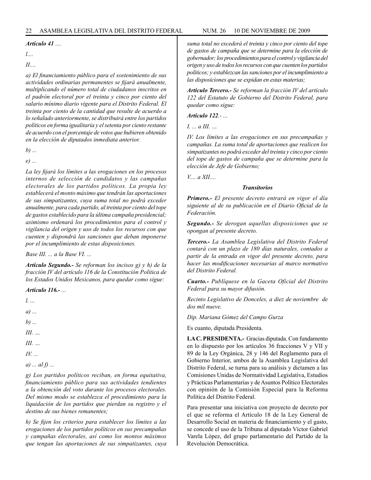#### *Artículo 41 ....*

*l....*

*II....*

*a) El financiamiento público para el sostenimiento de sus actividades ordinarias permanentes se fijará anualmente, multiplicando el número total de ciudadanos inscritos en el padrón electoral por el treinta y cinco por ciento del salario mínimo diario vigente para el Distrito Federal. El treinta por ciento de la cantidad que resulte de acuerdo a lo señalado anteriormente, se distribuirá entre los partidos políticos en forma igualitaria y el setenta por ciento restante de acuerdo con el porcentaje de votos que hubieren obtenido en la elección de diputados inmediata anterior.*

*b) ...*

*e) ...*

*La ley fijará los límites a las erogaciones en los procesos internos de selección de candidatos y las campañas electorales de los partidos políticos. La propia ley establecerá el monto máximo que tendrán las aportaciones de sus simpatizantes, cuya suma total no podrá exceder anualmente, para cada partido, al treinta por ciento del tope de gastos establecido para la última campaña presidencial; asimismo ordenará los procedimientos para el control y vigilancia del origen y uso de todos los recursos con que cuenten y dispondrá las sanciones que deban imponerse por el incumplimiento de estas disposiciones.*

*Base III. ... a la Base VI. ...*

*Artículo Segundo.- Se reforman los incisos g) y h) de la fracción IV del artículo 116 de la Constitución Política de los Estados Unidos Mexicanos, para quedar como sigue:*

*Artículo 116.- ...*

*l. ... a) ... b) ... III. … III. … IV. ... a) ... al f) ... g) Los partidos políticos reciban, en forma equitativa,* 

*financiamiento público para sus actividades tendientes a la obtención del voto durante los procesos electorales. Del mismo modo se establezca el procedimiento para la liquidación de los partidos que pierdan su registro y el destino de sus bienes remanentes;*

*h) Se fijen los criterios para establecer los límites a las erogaciones de los partidos políticos en sus precampañas y campañas electorales, así como los montos máximos que tengan las aportaciones de sus simpatizantes, cuya*  *suma total no excederá el treinta y cinco por ciento del tope de gastos de campaña que se determine para la elección de gobernador; los procedimientos para el control y vigilancia del origen y uso de todos los recursos con que cuenten los partidos políticos; y establezcan las sanciones por el incumplimiento a las disposiciones que se expidan en estas materias;*

*Artículo Tercero.- Se reforman la fracción IV del artículo 122 del Estatuto de Gobierno del Distrito Federal, para quedar como sigue:*

*Artículo 122.- ...*

*I. ... a III. …*

*IV. Los límites a las erogaciones en sus precampañas y campañas. La suma total de aportaciones que realicen los simpatizantes no podrá exceder del treinta y cinco por ciento del tope de gastos de campaña que se determine para la elección de Jefe de Gobierno;*

*V.... a XII....*

#### *Transitorios*

*Primero.- El presente decreto entrará en vigor el día siguiente al de su publicación en el Diario Oficial de la Federación.*

*Segundo.- Se derogan aquellas disposiciones que se opongan al presente decreto.*

*Tercero.- La Asamblea Legislativa del Distrito Federal contará con un plazo de 180 días naturales, contados a partir de la entrada en vigor del presente decreto, para hacer las modificaciones necesarias al marco normativo del Distrito Federal.*

*Cuarto.- Publíquese en la Gaceta Oficial del Distrito Federal para su mayor difusión.*

*Recinto Legislativo de Donceles, a diez de noviembre de dos mil nueve.*

*Dip. Mariana Gómez del Campo Gurza*

Es cuanto, diputada Presidenta.

**LA C. PRESIDENTA.-** Gracias diputada. Con fundamento en lo dispuesto por los artículos 36 fracciones V y VII y 89 de la Ley Orgánica, 28 y 146 del Reglamento para el Gobierno Interior, ambos de la Asamblea Legislativa del Distrito Federal, se turna para su análisis y dictamen a las Comisiones Unidas de Normatividad Legislativa, Estudios y Prácticas Parlamentarias y de Asuntos Político Electorales con opinión de la Comisión Especial para la Reforma Política del Distrito Federal.

Para presentar una iniciativa con proyecto de decreto por el que se reforma el Artículo 18 de la Ley General de Desarrollo Social en materia de financiamiento y el gasto, se concede el uso de la Tribuna al diputado Víctor Gabriel Varela López, del grupo parlamentario del Partido de la Revolución Democrática.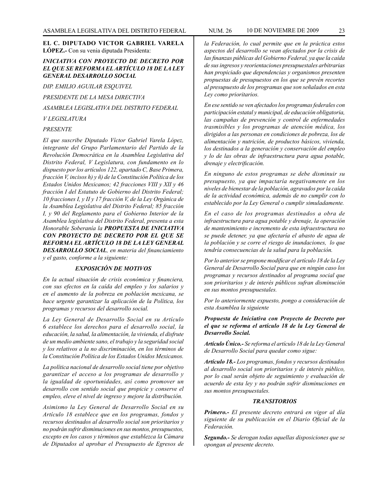#### **EL C. DIPUTADO VICTOR GABRIEL VARELA LÓPEZ.-** Con su venia diputada Presidenta:

#### *INICIATIVA CON PROYECTO DE DECRETO POR EL QUE SE REFORMA EL ARTÍCULO 18 DE LA LEY GENERAL DESARROLLO SOCIAL*

*DIP. EMILIO AGUILAR ESQUIVEL*

*PRESIDENTE DE LA MESA DIRECTIVA*

*ASAMBLEA LEGISLATIVA DEL DISTRITO FEDERAL*

*V LEGISLATURA*

#### *PRESENTE*

*El que suscribe Diputado Víctor Gabriel Varela López, integrante del Grupo Parlamentario del Partido de la Revolución Democrática en la Asamblea Legislativa del Distrito Federal, V Legislatura, con fundamento en lo dispuesto por los artículos 122, apartado C, Base Primera, fracción V, incisos h) y ñ) de la Constitución Política de los Estados Unidos Mexicanos; 42 fracciones VIII y XII y 46 fracción I del Estatuto de Gobierno del Distrito Federal; 10 fracciones I, y II y 17 fracción V, de la Ley Orgánica de la Asamblea Legislativa del Distrito Federal; 85 fracción I, y 90 del Reglamento para el Gobierno Interior de la Asamblea legislativa del Distrito Federal, presenta a esta Honorable Soberanía la PROPUESTA DE INICIATIVA CON PROYECTO DE DECRETO POR EL QUE SE REFORMA EL ARTÍCULO 18 DE LA LEY GENERAL DESARROLLO SOCIAL, en materia del financiamiento y el gasto, conforme a la siguiente:*

#### *EXPOSICIÓN DE MOTIVOS*

*En la actual situación de crisis económica y financiera, con sus efectos en la caída del empleo y los salarios y en el aumento de la pobreza en población mexicana, se hace urgente garantizar la aplicación de la Política, los programas y recursos del desarrollo social.*

*La Ley General de Desarrollo Social en su Artículo 6 establece los derechos para el desarrollo social, la educación, la salud, la alimentación, la vivienda, el disfrute de un medio ambiente sano, el trabajo y la seguridad social y los relativos a la no discriminación, en los términos de la Constitución Política de los Estados Unidos Mexicanos.*

*La política nacional de desarrollo social tiene por objetivo garantizar el acceso a los programas de desarrollo y la igualdad de oportunidades, así como promover un desarrollo con sentido social que propicie y conserve el empleo, eleve el nivel de ingreso y mejore la distribución.*

*Asimismo la Ley General de Desarrollo Social en su Artículo 18 establece que en los programas, fondos y recursos destinados al desarrollo social son prioritarios y no podrán sufrir disminuciones en sus montos, presupuestos, excepto en los casos y términos que establezca la Cámara de Diputados al aprobar el Presupuesto de Egresos de* 

*la Federación, lo cual permite que en la práctica estos aspectos del desarrollo se vean afectados por la crisis de las finanzas públicas del Gobierno Federal, ya que la caída de sus ingresos y reorientaciones presupuestales arbitrarias han propiciado que dependencias y organismos presenten propuestas de presupuestos en los que se prevén recortes al presupuesto de los programas que son señalados en esta Ley como prioritarios.*

*En ese sentido se ven afectados los programas federales con participación estatal y municipal, de educación obligatoria, las campañas de prevención y control de enfermedades trasmisibles y los programas de atención médica, los dirigidos a las personas en condiciones de pobreza, los de alimentación y nutrición, de productos básicos, vivienda, los destinados a la generación y conservación del empleo y lo de las obras de infraestructura para agua potable, drenaje y electrificación.*

*En ninguno de estos programas se debe disminuir su presupuesto, ya que impactaría negativamente en los niveles de bienestar de la población, agravados por la caída de la actividad económica, además de no cumplir con lo establecido por la Ley General o cumplir simuladamente.*

*En el caso de los programas destinados a obra de infraestructura para agua potable y drenaje, la operación de mantenimiento e incremento de esta infraestructura no se puede detener, ya que afectaría el abasto de agua de la población y se corre el riesgo de inundaciones, lo que tendría consecuencias de la salud para la población.*

*Por lo anterior se propone modificar el artículo 18 de la Ley General de Desarrollo Social para que en ningún caso los programas y recursos destinados al programa social que son prioritarios y de interés públicos sufran disminución en sus montos presupuestales.*

*Por lo anteriormente expuesto, pongo a consideración de esta Asamblea la siguiente* 

*Propuesta de Iniciativa con Proyecto de Decreto por el que se reforma el artículo 18 de la Ley General de Desarrollo Social.*

*Artículo Único.- Se reforma el artículo 18 de la Ley General de Desarrollo Social para quedar como sigue:* 

*Artículo 18.- Los programas, fondos y recursos destinados al desarrollo social son prioritarios y de interés público, por lo cual serán objeto de seguimiento y evaluación de acuerdo de esta ley y no podrán sufrir disminuciones en sus montos presupuestales.*

#### *TRANSITORIOS*

*Primero.- El presente decreto entrará en vigor al día siguiente de su publicación en el Diario Oficial de la Federación.*

*Segundo.- Se derogan todas aquellas disposiciones que se opongan al presente decreto.*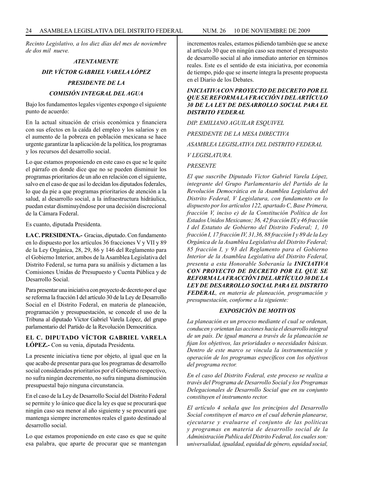*Recinto Legislativo, a los diez días del mes de noviembre de dos mil nueve.*

### *ATENTAMENTE DIP. VÍCTOR GABRIEL VARELA LÓPEZ PRESIDENTE DE LA COMISIÓN INTEGRAL DEL AGUA*

Bajo los fundamentos legales vigentes expongo el siguiente punto de acuerdo:

En la actual situación de crisis económica y financiera con sus efectos en la caída del empleo y los salarios y en el aumento de la pobreza en población mexicana se hace urgente garantizar la aplicación de la política, los programas y los recursos del desarrollo social.

Lo que estamos proponiendo en este caso es que se le quite el párrafo en donde dice que no se pueden disminuir los programas prioritarios de un año en relación con el siguiente, salvo en el caso de que así lo decidan los diputados federales, lo que da pie a que programas prioritarios de atención a la salud, al desarrollo social, a la infraestructura hidráulica, puedan estar disminuyéndose por una decisión discrecional de la Cámara Federal.

Es cuanto, diputada Presidenta.

**LA C. PRESIDENTA.-** Gracias, diputado. Con fundamento en lo dispuesto por los artículos 36 fracciones V y VII y 89 de la Ley Orgánica, 28, 29, 86 y 146 del Reglamento para el Gobierno Interior, ambos de la Asamblea Legislativa del Distrito Federal, se turna para su análisis y dictamen a las Comisiones Unidas de Presupuesto y Cuenta Pública y de Desarrollo Social.

Para presentar una iniciativa con proyecto de decreto por el que se reforma la fracción I del artículo 30 de la Ley de Desarrollo Social en el Distrito Federal, en materia de planeación, programación y presupuestación, se concede el uso de la Tribuna al diputado Víctor Gabriel Varela López, del grupo parlamentario del Partido de la Revolución Democrática.

#### **EL C. DIPUTADO VÍCTOR GABRIEL VARELA LÓPEZ.-** Con su venia, diputada Presidenta.

La presente iniciativa tiene por objeto, al igual que en la que acabo de presentar para que los programas de desarrollo social considerados prioritarios por el Gobierno respectivo, no sufra ningún decremento, no sufra ninguna disminución presupuestal bajo ninguna circunstancia.

En el caso de la Ley de Desarrollo Social del Distrito Federal se permite y lo único que dice la ley es que se procurará que ningún caso sea menor al año siguiente y se procurará que mantenga siempre incrementos reales el gasto destinado al desarrollo social.

Lo que estamos proponiendo en este caso es que se quite esa palabra, que aparte de procurar que se mantengan incrementos reales, estamos pidiendo también que se anexe al artículo 30 que en ningún caso sea menor el presupuesto de desarrollo social al año inmediato anterior en términos reales. Este es el sentido de esta iniciativa, por economía de tiempo, pido que se inserte íntegra la presente propuesta en el Diario de los Debates.

#### *INICIATIVA CON PROYECTO DE DECRETO POR EL QUE SE REFORMA LA FRACCIÓN I DEL ARTÍCULO 30 DE LA LEY DE DESARROLLO SOCIAL PARA EL DISTRITO FEDERAL*

*DIP. EMILIANO AGUILAR ESQUIVEL*

*PRESIDENTE DE LA MESA DIRECTIVA*

*ASAMBLEA LEGISLATIVA DEL DISTRITO FEDERAL*

*V LEGISLATURA.*

*PRESENTE*

*El que suscribe Diputado Víctor Gabriel Varela López, integrante del Grupo Parlamentario del Partido de la Revolución Democrática en la Asamblea Legislativa del Distrito Federal, V Legislatura, con fundamento en lo dispuesto por los artículos 122, apartado C, Base Primera, fracción V, inciso e) de la Constitución Política de los Estados Unidos Mexicanos; 36, 42 fracción IX y 46 fracción I del Estatuto de Gobierno del Distrito Federal; 1, 10 fracción I, 17 fracción IV, 31,36, 88 fracción I y 89 de la Ley Orgánica de la Asamblea Legislativa del Distrito Federal; 85 fracción I, y 93 del Reglamento para el Gobierno Interior de la Asamblea Legislativa del Distrito Federal, presenta a esta Honorable Soberanía la INICIATIVA CON PROYECTO DE DECRETO POR EL QUE SE REFORMA LA FRACCIÓN I DEL ARTÍCULO 30 DE LA LEY DE DESARROLLO SOCIAL PARA EL DISTRITO FEDERAL, en materia de planeación, programación y presupuestación, conforme a la siguiente:*

#### *EXPOSICIÓN DE MOTIVOS*

*La planeación es un proceso mediante el cual se ordenan, conducen y orientan las acciones hacia el desarrollo integral de un país. De igual manera a través de la planeación se fijan los objetivos, las prioridades o necesidades básicas. Dentro de este marco se vincula la instrumentación y operación de los programas específicos con los objetivos del programa rector.*

*En el caso del Distrito Federal, este proceso se realiza a través del Programa de Desarrollo Social y los Programas Delegacionales de Desarrollo Social que en su conjunto constituyen el instrumento rector.*

*El artículo 4 señala que los principios del Desarrollo Social constituyen el marco en el cual deberán planearse, ejecutarse y evaluarse el conjunto de las políticas y programas en materia de desarrollo social de la Administración Publica del Distrito Federal, los cuales son: universalidad, igualdad, equidad de género, equidad social,*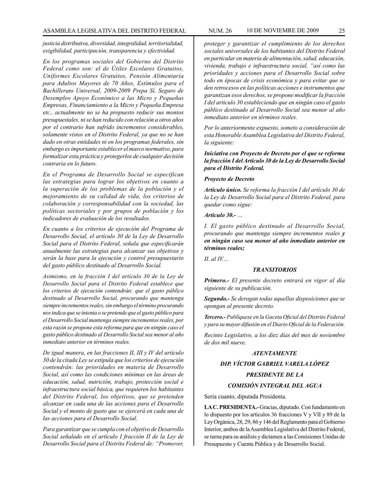*justicia distributiva, diversidad, integralidad, territorialidad, exigibilidad, participación, transparencia y efectividad.*

*En los programas sociales del Gobierno del Distrito Federal como son: el de Útiles Escolares Gratuitos, Uniformes Escolares Gratuitos, Pensión Alimentaría para Adultos Mayores de 70 Años, Estímulos para el Bachillerato Universal, 2009-2009 Prepa Sí, Seguro de Desempleo Apoyo Económico a las Micro y Pequeñas Empresas, Financiamiento a la Micro y Pequeña Empresa etc., actualmente no se ha propuesto reducir sus montos presupuestales, ni se han reducido con relación a otros años por el contrario han sufrido incrementos considerables, solamente vistos en el Distrito Federal, ya que no se han dado en otras entidades ni en los programas federales, sin embargo es importante establecer el marco normativo, para formalizar esta práctica y protegerlos de cualquier decisión contraria en lo futuro.*

*En el Programa de Desarrollo Social se especifican las estrategias para lograr los objetivos en cuanto a la superación de los problemas de la población y el mejoramiento de su calidad de vida, los criterios de colaboración y corresponsabilidad con la sociedad, las políticas sectoriales y por grupos de población y los indicadores de evaluación de los resultados.*

*En cuanto a los criterios de ejecución del Programa de Desarrollo Social, el artículo 30 de la Ley de Desarrollo Social para el Distrito Federal, señala que especificarán anualmente las estrategias para alcanzar sus objetivos y serán la base para la ejecución y control presupuestario del gasto público destinado al Desarrollo Social.* 

*Asimismo, en la fracción I del artículo 30 de la Ley de Desarrollo Social para el Distrito Federal establece que los criterios de ejecución contendrán: que el gasto público destinado al Desarrollo Social, procurando que mantenga siempre incrementos reales, sin embargo el término procurando nos indica que se intenta o se pretende que el gasto público para el Desarrollo Social mantenga siempre incrementos reales, por esta razón se propone esta reforma para que en ningún caso el gasto público destinado al Desarrollo Social sea menor al año inmediato anterior en términos reales.* 

*De igual manera, en las fracciones II, III y IV del artículo 30 de la citada Ley se estipula que los criterios de ejecución contendrán: las prioridades en materia de Desarrollo Social, así como las condiciones mínimas en las áreas de educación, salud, nutrición, trabajo, protección social e infraestructura social básica, que requieren los habitantes del Distrito Federal, los objetivos, que se pretenden alcanzar en cada una de las acciones para el Desarrollo Social y el monto de gasto que se ejercerá en cada una de las acciones para el Desarrollo Social.*

*Para garantizar que se cumpla con el objetivo de Desarrollo Social señalado en el artículo I fracción II de la Ley de Desarrollo Social para el Distrito Federal de: "Promover,* 

*proteger y garantizar el cumplimiento de los derechos sociales universales de los habitantes del Distrito Federal en particular en materia de alimentación, salud, educación, vivienda, trabajo e infraestructura social, "así como las prioridades y acciones para el Desarrollo Social sobre todo en épocas de crisis económica y para evitar que se den retrocesos en las políticas acciones e instrumentos que garantizan esos derechos, se propone modificar la fracción I del articulo 30 estableciendo que en ningún caso el gasto público destinado al Desarrollo Social sea menor al año inmediato anterior en términos reales.* 

*Por lo anteriormente expuesto, someto a consideración de esta Honorable Asamblea Legislativa del Distrito Federal, la siguiente:*

#### *Iniciativa con Proyecto de Decreto por el que se reforma la fracción I del Artículo 30 de la Ley de Desarrollo Social para el Distrito Federal.*

#### *Proyecto de Decreto*

*Artículo único. Se reforma la fracción I del artículo 30 de la Ley de Desarrollo Social para el Distrito Federal, para quedar como sigue:*

#### *Artículo 30.- …*

*I. El gasto público destinado al Desarrollo Social, procurando que mantenga siempre incrementos reales y en ningún caso sea menor al año inmediato anterior en términos reales;*

*II. al IV....*

#### *TRANSITORIOS*

*Primero.- El presente decreto entrará en vigor al día siguiente de su publicación.*

*Segundo.- Se derogan todas aquellas disposiciones que se opongan al presente decreto.*

*Tercero.- Publíquese en la Gaceta Oficial del Distrito Federal y para su mayor difusión en el Diario Oficial de la Federación.*

*Recinto Legislativo, a los diez días del mes de noviembre de dos mil nueve.*

#### *ATENTAMENTE*

#### *DIP. VÍCTOR GABRIEL VARELA LÓPEZ*

#### *PRESIDENTE DE LA*

#### *COMISIÓN INTEGRAL DEL AGUA*

Sería cuanto, diputada Presidenta.

**LA C. PRESIDENTA.-** Gracias, diputado. Con fundamento en lo dispuesto por los artículos 36 fracciones V y VII y 89 de la Ley Orgánica, 28, 29, 86 y 146 del Reglamento para el Gobierno Interior, ambos de la Asamblea Legislativa del Distrito Federal, se turna para su análisis y dictamen a las Comisiones Unidas de Presupuesto y Cuenta Pública y de Desarrollo Social.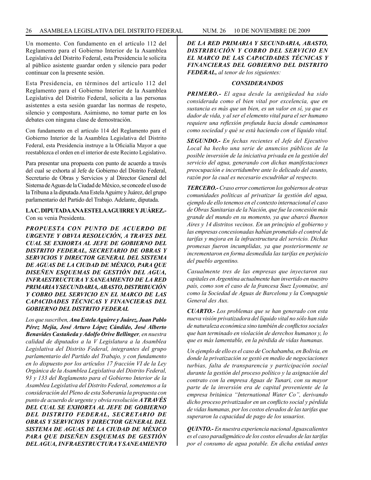Un momento. Con fundamento en el artículo 112 del Reglamento para el Gobierno Interior de la Asamblea Legislativa del Distrito Federal, esta Presidencia le solicita al público asistente guardar orden y silencio para poder continuar con la presente sesión.

Esta Presidencia, en términos del artículo 112 del Reglamento para el Gobierno Interior de la Asamblea Legislativa del Distrito Federal, solicita a las personas asistentes a esta sesión guardar las normas de respeto, silencio y compostura. Asimismo, no tomar parte en los debates con ninguna clase de demostración.

Con fundamento en el artículo 114 del Reglamento para el Gobierno Interior de la Asamblea Legislativa del Distrito Federal, esta Presidencia instruye a la Oficialía Mayor a que reestablezca el orden en el interior de este Recinto Legislativo.

Para presentar una propuesta con punto de acuerdo a través del cual se exhorta al Jefe de Gobierno del Distrito Federal, Secretario de Obras y Servicios y al Director General del Sistema de Aguas de la Ciudad de México, se concede el uso de la Tribuna a la diputada Ana Estela Aguirre y Juárez, del grupo parlamentario del Partido del Trabajo. Adelante, diputada.

#### **LA C. DIPUTADA ANA ESTELA AGUIRRE Y JUÁREZ.-**  Con su venia Presidenta.

*PROPUESTA CON PUNTO DE ACUERDO DE URGENTE Y OBVIA RESOLUCIÓN, A TRAVES DEL CUAL SE EXHORTA AL JEFE DE GOBIERNO DEL DISTRITO FEDERAL, SECRETARIO DE OBRAS Y SERVICIOS Y DIRECTOR GENERAL DEL SISTEMA DE AGUAS DE LA CIUDAD DE MÉXICO, PARA QUE DISEÑEN ESQUEMAS DE GESTIÓN DEL AGUA, INFRAESTRUCTURA Y SANEAMIENTO DE LA RED PRIMARIA Y SECUNDARIA, ABASTO, DISTRIBUCIÓN Y COBRO DEL SERVICIO EN EL MARCO DE LAS CAPACIDADES TÉCNICAS Y FINANCIERAS DEL GOBIERNO DEL DISTRITO FEDERAL*

*Los que suscriben, Ana Estela Aguirre y Juárez, Juan Pablo Pérez Mejía, José Arturo López Cándido, José Alberto Benavides Castañeda y Adolfo Orive Bellinger, en nuestra calidad de diputados a la V Legislatura a la Asamblea Legislativa del Distrito Federal, integrantes del grupo parlamentario del Partido del Trabajo, y con fundamento en lo dispuesto por los artículos 17 fracción VI de la Ley Orgánica de la Asamblea Legislativa del Distrito Federal, 93 y 133 del Reglamento para el Gobierno Interior de la Asamblea Legislativa del Distrito Federal, sometemos a la consideración del Pleno de esta Soberanía la propuesta con punto de acuerdo de urgente y obvia resolución A TRAVÉS DEL CUAL SE EXHORTA AL JEFE DE GOBIERNO DEL DISTRITO FEDERAL, SECRETARIO DE OBRAS Y SERVICIOS Y DIRECTOR GENERAL DEL SISTEMA DE AGUAS DE LA CIUDAD DE MÉXICO PARA QUE DISEÑEN ESQUEMAS DE GESTIÓN DEL AGUA, INFRAESTRUCTURA Y SANEAMIENTO* 

*DE LA RED PRIMARIA Y SECUNDARIA, ABASTO, DISTRIBUCIÓN Y COBRO DEL SERVICIO EN EL MARCO DE LAS CAPACIDADES TÉCNICAS Y FINANCIERAS DEL GOBIERNO DEL DISTRITO FEDERAL, al tenor de los siguientes:*

#### *CONSIDERANDOS*

*PRIMERO.- El agua desde la antigüedad ha sido considerada como el bien vital por excelencia, que en sustancia es más que un bien, es un valor en sí, ya que es dador de vida, y al ser el elemento vital para el ser humano requiere una reflexión profunda hacia donde caminamos como sociedad y qué se está haciendo con el líquido vital.*

*SEGUNDO.- En fechas recientes el Jefe del Ejecutivo Local ha hecho una serie de anuncios públicos de la posible inversión de la iniciativa privada en la gestión del servicio del agua, generando con dichas manifestaciones preocupación e incertidumbre ante lo delicado del asunto, razón por la cual es necesario escudriñar al respecto.*

*TERCERO.- Craso error cometieron los gobiernos de otras comunidades políticas al privatizar la gestión del agua, ejemplo de ello tenemos en el contexto internacional el caso de Obras Sanitarias de la Nación, que fue la concesión más grande del mundo en su momento, ya que abarcó Buenos Aires y 14 distritos vecinos. En un principio el gobierno y las empresas concesionadas habían prometido el control de tarifas y mejora en la infraestructura del servicio. Dichas promesas fueron incumplidas, ya que posteriormente se incrementaron en forma desmedida las tarifas en perjuicio del pueblo argentino.*

*Casualmente tres de las empresas que inyectaron sus capitales en Argentina actualmente han invertido en nuestro país, como son el caso de la francesa Suez Lyonnaise, así como la Sociedad de Aguas de Barcelona y la Compagnie General des Aux.*

*CUARTO.- Los problemas que se han generado con esta nueva visión privatizadora del líquido vital no sólo han sido de naturaleza económica sino también de conflictos sociales que han terminado en violación de derechos humanos y, lo que es más lamentable, en la pérdida de vidas humanas.* 

*Un ejemplo de ello es el caso de Cochabamba, en Bolivia, en donde la privatización se gestó en medio de negociaciones turbias, falta de transparencia y participación social durante la gestión del proceso político y la asignación del contrato con la empresa Aguas de Tunari, con su mayor parte de la inversión era de capital proveniente de la empresa británica "International Water Co", derivando dicho proceso privatizador en un conflicto social y pérdida de vidas humanas, por los costos elevados de las tarifas que superaron la capacidad de pago de los usuarios.*

*QUINTO.- En nuestra experiencia nacional Aguascalientes es el caso paradigmático de los costos elevados de las tarifas por el consumo de agua potable. En dicha entidad antes*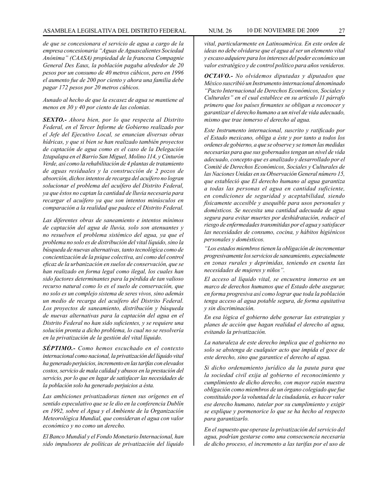#### ASAMBLEA LEGISLATIVA DEL DISTRITO FEDERAL NUM. 26 10 de NOVIEMRE de 2009 27

*de que se concesionara el servicio de agua a cargo de la empresa concesionaria "Aguas de Aguascalientes Sociedad Anónima" (CAASA) propiedad de la francesa Compagnie General Des Eaux, la población pagaba alrededor de 20 pesos por un consumo de 40 metros cúbicos, pero en 1996 el aumento fue de 200 por ciento y ahora una familia debe pagar 172 pesos por 20 metros cúbicos.*

*Aunado al hecho de que la escasez de agua se mantiene al menos en 30 y 40 por ciento de las colonias.*

*SEXTO.- Ahora bien, por lo que respecta al Distrito Federal, en el Tercer Informe de Gobierno realizado por el Jefe del Ejecutivo Local, se enuncian diversas obras hídricas, y que si bien se han realizado también proyectos de captación de agua como es el caso de la Delegación Iztapalapa en el Barrio San Miguel, Molino 114, y Cinturón Verde, así como la rehabilitación de 4 plantas de tratamiento de aguas residuales y la construcción de 2 pozos de absorción, dichos intentos de recarga del acuífero no logran solucionar el problema del acuífero del Distrito Federal, ya que éstos no captan la cantidad de lluvia necesaria para recargar el acuífero ya que son intentos minúsculos en comparación a la realidad que padece el Distrito Federal.*

*Las diferentes obras de saneamiento e intentos mínimos de captación del agua de lluvia, solo son atenuantes y no resuelven el problema sistémico del agua, ya que el problema no solo es de distribución del vital líquido, sino la búsqueda de nuevas alternativas, tanto tecnológica como de concientización de la psique colectiva, así como del control eficaz de la urbanización en suelos de conservación, que se han realizado en forma legal como ilegal, los cuales han sido factores determinantes para la pérdida de tan valioso recurso natural como lo es el suelo de conservación, que no solo es un complejo sistema de seres vivos, sino además un medio de recarga del acuífero del Distrito Federal. Los proyectos de saneamiento, distribución y búsqueda de nuevas alternativas para la captación del agua en el Distrito Federal no han sido suficientes, y se requiere una solución pronta a dicho problema, lo cual no se resolvería en la privatización de la gestión del vital líquido.* 

*SÉPTIMO.- Como hemos escuchado en el contexto internacional como nacional, la privatización del líquido vital ha generado perjuicios, incremento en las tarifas con elevados costos, servicio de mala calidad y abusos en la prestación del servicio, por lo que en lugar de satisfacer las necesidades de la población solo ha generado perjuicios a ésta.*

*Las ambiciones privatizadoras tienen sus orígenes en el sentido especulativo que se le dio en la conferencia Dublín en 1992, sobre el Agua y el Ambiente de la Organización Meteorológica Mundial, que consideran el agua con valor económico y no como un derecho.*

*El Banco Mundial y el Fondo Monetario Internacional, han sido impulsores de políticas de privatización del líquido*  *vital, particularmente en Latinoamérica. En este orden de ideas no debe olvidarse que el agua al ser un elemento vital y escaso adquiere para los intereses del poder económico un valor estratégico y de control político para años venideros.* 

*OCTAVO.- No olvidemos diputadas y diputados que México suscribió un Instrumento internacional denominado "Pacto Internacional de Derechos Económicos, Sociales y Culturales" en el cual establece en su artículo 11 párrafo primero que los países firmantes se obligan a reconocer y garantizar el derecho humano a un nivel de vida adecuado, mismo que trae inmerso el derecho al agua.*

*Este Instrumento internacional, suscrito y ratificado por el Estado mexicano, obliga a éste y por tanto a todos los ordenes de gobierno, a que se observe y se tomen las medidas necesarias para que sus gobernados tengan un nivel de vida adecuado, concepto que es analizado y desarrollado por el Comité de Derechos Económicos, Sociales y Culturales de las Naciones Unidas en su Observación General número 15, que estableció que El derecho humano al agua garantiza a todas las personas el agua en cantidad suficiente, en condiciones de seguridad y aceptabilidad, siendo físicamente accesible y asequible para usos personales y domésticos. Se necesita una cantidad adecuada de agua segura para evitar muertes por deshidratación, reducir el riesgo de enfermedades transmitidas por el agua y satisfacer las necesidades de consumo, cocina, y hábitos higiénicos personales y domésticos.*

*"Los estados miembros tienen la obligación de incrementar progresivamente los servicios de saneamiento, especialmente en zonas rurales y deprimidas, teniendo en cuenta las necesidades de mujeres y niños".*

*El acceso al líquido vital, se encuentra inmerso en un marco de derechos humanos que el Estado debe asegurar, en forma progresiva así como lograr que toda la población tenga acceso al agua potable segura, de forma equitativa y sin discriminación.*

*En esa lógica el gobierno debe generar las estrategias y planes de acción que hagan realidad el derecho al agua, evitando la privatización.*

*La naturaleza de este derecho implica que el gobierno no solo se abstenga de cualquier acto que impida el goce de este derecho, sino que garantice el derecho al agua.* 

*Si dicho ordenamiento jurídico da la pauta para que la sociedad civil exija al gobierno el reconocimiento y cumplimiento de dicho derecho, con mayor razón nuestra obligación como miembros de un órgano colegiado que fue constituido por la voluntad de la ciudadanía, es hacer valer ese derecho humano, tutelar por su cumplimiento y exigir se explique y pormenorice lo que se ha hecho al respecto para garantizarlo.*

*En el supuesto que operase la privatización del servicio del agua, podrían gestarse como una consecuencia necesaria de dicho proceso, el incremento a las tarifas por el uso de*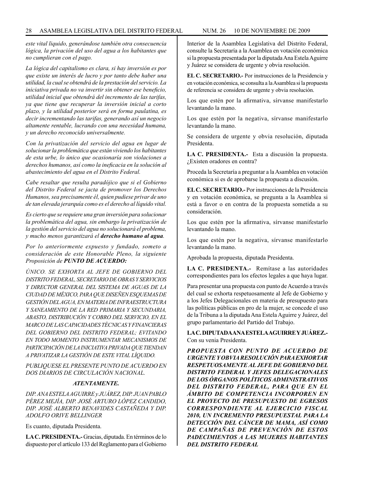*este vital liquido, generándose también otra consecuencia lógica, la privación del uso del agua a los habitantes que no cumplieran con el pago.*

*La lógica del capitalismo es clara, si hay inversión es por que existe un interés de lucro y por tanto debe haber una utilidad, la cual se obtendrá de la prestación del servicio. La iniciativa privada no va invertir sin obtener ese beneficio, utilidad inicial que obtendrá del incremento de las tarifas, ya que tiene que recuperar la inversión inicial a corto plazo, y la utilidad posterior será en forma paulatina, es decir incrementando las tarifas, generando así un negocio altamente rentable, lucrando con una necesidad humana, y un derecho reconocido universalmente.*

*Con la privatización del servicio del agua en lugar de solucionar la problemática que están viviendo los habitantes de esta urbe, lo único que ocasionaría son violaciones a derechos humanos, así como la ineficacia en la solución al abastecimiento del agua en el Distrito Federal.* 

*Cabe resaltar que resulta paradójico que si el Gobierno del Distrito Federal se jacta de promover los Derechos Humanos, sea precisamente él, quien pudiese privar de uno de tan elevada jerarquía como es el derecho al líquido vital.*

*Es cierto que se requiere una gran inversión para solucionar la problemática del agua, sin embargo la privatización de la gestión del servicio del agua no solucionará el problema, y mucho menos garantizará el derecho humano al agua.*

*Por lo anteriormente expuesto y fundado, someto a consideración de este Honorable Pleno, la siguiente Proposición de PUNTO DE ACUERDO:*

*ÚNICO. SE EXHORTA AL JEFE DE GOBIERNO DEL DISTRITO FEDERAL, SECRETARIO DE OBRAS Y SERVICIOS Y DIRECTOR GENERAL DEL SISTEMA DE AGUAS DE LA CIUDAD DE MÉXICO, PARA QUE DISEÑEN ESQUEMAS DE GESTIÓN DEL AGUA, EN MATERIA DE INFRAESTRUCTURA Y SANEAMIENTO DE LA RED PRIMARIA Y SECUNDARIA, ABASTO, DISTRIBUCIÓN Y COBRO DEL SERVICIO, EN EL MARCO DE LAS CAPACIDADES TÉCNICAS Y FINANCIERAS DEL GOBIERNO DEL DISTRITO FEDERAL; EVITANDO EN TODO MOMENTO INSTRUMENTAR MECANISMOS DE PARTICIPACIÓN DE LA INICIATIVA PRIVADA QUE TIENDAN A PRIVATIZAR LA GESTIÓN DE ESTE VITAL LÍQUIDO.*

*PUBLIQUESE EL PRESENTE PUNTO DE ACUERDO EN DOS DIARIOS DE CIRCULACIÓN NACIONAL.*

#### *ATENTAMENTE.*

*DIP. ANA ESTELA AGUIRRE y JUÁREZ, DIP. JUAN PABLO PÉREZ MEJÍA, DIP. JOSÉ ARTURO LÓPEZ CANDIDO, DIP. JOSÉ ALBERTO BENAVIDES CASTAÑEDA Y DIP. ADOLFO ORIVE BELLINGER*

Es cuanto, diputada Presidenta.

**LA C. PRESIDENTA.-** Gracias, diputada. En términos de lo dispuesto por el artículo 133 del Reglamento para el Gobierno

Interior de la Asamblea Legislativa del Distrito Federal, consulte la Secretaría a la Asamblea en votación económica si la propuesta presentada por la diputada Ana Estela Aguirre y Juárez se considera de urgente y obvia resolución.

**EL C. SECRETARIO.-** Por instrucciones de la Presidencia y en votación económica, se consulta a la Asamblea si la propuesta de referencia se considera de urgente y obvia resolución.

Los que estén por la afirmativa, sírvanse manifestarlo levantando la mano.

Los que estén por la negativa, sírvanse manifestarlo levantando la mano.

Se considera de urgente y obvia resolución, diputada Presidenta.

**LA C. PRESIDENTA.-** Esta a discusión la propuesta. ¿Existen oradores en contra?

Proceda la Secretaría a preguntar a la Asamblea en votación económica si es de aprobarse la propuesta a discusión.

**EL C. SECRETARIO.-** Por instrucciones de la Presidencia y en votación económica, se pregunta a la Asamblea si está a favor o en contra de la propuesta sometida a su consideración.

Los que estén por la afirmativa, sírvanse manifestarlo levantando la mano.

Los que estén por la negativa, sírvanse manifestarlo levantando la mano.

Aprobada la propuesta, diputada Presidenta.

**LA C. PRESIDENTA.-** Remítase a las autoridades correspondientes para los efectos legales a que haya lugar.

Para presentar una propuesta con punto de Acuerdo a través del cual se exhorta respetuosamente al Jefe de Gobierno y a los Jefes Delegacionales en materia de presupuesto para las políticas públicas en pro de la mujer, se concede el uso de la Tribuna a la diputada Ana Estela Aguirre y Juárez, del grupo parlamentario del Partido del Trabajo.

**LA C. DIPUTADA ANA ESTELA AGUIRRE Y JUÁREZ.-** Con su venia Presidenta.

*PROPUESTA CON PUNTO DE ACUERDO DE URGENTE Y OBVIA RESOLUCIÓN PARA EXHORTAR RESPETUOSAMENTE AL JEFE DE GOBIERNO DEL DISTRITO FEDERAL Y JEFES DELEGACIONALES DE LOS ÓRGANOS POLÍTICOS ADMINISTRATIVOS DEL DISTRITO FEDERAL, PARA QUE EN EL ÁMBITO DE COMPETENCIA INCORPOREN EN EL PROYECTO DE PRESUPUESTO DE EGRESOS CORRESPONDIENTE AL EJERCICIO FISCAL 2010, UN INCREMENTO PRESUPUESTAL PARA LA DETECCIÓN DEL CÁNCER DE MAMA, ASÍ COMO DE CAMPAÑAS DE PREVENCIÓN DE ESTOS PADECIMIENTOS A LAS MUJERES HABITANTES DEL DISTRITO FEDERAL*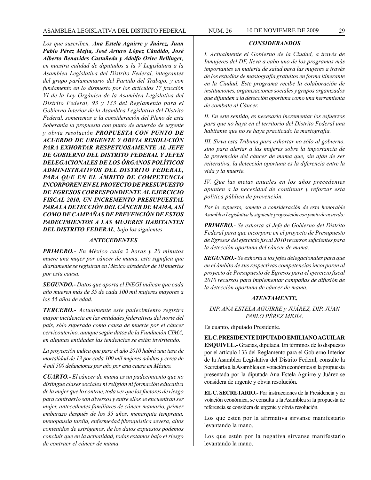*Los que suscriben, Ana Estela Aguirre y Juárez, Juan Pablo Pérez Mejía, José Arturo López Cándido, José Alberto Benavides Castañeda y Adolfo Orive Bellinger, en nuestra calidad de diputados a la V Legislatura a la Asamblea Legislativa del Distrito Federal, integrantes del grupo parlamentario del Partido del Trabajo, y con fundamento en lo dispuesto por los artículos 17 fracción VI de la Ley Orgánica de la Asamblea Legislativa del Distrito Federal, 93 y 133 del Reglamento para el Gobierno Interior de la Asamblea Legislativa del Distrito Federal, sometemos a la consideración del Pleno de esta Soberanía la propuesta con punto de acuerdo de urgente y obvia resolución PROPUESTA CON PUNTO DE ACUERDO DE URGENTE Y OBVIA RESOLUCIÓN PARA EXHORTAR RESPETUOSAMENTE AL JEFE DE GOBIERNO DEL DISTRITO FEDERAL Y JEFES DELEGACIONALES DE LOS ÓRGANOS POLÍTICOS ADMINISTRATIVOS DEL DISTRITO FEDERAL, PARA QUE EN EL ÁMBITO DE COMPETENCIA INCORPOREN EN EL PROYECTO DE PRESUPUESTO DE EGRESOS CORRESPONDIENTE AL EJERCICIO FISCAL 2010, UN INCREMENTO PRESUPUESTAL PARA LA DETECCIÓN DEL CÁNCER DE MAMA, ASÍ COMO DE CAMPAÑAS DE PREVENCIÓN DE ESTOS PADECIMIENTOS A LAS MUJERES HABITANTES* 

*DEL DISTRITO FEDERAL, bajo los siguientes*

#### *ANTECEDENTES*

*PRIMERO.- En México cada 2 horas y 20 minutos muere una mujer por cáncer de mama, esto significa que diariamente se registran en México alrededor de 10 muertes por esta causa.*

*SEGUNDO.- Datos que aporta el INEGI indican que cada año mueren más de 35 de cada 100 mil mujeres mayores a los 55 años de edad.*

*TERCERO.- Actualmente este padecimiento registra mayor incidencia en las entidades federativas del norte del país, sólo superado como causa de muerte por el cáncer cervicouterino, aunque según datos de la Fundación CIMA, en algunas entidades las tendencias se están invirtiendo.*

*La proyección indica que para el año 2010 habrá una tasa de mortalidad de 13 por cada 100 mil mujeres adultas y cerca de 4 mil 500 defunciones por año por esta causa en México.*

*CUARTO.- El cáncer de mama es un padecimiento que no distingue clases sociales ni religión ni formación educativa de la mujer que lo contrae, toda vez que los factores de riesgo para contraerlo son diversos y entre ellos se encuentran ser mujer, antecedentes familiares de cáncer mamario, primer embarazo después de los 35 años, menarquia temprana, menopausia tardía, enfermedad fibroquística severa, altos contenidos de estrógenos, de los datos expuestos podemos concluir que en la actualidad, todas estamos bajo el riesgo de contraer el cáncer de mama.*

#### *CONSIDERANDOS*

*I. Actualmente el Gobierno de la Ciudad, a través de Inmujeres del DF, lleva a cabo uno de los programas más importantes en materia de salud para las mujeres a través de los estudios de mastografía gratuitos en forma itinerante en la Ciudad. Este programa recibe la colaboración de instituciones, organizaciones sociales y grupos organizados que difunden a la detección oportuna como una herramienta de combate al Cáncer.*

*II. En este sentido, es necesario incrementar los esfuerzos para que no haya en el territorio del Distrito Federal una habitante que no se haya practicado la mastografía.* 

*III. Sirva esta Tribuna para exhortar no sólo al gobierno, sino para alertar a las mujeres sobre la importancia de la prevención del cáncer de mama que, sin afán de ser reiterativa, la detección oportuna es la diferencia entre la vida y la muerte.*

*IV. Que las metas anuales en los años precedentes apunten a la necesidad de continuar y reforzar esta política pública de prevención.*

*Por lo expuesto, someto a consideración de esta honorable Asamblea Legislativa la siguiente proposición con punto de acuerdo:*

*PRIMERO.- Se exhorta al Jefe de Gobierno del Distrito Federal para que incorpore en el proyecto de Presupuesto de Egresos del ejercicio fiscal 2010 recursos suficientes para la detección oportuna del cáncer de mama.*

*SEGUNDO.- Se exhorta a los jefes delegacionales para que en el ámbito de sus respectivas competencias incorporen al proyecto de Presupuesto de Egresos para el ejercicio fiscal 2010 recursos para implementar campañas de difusión de la detección oportuna de cáncer de mama.*

#### *ATENTAMENTE.*

*DIP. ANA ESTELA AGUIRRE y JUÁREZ, DIP. JUAN PABLO PÉREZ MEJÍA.*

Es cuanto, diputado Presidente.

**EL C. PRESIDENTE DIPUTADO EMILIANO AGUILAR ESQUIVEL.-** Gracias, diputada. En términos de lo dispuesto por el artículo 133 del Reglamento para el Gobierno Interior de la Asamblea Legislativa del Distrito Federal, consulte la Secretaría a la Asamblea en votación económica si la propuesta presentada por la diputada Ana Estela Aguirre y Juárez se considera de urgente y obvia resolución.

**EL C. SECRETARIO.-** Por instrucciones de la Presidencia y en votación económica, se consulta a la Asamblea si la propuesta de referencia se considera de urgente y obvia resolución.

Los que estén por la afirmativa sírvanse manifestarlo levantando la mano.

Los que estén por la negativa sírvanse manifestarlo levantando la mano.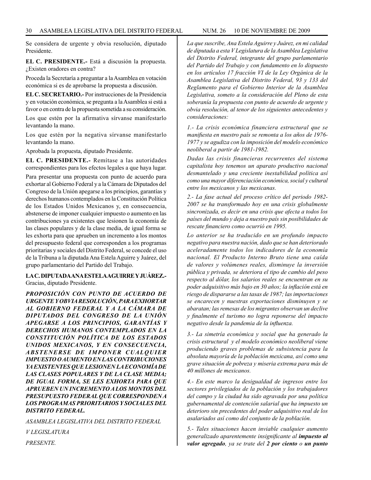Se considera de urgente y obvia resolución, diputado Presidente.

**EL C. PRESIDENTE.-** Está a discusión la propuesta. ¿Existen oradores en contra?

Proceda la Secretaría a preguntar a la Asamblea en votación económica si es de aprobarse la propuesta a discusión.

**EL C. SECRETARIO.-** Por instrucciones de la Presidencia y en votación económica, se pregunta a la Asamblea si está a favor o en contra de la propuesta sometida a su consideración.

Los que estén por la afirmativa sírvanse manifestarlo levantando la mano.

Los que estén por la negativa sírvanse manifestarlo levantando la mano.

Aprobada la propuesta, diputado Presidente.

**EL C. PRESIDENTE.-** Remítase a las autoridades correspondientes para los efectos legales a que haya lugar.

Para presentar una propuesta con punto de acuerdo para exhortar al Gobierno Federal y a la Cámara de Diputados del Congreso de la Unión apegarse a los principios, garantías y derechos humanos contemplados en la Constitución Política de los Estados Unidos Mexicanos y, en consecuencia, abstenerse de imponer cualquier impuesto o aumento en las contribuciones ya existentes que lesionen la economía de las clases populares y de la clase media, de igual forma se les exhorta para que aprueben un incremento a los montos del presupuesto federal que corresponden a los programas prioritarias y sociales del Distrito Federal, se concede el uso de la Tribuna a la diputada Ana Estela Aguirre y Juárez, del grupo parlamentario del Partido del Trabajo.

#### **LA C. DIPUTADA ANA ESTELA AGUIRRE Y JUÁREZ.-** Gracias, diputado Presidente.

*PROPOSICIÓN CON PUNTO DE ACUERDO DE URGENTE Y OBVIA RESOLUCIÓN, PARA EXHORTAR AL GOBIERNO FEDERAL Y A LA CÁMARA DE DIPUTADOS DEL CONGRESO DE LA UNIÓN APEGARSE A LOS PRINCIPIOS, GARANTÍAS Y DERECHOS HUMANOS CONTEMPLADOS EN LA CONSTITUCIÓN POLÍTICA DE LOS ESTADOS UNIDOS MEXICANOS, Y EN CONSECUENCIA, ABSTENERSE DE IMPONER CUALQUIER IMPUESTO O AUMENTO EN LAS CONTRIBUCIONES YA EXISTENTES QUE LESIONEN LA ECONOMÍA DE LAS CLASES POPULARES Y DE LA CLASE MEDIA; DE IGUAL FORMA, SE LES EXHORTA PARA QUE APRUEBEN UN INCREMENTO A LOS MONTOS DEL PRESUPUESTO FEDERAL QUE CORRESPONDEN A LOS PROGRAMAS PRIORITARIOS Y SOCIALES DEL DISTRITO FEDERAL.* 

*ASAMBLEA LEGISLATIVA DEL DISTRITO FEDERAL V LEGISLATURA PRESENTE.*

*La que suscribe, Ana Estela Aguirre y Juárez, en mi calidad de diputada a esta V Legislatura de la Asamblea Legislativa del Distrito Federal, integrante del grupo parlamentario del Partido del Trabajo y con fundamento en lo dispuesto en los artículos 17 fracción VI de la Ley Orgánica de la Asamblea Legislativa del Distrito Federal, 93 y 133 del Reglamento para el Gobierno Interior de la Asamblea Legislativa, someto a la consideración del Pleno de esta soberanía la propuesta con punto de acuerdo de urgente y obvia resolución, al tenor de los siguientes antecedentes y consideraciones:*

*1.- La crisis económica financiera estructural que se manifiesta en nuestro país se remonta a los años de 1976- 1977 y se agudiza con la imposición del modelo económico neoliberal a partir de 1981-1982.*

*Dadas las crisis financieras recurrentes del sistema capitalista hoy tenemos un aparato productivo nacional desmantelado y una creciente inestabilidad política así como una mayor diferenciación económica, social y cultural entre los mexicanos y las mexicanas.*

*2.- La fase actual del proceso crítico del periodo 1982- 2007 se ha transformado hoy en una crisis globalmente sincronizada, es decir en una crisis que afecta a todos los países del mundo y deja a nuestro país sin posibilidades de rescate financiero como ocurrió en 1995.* 

*Lo anterior se ha traducido en un profundo impacto negativo para nuestra nación, dado que se han deteriorado aceleradamente todos los indicadores de la economía nacional. El Producto Interno Bruto tiene una caída de valores y volúmenes reales, disminuye la inversión pública y privada, se deteriora el tipo de cambio del peso respecto al dólar, los salarios reales se encuentran en su poder adquisitivo más bajo en 30 años; la inflación está en riesgo de dispararse a las tasas de 1987; las importaciones se encarecen y nuestras exportaciones disminuyen y se abaratan; las remesas de los migrantes observan un declive y finalmente el turismo no logra reponerse del impacto negativo desde la pandemia de la influenza.*

*3.- La simetría económica y social que ha generado la crisis estructural y el modelo económico neoliberal viene produciendo graves problemas de subsistencia para la absoluta mayoría de la población mexicana, así como una grave situación de pobreza y miseria extrema para más de 40 millones de mexicanos.*

*4.- En este marco la desigualdad de ingresos entre los sectores privilegiados de la población y los trabajadores del campo y la ciudad ha sido agravada por una política gubernamental de contención salarial que ha impuesto un deterioro sin precedentes del poder adquisitivo real de los asalariados así como del conjunto de la población.*

*5.- Tales situaciones hacen inviable cualquier aumento generalizado aparentemente insignificante al impuesto al valor agregado, ya se trate del 2 por ciento o un punto*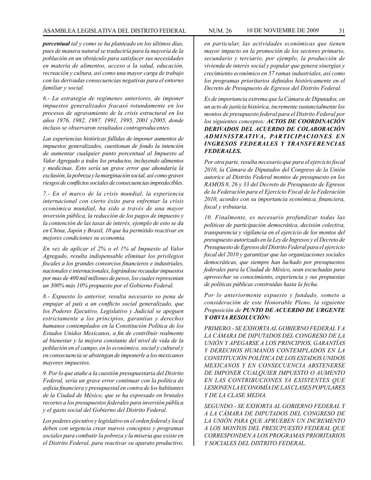*porcentual tal y como se ha planteado en los últimos días, pues de manera natural se traduciría para la mayoría de la población en un obstáculo para satisfacer sus necesidades en materia de alimentos, acceso a la salud, educación, recreación y cultura, así como una mayor carga de trabajo con las derivadas consecuencias negativas para el entorno familiar y social.*

*6.- La estrategia de regímenes anteriores, de imponer impuestos generalizados fracasó rotundamente en los procesos de agravamiento de la crisis estructural en los años 1976, 1982, 1987, 1991, 1995, 2001 y2005, donde incluso se observaron resultados contraproducentes.*

*Las experiencias históricas fallidas de imponer aumentos de impuestos generalizados, cuestionan de fondo la intención de aumentar cualquier punto porcentual al Impuesto al Valor Agregado a todos los productos, incluyendo alimentos y medicinas. Esto sería un grave error que ahondaría la exclusión, la pobreza y la marginación social, así como graves riesgos de conflictos sociales de consecuencias impredecibles.*

*7.- En el marco de la crisis mundial, la experiencia internacional con cierto éxito para enfrentar la crisis económica mundial, ha sido a través de una mayor inversión pública, la reducción de los pagos de impuesto y la contención de las tasas de interés, ejemplo de esto se da en China, Japón y Brasil, 10 que ha permitido reactivar en mejores condiciones su economía.*

*En vez de aplicar el 2% o el 1% al Impuesto al Valor Agregado, resulta indispensable eliminar los privilegios fiscales a los grandes consorcios financieros e industriales, nacionales e internacionales, lográndose recaudar impuestos por mas de 400 mil millones de pesos, los cuales representan un 300% más 10% propuesto por el Gobierno Federal.*

*8.- Expuesto lo anterior, resulta necesario so pena de empujar al país a un conflicto social generalizado, que los Poderes Ejecutivo, Legislativo y Judicial se apeguen estrictamente a los principios, garantías y derechos humanos contemplados en la Constitución Política de los Estados Unidos Mexicanos, a fin de contribuir realmente al bienestar y la mejora constante del nivel de vida de la población en el campo, en lo económico, social y cultural y en consecuencia se abstengan de imponerle a los mexicanos mayores impuestos.*

*9. Por lo que atañe a la cuestión presupuestaria del Distrito Federal, sería un grave error continuar con la política de asfixia financiera y presupuestal en contra de los habitantes de la Ciudad de México, que se ha expresado en brutales recortes a los presupuestos federales para inversión pública y el gasto social del Gobierno del Distrito Federal.*

*Los poderes ejecutivo y legislativo en el orden federal y local deben con urgencia crear nuevos conceptos y programas sociales para combatir la pobreza y la miseria que existe en el Distrito Federal, para reactivar su aparato productivo,* 

*en particular, las actividades económicas que tienen mayor impacto en la promoción de los sectores primario, secundario y terciario, por ejemplo, la producción de vivienda de interés social y popular que genera sinergias y crecimiento económico en 57 ramas industriales, así como los programas prioritarios definidos históricamente en el Decreto de Presupuesto de Egresos del Distrito Federal.*

*Es de importancia extrema que la Cámara de Diputados, en un acto de justicia histórica, incremente sustancialmente los montos de presupuesto federal para el Distrito Federal por los siguientes conceptos: ACTOS DE COORDINACIÓN DERIVADOS DEL ACUERDO DE COLABORACIÓN ADMINISTRATIVA, PARTICIPACIONES EN INGRESOS FEDERALES Y TRANSFERENCIAS FEDERALES.*

*Por otra parte, resulta necesario que para el ejercicio fiscal 2010, la Cámara de Diputados del Congreso de la Unión autorice al Distrito Federal montos de presupuesto en los RAMOS 8, 26 y 33 del Decreto de Presupuesto de Egresos de la Federación para el Ejercicio Fiscal de la Federación 2010, acordes con su importancia económica, financiera, fiscal y tributaria.*

*10. Finalmente, es necesario profundizar todas las políticas de participación democrática, decisión colectiva, transparencia y vigilancia en el ejercicio de los montos del presupuesto autorizado en la Ley de Ingresos y el Decreto de Presupuesto de Egresos del Distrito Federal para el ejercicio fiscal del 2010 y garantizar que las organizaciones sociales democráticas, que siempre han luchado por presupuestos federales para la Ciudad de México, sean escuchadas para aprovechar su conocimiento, experiencia y sus propuestas de políticas públicas construidas hasta la fecha.* 

*Por lo anteriormente expuesto y fundado, someto a consideración de este Honorable Pleno, la siguiente Proposición de PUNTO DE ACUERDO DE URGENTE Y OBVIA RESOLUCIÓN:*

*PRIMERO.- SE EXHORTA AL GOBIERNO FEDERAL Y A LA CÁMARA DE DIPUTADOS DEL CONGRESO DE LA UNIÓN Y APEGARSE A LOS PRINCIPIOS, GARANTÍAS Y DERECHOS HUMANOS CONTEMPLADOS EN LA CONSTITUCIÓN POLÍTICA DE LOS ESTADOS UNIDOS MEXICANOS Y EN CONSECUENCIA ABSTENERSE DE IMPONER CUALQUIER IMPUESTO O AUMENTO EN LAS CONTRIBUCIONES YA EXISTENTES QUE LESIONEN LA ECONOMÍA DE LAS CLASES POPULARES Y DE LA CLASE MEDIA.*

*SEGUNDO.- SE EXHORTA AL GOBIERNO FEDERAL Y A LA CÁMARA DE DIPUTADOS DEL CONGRESO DE LA UNIÓN PARA QUE APRUEBEN UN INCREMENTO A LOS MONTOS DEL PRESUPUESTO FEDERAL QUE CORRESPONDEN A LOS PROGRAMAS PRIORITARIOS Y SOCIALES DEL DISTRITO FEDERAL.*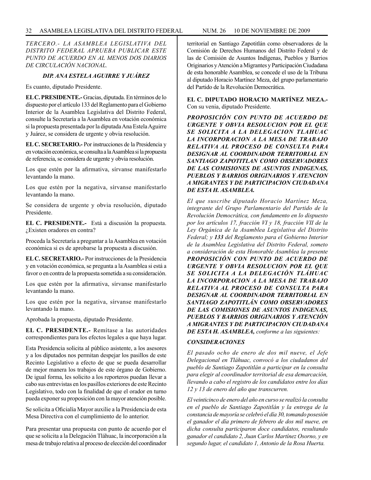#### 32 ASAMBLEA LEGISLATIVA DEL DISTRITO FEDERAL NUM. 26 10 de NOVIEMBRE de 2009

*TERCERO.- LA ASAMBLEA LEGISLATIVA DEL DISTRITO FEDERAL APRUEBA PUBLICAR ESTE PUNTO DE ACUERDO EN AL MENOS DOS DIARIOS DE CIRCULACIÓN NACIONAL.*

#### *DIP. ANA ESTELA AGUIRRE Y JUÁREZ*

Es cuanto, diputado Presidente.

**EL C. PRESIDENTE.-** Gracias, diputada. En términos de lo dispuesto por el artículo 133 del Reglamento para el Gobierno Interior de la Asamblea Legislativa del Distrito Federal, consulte la Secretaría a la Asamblea en votación económica si la propuesta presentada por la diputada Ana Estela Aguirre y Juárez, se considera de urgente y obvia resolución.

**EL C. SECRETARIO.-** Por instrucciones de la Presidencia y en votación económica, se consulta a la Asamblea si la propuesta de referencia, se considera de urgente y obvia resolución.

Los que estén por la afirmativa, sírvanse manifestarlo levantando la mano.

Los que estén por la negativa, sírvanse manifestarlo levantando la mano.

Se considera de urgente y obvia resolución, diputado Presidente.

**EL C. PRESIDENTE.-** Está a discusión la propuesta. ¿Existen oradores en contra?

Proceda la Secretaría a preguntar a la Asamblea en votación económica si es de aprobarse la propuesta a discusión.

**EL C. SECRETARIO.-** Por instrucciones de la Presidencia y en votación económica, se pregunta a la Asamblea si está a favor o en contra de la propuesta sometida a su consideración.

Los que estén por la afirmativa, sírvanse manifestarlo levantando la mano.

Los que estén por la negativa, sírvanse manifestarlo levantando la mano.

Aprobada la propuesta, diputado Presidente.

**EL C. PRESIDENTE.-** Remítase a las autoridades correspondientes para los efectos legales a que haya lugar.

Esta Presidencia solicita al público asistente, a los asesores y a los diputados nos permitan despejar los pasillos de este Recinto Legislativo a efecto de que se pueda desarrollar de mejor manera los trabajos de este órgano de Gobierno. De igual forma, les solicito a los reporteros puedan llevar a cabo sus entrevistas en los pasillos exteriores de este Recinto Legislativo, todo con la finalidad de que el orador en turno pueda exponer su proposición con la mayor atención posible.

Se solicita a Oficialía Mayor auxilie a la Presidencia de esta Mesa Directiva con el cumplimiento de lo anterior.

Para presentar una propuesta con punto de acuerdo por el que se solicita a la Delegación Tláhuac, la incorporación a la mesa de trabajo relativa al proceso de elección del coordinador territorial en Santiago Zapotitlán como observadores de la Comisión de Derechos Humanos del Distrito Federal y de las de Comisión de Asuntos Indígenas, Pueblos y Barrios Originarios y Atención a Migrantes y Participación Ciudadana de esta honorable Asamblea, se concede el uso de la Tribuna al diputado Horacio Martínez Meza, del grupo parlamentario del Partido de la Revolución Democrática.

**EL C. DIPUTADO HORACIO MARTÍNEZ MEZA.-** Con su venia, diputado Presidente.

*PROPOSICIÓN CON PUNTO DE ACUERDO DE URGENTE Y OBVIA RESOLUCION POR EL QUE SE SOLICITA A LA DELEGACION TLAHUAC LA INCORPORACION A LA MESA DE TRABAJO RELATIVA AL PROCESO DE CONSULTA PARA DESIGNAR AL COORDINADOR TERRITORIAL EN SANTIAGO ZAPOTITLAN COMO OBSERVADORES DE LAS COMISIONES DE ASUNTOS INDIGENAS, PUEBLOS Y BARRIOS ORIGINARIOS Y ATENCION A MIGRANTES Y DE PARTICIPACION CIUDADANA DE ESTA H. ASAMBLEA.*

*El que suscribe diputado Horacio Martínez Meza, integrante del Grupo Parlamentario del Partido de la Revolución Democrática, con fundamento en lo dispuesto por los artículos 17, fracción VI y 18, fracción VII de la Ley Orgánica de la Asamblea Legislativa del Distrito Federal; y 133 del Reglamento para el Gobierno Interior de la Asamblea Legislativa del Distrito Federal, someto a consideración de esta Honorable Asamblea la presente PROPOSICIÓN CON PUNTO DE ACUERDO DE URGENTE Y OBVIA RESOLUCION POR EL QUE SE SOLICITA A LA DELEGACIÓN TLÁHUAC LA INCORPORACION A LA MESA DE TRABAJO RELATIVA AL PROCESO DE CONSULTA PARA DESIGNAR AL COORDINADOR TERRITORIAL EN SANTIAGO ZAPOTITLÁN COMO OBSERVADORES DE LAS COMISIONES DE ASUNTOS INDIGENAS, PUEBLOS Y BARRIOS ORIGINARIOS Y ATENCIÓN A MIGRANTES Y DE PARTICIPACION CIUDADANA DE ESTA H. ASAMBLEA, conforme a las siguientes:*

#### *CONSIDERACIONES*

*El pasado ocho de enero de dos mil nueve, el Jefe Delegacional en Tláhuac, convocó a los ciudadanos del pueblo de Santiago Zapotitlán a participar en la consulta para elegir al coordinador territorial de esa demarcación, llevando a cabo el registro de los candidatos entre los días 12 y 13 de enero del año que transcurren.* 

*El veinticinco de enero del año en curso se realizó la consulta en el pueblo de Santiago Zapotitlán y la entrega de la constancia de mayoría se celebró el día 30, tomando posesión el ganador el día primero de febrero de dos mil nueve, en dicha consulta participaron doce candidatos, resultando ganador el candidato 2, Juan Carlos Martínez Osorno, y en segundo lugar, el candidato 1, Antonio de la Rosa Huerta.*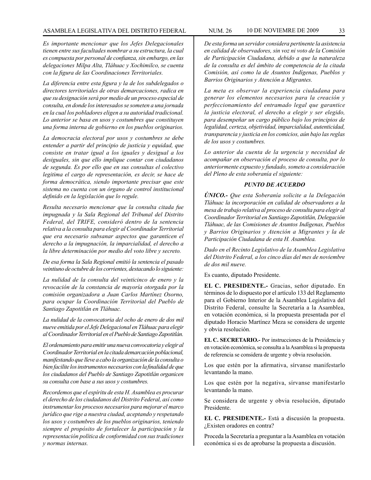*Es importante mencionar que los Jefes Delegacionales tienen entre sus facultades nombrar a su estructura, la cual es compuesta por personal de confianza, sin embargo, en las delegaciones Milpa Alta, Tláhuac y Xochimilco, se cuenta con la figura de las Coordinaciones Territoriales.* 

*La diferencia entre esta figura y la de los subdelegados o directores territoriales de otras demarcaciones, radica en que su designación será por medio de un proceso especial de consulta, en donde los interesados se someten a una jornada en la cual los pobladores eligen a su autoridad tradicional. Lo anterior se basa en usos y costumbres que constituyen una forma interna de gobierno en los pueblos originarios.*

*La democracia electoral por usos y costumbres se debe entender a partir del principio de justicia y equidad, que consiste en tratar igual a los iguales y desigual a los desiguales, sin que ello implique contar con ciudadanos de segunda. Es por ello que en sus consultas el colectivo legitima el cargo de representación, es decir, se hace de forma democrática, siendo importante precisar que este sistema no cuenta con un órgano de control institucional definido en la legislación que lo regule.*

*Resulta necesario mencionar que la consulta citada fue impugnada y la Sala Regional del Tribunal del Distrito Federal, del TRIFE, consideró dentro de la sentencia relativa a la consulta para elegir al Coordinador Territorial que era necesario subsanar aspectos que garanticen el derecho a la impugnación, la imparcialidad, el derecho a la libre determinación por medio del voto libre y secreto.*

*De esa forma la Sala Regional emitió la sentencia el pasado veintiuno de octubre de los corrientes, destacando lo siguiente:* 

*La nulidad de la consulta del veinticinco de enero y la revocación de la constancia de mayoría otorgada por la comisión organizadora a Juan Carlos Martínez Osorno, para ocupar la Coordinación Territorial del Pueblo de Santiago Zapotitlán en Tláhuac.*

*La nulidad de la convocatoria del ocho de enero de dos mil nueve emitida por el Jefe Delegacional en Tláhuac para elegir al Coordinador Territorial en el Pueblo de Santiago Zapotitlán.*

*El ordenamiento para emitir una nueva convocatoria y elegir al Coordinador Territorial en la citada demarcación poblacional, manifestando que lleve a cabo la organización de la consulta o bien facilite los instrumentos necesarios con la finalidad de que los ciudadanos del Pueblo de Santiago Zapotitlán organicen su consulta con base a sus usos y costumbres.*

*Recordemos que el espíritu de esta H. Asamblea es procurar el derecho de los ciudadanos del Distrito Federal, así como instrumentar los procesos necesarios para mejorar el marco jurídico que rige a nuestra ciudad, aceptando y respetando los usos y costumbres de los pueblos originarios, teniendo siempre el propósito de fortalecer la participación y la representación política de conformidad con sus tradiciones y normas internas.*

*De esta forma un servidor considera pertinente la asistencia en calidad de observadores, sin voz ni voto de la Comisión de Participación Ciudadana, debido a que la naturaleza de la consulta es del ámbito de competencia de la citada Comisión, así como la de Asuntos Indígenas, Pueblos y Barrios Originarios y Atención a Migrantes.*

*La meta es observar la experiencia ciudadana para generar los elementos necesarios para la creación y perfeccionamiento del entramado legal que garantice la justicia electoral, el derecho a elegir y ser elegido, para desempeñar un cargo público bajo los principios de legalidad, certeza, objetividad, imparcialidad, autenticidad, transparencia y justicia en los comicios, aún bajo las reglas de los usos y costumbres.*

*Lo anterior da cuenta de la urgencia y necesidad de acompañar en observación el proceso de consulta, por lo anteriormente expuesto y fundado, someto a consideración del Pleno de esta soberanía el siguiente:*

#### *PUNTO DE ACUERDO*

*ÚNICO.- Que esta Soberanía solicite a la Delegación Tláhuac la incorporación en calidad de observadores a la mesa de trabajo relativa al proceso de consulta para elegir al Coordinador Territorial en Santiago Zapotitlán, Delegación Tláhuac, de las Comisiones de Asuntos Indígenas, Pueblos y Barrios Originarios y Atención a Migrantes y la de Participación Ciudadana de esta H. Asamblea.*

*Dado en el Recinto Legislativo de la Asamblea Legislativa del Distrito Federal, a los cinco días del mes de noviembre de dos mil nueve.*

Es cuanto, diputado Presidente.

**EL C. PRESIDENTE.-** Gracias, señor diputado. En términos de lo dispuesto por el artículo 133 del Reglamento para el Gobierno Interior de la Asamblea Legislativa del Distrito Federal, consulte la Secretaría a la Asamblea, en votación económica, si la propuesta presentada por el diputado Horacio Martínez Meza se considera de urgente y obvia resolución.

**EL C. SECRETARIO.-** Por instrucciones de la Presidencia y en votación económica, se consulta a la Asamblea si la propuesta de referencia se considera de urgente y obvia resolución.

Los que estén por la afirmativa, sírvanse manifestarlo levantando la mano.

Los que estén por la negativa, sírvanse manifestarlo levantando la mano.

Se considera de urgente y obvia resolución, diputado Presidente.

**EL C. PRESIDENTE.-** Está a discusión la propuesta. ¿Existen oradores en contra?

Proceda la Secretaría a preguntar a la Asamblea en votación económica si es de aprobarse la propuesta a discusión.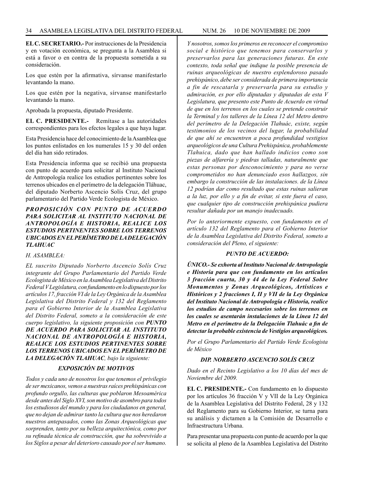**EL C. SECRETARIO.-** Por instrucciones de la Presidencia y en votación económica, se pregunta a la Asamblea si está a favor o en contra de la propuesta sometida a su consideración.

Los que estén por la afirmativa, sírvanse manifestarlo levantando la mano.

Los que estén por la negativa, sírvanse manifestarlo levantando la mano.

Aprobada la propuesta, diputado Presidente.

**EL C. PRESIDENTE.-** Remítase a las autoridades correspondientes para los efectos legales a que haya lugar.

Esta Presidencia hace del conocimiento de la Asamblea que los puntos enlistados en los numerales 15 y 30 del orden del día han sido retirados.

Esta Presidencia informa que se recibió una propuesta con punto de acuerdo para solicitar al Instituto Nacional de Antropología realice los estudios pertinentes sobre los terrenos ubicados en el perímetro de la delegación Tláhuac, del diputado Norberto Ascencio Solís Cruz, del grupo parlamentario del Partido Verde Ecologista de México.

#### *PROPOSICIÓN CON PUNTO DE ACUERDO PARA SOLICITAR AL INSTITUTO NACIONAL DE ANTROPOLOGÍA E HISTORIA, REALICE LOS ESTUDIOS PERTINENTES SOBRE LOS TERRENOS UBICADOS EN EL PERÍMETRO DE LA DELEGACIÓN TLAHUAC*

#### *H. ASAMBLEA:*

*EL suscrito Diputado Norberto Ascencio Solís Cruz integrante del Grupo Parlamentario del Partido Verde Ecologista de México en la Asamblea Legislativa del Distrito Federal V Legislatura, con fundamento en lo dispuesto por los artículos 17, fracción VI de la Ley Orgánica de la Asamblea Legislativa del Distrito Federal y 132 del Reglamento para el Gobierno Interior de la Asamblea Legislativa del Distrito Federal, someto a la consideración de este cuerpo legislativo, la siguiente proposición con PUNTO DE ACUERDO PARA SOLICITAR AL INSTITUTO NACIONAL DE ANTROPOLOGÍA E HISTORIA, REALICE LOS ESTUDIOS PERTINENTES SOBRE LOS TERRENOS UBICADOS EN EL PERÍMETRO DE LA DELEGACIÓN TLAHUAC, bajo la siguiente:*

#### *EXPOSICIÓN DE MOTIVOS*

*Todos y cada uno de nosotros los que tenemos el privilegio de ser mexicanos, vemos a nuestras raíces prehispánicas con profundo orgullo, las culturas que poblaron Mesoamérica desde antes del Siglo XVI, son motivo de asombro para todos los estudiosos del mundo y para los ciudadanos en general, que no dejan de admirar tanto la cultura que nos heredaron nuestros antepasados, como las Zonas Arqueológicas que sorprenden, tanto por su belleza arquitectónica, como por su refinada técnica de construcción, que ha sobrevivido a los Siglos a pesar del deterioro causado por el ser humano.*

*Y nosotros, somos los primeros en reconocer el compromiso social e histórico que tenemos para conservarlos y preservarlos para las generaciones futuras. En este contexto, toda señal que indique la posible presencia de ruinas arqueológicas de nuestro esplendoroso pasado prehispánico, debe ser considerada de primera importancia a fin de rescatarla y preservarla para su estudio y admiración, es por ello diputadas y diputadas de esta V Legislatura, que presento este Punto de Acuerdo en virtud de que en los terrenos en los cuales se pretende construir la Terminal y los talleres de la Línea 12 del Metro dentro del perímetro de la Delegación Tlahuác, existe, según testimonios de los vecinos del lugar, la probabilidad de que ahí se encuentren a poca profundidad vestigios arqueológicos de una Cultura Prehispánica, probablemente Tlahuica, dado que han hallado indicios como son piezas de alfarería y piedras talladas, naturalmente que estas personas por desconocimiento y para no verse comprometidos no han denunciado esos hallazgos, sin embargo la construcción de las instalaciones. de la Línea 12 podrían dar como resultado que estas ruinas salieran a la luz, por ello y a fin de evitar, si este fuera el caso, que cualquier tipo de construcción prehispánica pudiera resultar dañada por un manejo inadecuado.*

*Por lo anteriormente expuesto, con fundamento en el artículo 132 del Reglamento para el Gobierno Interior de la Asamblea Legislativa del Distrito Federal, someto a consideración del Pleno, el siguiente:*

#### *PUNTO DE ACUERDO:*

*ÚNICO.- Se exhorta al Instituto Nacional de Antropología e Historia para que con fundamento en los artículos 3 fracción cuarta, 30 y 44 de la Ley Federal Sobre Monumentos y Zonas Arqueológicos, Artísticos e Históricos y 2 fracciones I, II y VII de la Ley Orgánica del Instituto Nacional de Antropología e Historia, realice los estudios de campo necesarios sobre los terrenos en los cuales se asentarán instalaciones de la Línea 12 del Metro en el perímetro de la Delegación Tlahuác a fin de detectar la probable existencia de Vestigios arqueológicos.*

*Por el Grupo Parlamentario del Partido Verde Ecologista de México*

#### *DIP. NORBERTO ASCENCIO SOLÍS CRUZ*

*Dado en el Recinto Legislativo a los 10 días del mes de Noviembre del 2009.*

**EL C. PRESIDENTE.-** Con fundamento en lo dispuesto por los artículos 36 fracción V y VII de la Ley Orgánica de la Asamblea Legislativa del Distrito Federal, 28 y 132 del Reglamento para su Gobierno Interior, se turna para su análisis y dictamen a la Comisión de Desarrollo e Infraestructura Urbana.

Para presentar una propuesta con punto de acuerdo por la que se solicita al pleno de la Asamblea Legislativa del Distrito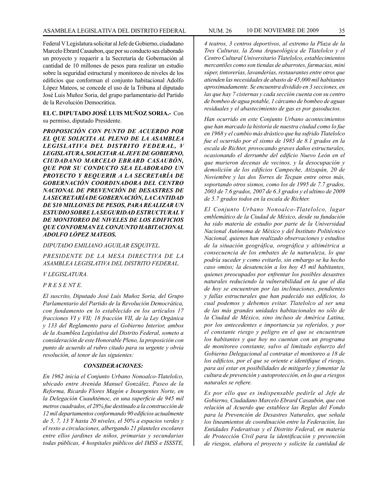Federal V Legislatura solicitar al Jefe de Gobierno, ciudadano Marcelo Ebrard Casaubon, que por su conducto sea elaborado un proyecto y requerir a la Secretaría de Gobernación al cantidad de 10 millones de pesos para realizar un estudio sobre la seguridad estructural y monitoreo de niveles de los edificios que conforman el conjunto habitacional Adolfo López Mateos, se concede el uso de la Tribuna al diputado

José Luis Muñoz Soria, del grupo parlamentario del Partido de la Revolución Democrática. **EL C. DIPUTADO JOSÉ LUIS MUÑOZ SORIA.-** Con

su permiso, diputado Presidente.

*PROPOSICIÓN CON PUNTO DE ACUERDO POR EL QUE SOLICITA AL PLENO DE LA ASAMBLEA LEGISLATIVA DEL DISTRITO FEDERAL, V LEGISLATURA, SOLICITAR AL JEFE DE GOBIERNO, CIUDADANO MARCELO EBRARD CASAUBÓN, QUE POR SU CONDUCTO SEA ELABORADO UN PROYECTO Y REQUERIR A LA SECRETARÍA DE GOBERNACIÓN COORDINADORA DEL CENTRO NACIONAL DE PREVENCIÓN DE DESASTRES DE LA SECRETARÍA DE GOBERNACIÓN, LA CANTIDAD DE \$10 MILLONES DE PESOS, PARA REALIZAR UN ESTUDIO SOBRE LA SEGURIDAD ESTRUCTURAL Y DE MONITOREO DE NIVELES DE LOS EDIFICIOS QUE CONFORMAN EL CONJUNTO HABITACIONAL ADOLFO LÓPEZ MATEOS.*

*DIPUTADO EMILIANO AGUILAR ESQUIVEL.*

*PRESIDENTE DE LA MESA DIRECTIVA DE LA ASAMBLEA LEGISLATIVA DEL DISTRITO FEDERAL.*

*V LEGISLATURA.*

*P R E S E NT E.*

*El suscrito, Diputado José Luís Muñoz Soria, del Grupo Parlamentario del Partido de la Revolución Democrática, con fundamento en lo establecido en los artículos 17 fracciones VI y VII; 18 fracción VII, de la Ley Orgánica y 133 del Reglamento para el Gobierno Interior, ambos de la Asamblea Legislativa del Distrito Federal, someto a consideración de este Honorable Pleno, la proposición con punto de acuerdo al rubro citado para su urgente y obvia resolución, al tenor de las siguientes:* 

#### *CONSIDERACIONES:*

*En 1962 inicia el Conjunto Urbano Nonoalco-Tlatelolco, ubicado entre Avenida Manuel González, Paseo de la Reforma, Ricardo Flores Magón e Insurgentes Norte, en la Delegación Cuauhtémoc, en una superficie de 945 mil metros cuadrados, el 28% fue destinado a la construcción de 12 mil departamentos conformando 90 edificios actualmente de 5, 7, 13 Y hasta 20 niveles, el 50% a espacios verdes y el resto a circulaciones, albergando 21 planteles escolares entre ellos jardines de niños, primarias y secundarias todas públicas, 4 hospitales públicos del IMSS e ISSSTE,* 

*4 teatros, 3 centros deportivos, al extremo la Plaza de la Tres Culturas, la Zona Arqueológica de Tlatelolco y el Centro Cultural Universitario Tlatelolco, establecimientos mercantiles como son tiendas de abarrotes, farmacias, mini súper, tintorerías, lavanderías, restaurantes entre otros que atienden las necesidades de abasto de 45,000 mil habitantes aproximadamente. Se encuentra dividido en 3 secciones, en las que hay 7 cisternas y cada sección cuenta con su centro de bombeo de agua potable, 1 cárcamo de bombeo de aguas residuales y el abastecimiento de gas es por gasoductos.*

*Han ocurrido en este Conjunto Urbano acontecimientos que han marcado la historia de nuestra ciudad como lo fue en 1968 y el cambio más drástico que ha sufrido Tlatelolco fue el ocurrido por el sismo de 1985 de 8.1 grados en la escala de Richter, provocando graves daños estructurales, ocasionando el derrumbe del edificio Nuevo León en el que murieron decenas de vecinos, y la desocupación y demolición de los edificios Campeche, Atizapán, 20 de Noviembre y las dos Torres de Tecpan entre otros más, soportando otros sismos, como los de 1995 de 7.7 grados, 2003 de 7.6 grados, 2007 de 6.3 grados y el ultimo de 2009 de 5.7 grados todos en la escala de Richter.*

*El Conjunto Urbano Nonoalco-Tlatelolco, lugar emblemático de la Ciudad de México, desde su fundación ha sido materia de estudio por parte de la Universidad Nacional Autónoma de México y del Instituto Politécnico Nacional, quienes han realizado observaciones y estudios de la situación geográfica, orográfica y altimétrica a consecuencia de los embates de la naturaleza, lo que podría suceder y como evitarlo, sin embargo se ha hecho caso omiso; la desatención a los hoy 45 mil habitantes, quienes preocupados por enfrentar los posibles desastres naturales reduciendo la vulnerabilidad en la que el día de hoy se encuentran por las inclinaciones, pendientes y fallas estructurales que han padecido sus edificios, lo cual podemos y debemos evitar. Tlatelolco al ser una de las más grandes unidades habitacionales no sólo de la Ciudad de México, sino incluso de América Latina, por los antecedentes e importancia ya referidos, y por el constante riesgo y peligro en el que se encuentran los habitantes y que hoy no cuentan con un programa de monitoreo constante, salvo al limitado esfuerzo del Gobierno Delegacional al contratar el monitoreo a 18 de los edificios, por el que se oriente e identifique el riesgo, para así estar en posibilidades de mitigarlo y fomentar la cultura de prevención y autoprotección, en lo que a riesgos naturales se refiere.*

*Es por ello que es indispensable pedirle al Jefe de Gobierno, Ciudadano Marcelo Ebrard Casaubón, que con relación al Acuerdo que establece las Reglas del Fondo para la Prevención de Desastres Naturales, que señala los lineamientos de coordinación entre la Federación, las Entidades Federativas y el Distrito Federal, en materia de Protección Civil para la identificación y prevención de riesgos, elabora el proyecto y solicite la cantidad de*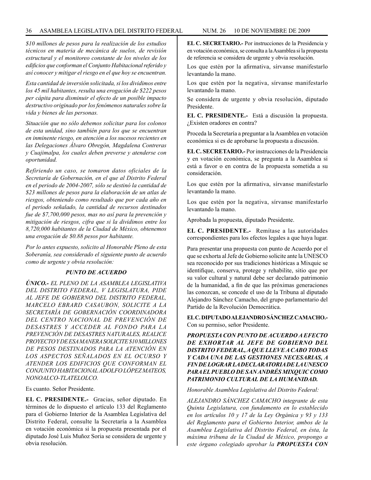#### 36 ASAMBLEA LEGISLATIVA DEL DISTRITO FEDERAL NUM. 26 10 de NOVIEMBRE de 2009

*\$10 millones de pesos para la realización de los estudios técnicos en materia de mecánica de suelos, de revisión estructural y el monitoreo constante de los niveles de los edificios que conforman el Conjunto Habitacional referido y así conocer y mitigar el riesgo en el que hoy se encuentran.*

*Esta cantidad de inversión solicitada, si los dividimos entre los 45 mil habitantes, resulta una erogación de \$222 pesos per cápita para disminuir el efecto de un posible impacto destructivo originado por los fenómenos naturales sobre la vida y bienes de las personas.* 

*Situación que no sólo debemos solicitar para los colonos de esta unidad, sino también para los que se encuentran en inminente riesgo, en atención a los sucesos recientes en las Delegaciones Álvaro Obregón, Magdalena Contreras y Cuajimalpa, los cuales deben preverse y atenderse con oportunidad.*

*Refiriendo un caso, se tomaron datos oficiales de la Secretaría de Gobernación, en el que al Distrito Federal en el periodo de 2004-2007, sólo se destinó la cantidad de \$23 millones de pesos para la elaboración de un atlas de riesgos, obteniendo como resultado que por cada año en el periodo señalado, la cantidad de recursos destinados fue de \$7,700,000 pesos, mas no así para la prevención y mitigación de riesgos, cifra que si la dividimos entre los 8,720,000 habitantes de la Ciudad de México, obtenemos una erogación de \$0.88 pesos por habitante.* 

*Por lo antes expuesto, solicito al Honorable Pleno de esta Soberanía, sea considerado el siguiente punto de acuerdo como de urgente y obvia resolución:*

#### *PUNTO DE ACUERDO*

*ÚNICO.- EL PLENO DE LA ASAMBLEA LEGISLATIVA DEL DISTRITO FEDERAL, V LEGISLATURA, PIDE AL JEFE DE GOBIERNO DEL DISTRITO FEDERAL, MARCELO EBRARD CASAUBON, SOLICITE A LA SECRETARÍA DE GOBERNACIÓN COORDINADORA DEL CENTRO NACIONAL DE PREVENCIÓN DE DESASTRES Y ACCEDER AL FONDO PARA LA PREVENCIÓN DE DESASTRES NATURALES, REALICE PROYECTO Y DE ESA MANERA SOLICITE \$10 MILLONES DE PESOS DESTINADOS PARA LA ATENCIÓN EN LOS ASPECTOS SEÑALADOS EN EL OCURSO Y ATENDER LOS EDIFICIOS QUE CONFORMAN EL CONJUNTO HABITACIONAL ADOLFO LÓPEZ MATEOS, NONOALCO-TLATELOLCO.*

Es cuanto. Señor Presidente.

**EL C. PRESIDENTE.-** Gracias, señor diputado. En términos de lo dispuesto el artículo 133 del Reglamento para el Gobierno Interior de la Asamblea Legislativa del Distrito Federal, consulte la Secretaría a la Asamblea en votación económica si la propuesta presentada por el diputado José Luis Muñoz Soria se considera de urgente y obvia resolución.

**EL C. SECRETARIO.-** Por instrucciones de la Presidencia y en votación económica, se consulta a la Asamblea si la propuesta de referencia se considera de urgente y obvia resolución.

Los que estén por la afirmativa, sírvanse manifestarlo levantando la mano.

Los que estén por la negativa, sírvanse manifestarlo levantando la mano.

Se considera de urgente y obvia resolución, diputado Presidente.

**EL C. PRESIDENTE.-** Está a discusión la propuesta. ¿Existen oradores en contra?

Proceda la Secretaría a preguntar a la Asamblea en votación económica si es de aprobarse la propuesta a discusión.

**EL C. SECRETARIO.-** Por instrucciones de la Presidencia y en votación económica, se pregunta a la Asamblea si está a favor o en contra de la propuesta sometida a su consideración.

Los que estén por la afirmativa, sírvanse manifestarlo levantando la mano.

Los que estén por la negativa, sírvanse manifestarlo levantando la mano.

Aprobada la propuesta, diputado Presidente.

**EL C. PRESIDENTE.-** Remítase a las autoridades correspondientes para los efectos legales a que haya lugar.

Para presentar una propuesta con punto de Acuerdo por el que se exhorta al Jefe de Gobierno solicite ante la UNESCO sea reconocido por sus tradiciones históricas a Mixquic se identifique, conserva, protege y rehabilite, sitio que por su valor cultural y natural debe ser declarado patrimonio de la humanidad, a fin de que las próximas generaciones las conozcan, se concede el uso de la Tribuna al diputado Alejandro Sánchez Camacho, del grupo parlamentario del Partido de la Revolución Democrática.

**EL C. DIPUTADO ALEJANDRO SÁNCHEZ CAMACHO.-**  Con su permiso, señor Presidente.

*PROPUESTA CON PUNTO DE ACUERDO A EFECTO DE EXHORTAR AL JEFE DE GOBIERNO DEL DISTRITO FEDERAL, A QUE LLEVE A CABO TODAS Y CADA UNA DE LAS GESTIONES NECESARIAS, A FIN DE LOGRAR LA DECLARATORIA DE LA UNESCO PARA EL PUEBLO DE SAN ANDRÉS MIXQUIC COMO PATRIMONIO CULTURAL DE LA HUMANIDAD.* 

*Honorable Asamblea Legislativa del Distrito Federal:*

*ALEJANDRO SÁNCHEZ CAMACHO integrante de esta Quinta Legislatura, con fundamento en lo establecido en los artículos 10 y 17 de la Ley Orgánica y 93 y 133 del Reglamento para el Gobierno Interior, ambos de la Asamblea Legislativa del Distrito Federal, en ésta, la máxima tribuna de la Ciudad de México, propongo a este órgano colegiado aprobar la PROPUESTA CON*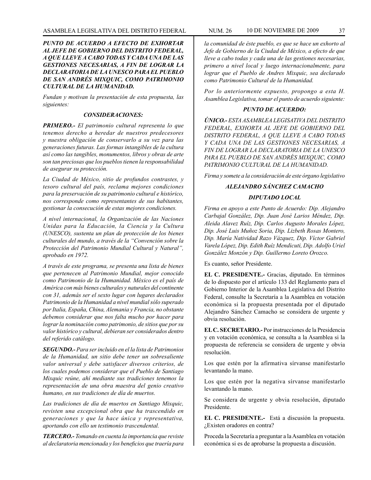*PUNTO DE ACUERDO A EFECTO DE EXHORTAR AL JEFE DE GOBIERNO DEL DISTRITO FEDERAL, A QUE LLEVE A CABO TODAS Y CADA UNA DE LAS GESTIONES NECESARIAS, A FIN DE LOGRAR LA DECLARATORIA DE LA UNESCO PARA EL PUEBLO DE SAN ANDRÉS MIXQUIC, COMO PATRIMONIO CULTURAL DE LA HUMANIDAD.*

*Fundan y motivan la presentación de esta propuesta, las siguientes:*

#### *CONSIDERACIONES:*

*PRIMERO.- El patrimonio cultural representa lo que tenemos derecho a heredar de nuestros predecesores y nuestra obligación de conservarlo a su vez para las generaciones futuras. Las formas intangibles de la cultura así como las tangibles, monumentos, libros y obras de arte son tan preciosas que los pueblos tienen la responsabilidad de asegurar su protección.*

*La Ciudad de México, sitio de profundos contrastes, y tesoro cultural del país, reclama mejores condiciones para la preservación de su patrimonio cultural e histórico, nos corresponde como representantes de sus habitantes, gestionar la consecución de estas mejores condiciones.*

*A nivel internacional, la Organización de las Naciones Unidas para la Educación, la Ciencia y la Cultura (UNESCO), sustenta un plan de protección de los bienes culturales del mundo, a través de la "Convención sobre la Protección del Patrimonio Mundial Cultural y Natural", aprobado en 1972.*

*A través de este programa, se presenta una lista de bienes que pertenecen al Patrimonio Mundial, mejor conocido como Patrimonio de la Humanidad. México es el país de América con más bienes culturales y naturales del continente con 31, además ser el sexto lugar con lugares declarados Patrimonio de la Humanidad a nivel mundial sólo superado por Italia, España, China, Alemania y Francia, no obstante debemos considerar que nos falta mucho por hacer para lograr la nominación como patrimonio, de sitios que por su valor histórico y cultural, debieran ser considerados dentro del referido catálogo.*

*SEGUNDO.- Para ser incluido en el la lista de Patrimonios de la Humanidad, un sitio debe tener un sobresaliente valor universal y debe satisfacer diversos criterios, de los cuales podemos considerar que el Pueblo de Santiago Mixquic reúne, ahí mediante sus tradiciones tenemos la representación de una obra maestra del genio creativo humano, en sus tradiciones de día de muertos.*

*Las tradiciones de día de muertos en Santiago Mixquic, revisten una excepcional obra que ha trascendido en generaciones y que la hace única y representativa, aportando con ello un testimonio trascendental.*

*TERCERO.- Tomando en cuenta la importancia que reviste al declaratoria mencionada y los beneficios que traería para* 

*la comunidad de éste pueblo, es que se hace un exhorto al Jefe de Gobierno de la Ciudad de México, a efecto de que lleve a cabo todas y cada una de las gestiones necesarias, primero a nivel local y luego internacionalmente, para lograr que el Pueblo de Andres Mixquic, sea declarado como Patrimonio Cultural de la Humanidad.*

*Por lo anteriormente expuesto, propongo a esta H. Asamblea Legislativa, tomar el punto de acuerdo siguiente:*

#### *PUNTO DE ACUERDO:*

*ÚNICO.- ESTA ASAMBLEA LEGISATIVA DEL DISTRITO FEDERAL, EXHORTA AL JEFE DE GOBIERNO DEL DISTRITO FEDERAL, A QUE LLEVE A CABO TODAS Y CADA UNA DE LAS GESTIONES NECESARIAS, A FIN DE LOGRAR LA DECLARATORIA DE LA UNESCO PARA EL PUEBLO DE SAN ANDRÉS MIXQUIC, COMO PATRIMONIO CULTURAL DE LA HUMANIDAD.* 

*Firma y somete a la consideración de este órgano legislativo*

### *ALEJANDRO SÁNCHEZ CAMACHO DIPUTADO LOCAL*

*Firma en apoyo a este Punto de Acuerdo: Dip. Alejandro Carbajal González, Dip. Juan José Larios Méndez, Dip. Aleida Alavez Ruíz, Dip. Carlos Augusto Morales López, Dip. José Luis Muñoz Soria, Dip. Lizbeth Rosas Montero, Dip. María Natividad Razo Vázquez, Dip. Víctor Gabriel Varela López, Dip. Edith Ruíz Mendicuti, Dip. Adolfo Uriel González Monzón y Dip. Guillermo Loreto Orozco.*

Es cuanto, señor Presidente.

**EL C. PRESIDENTE.-** Gracias, diputado. En términos de lo dispuesto por el artículo 133 del Reglamento para el Gobierno Interior de la Asamblea Legislativa del Distrito Federal, consulte la Secretaría a la Asamblea en votación económica si la propuesta presentada por el diputado Alejandro Sánchez Camacho se considera de urgente y obvia resolución.

**EL C. SECRETARIO.-** Por instrucciones de la Presidencia y en votación económica, se consulta a la Asamblea si la propuesta de referencia se considera de urgente y obvia resolución.

Los que estén por la afirmativa sírvanse manifestarlo levantando la mano.

Los que estén por la negativa sírvanse manifestarlo levantando la mano.

Se considera de urgente y obvia resolución, diputado Presidente.

**EL C. PRESIDENTE.-** Está a discusión la propuesta. ¿Existen oradores en contra?

Proceda la Secretaría a preguntar a la Asamblea en votación económica si es de aprobarse la propuesta a discusión.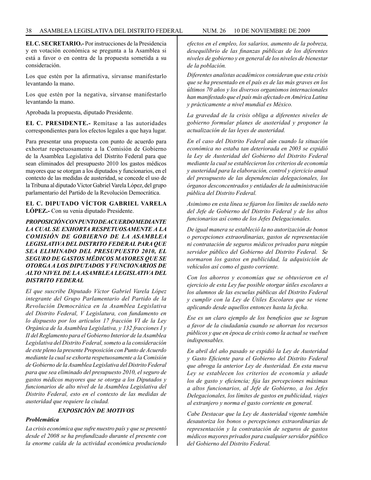**EL C. SECRETARIO.-** Por instrucciones de la Presidencia y en votación económica se pregunta a la Asamblea si está a favor o en contra de la propuesta sometida a su consideración.

Los que estén por la afirmativa, sírvanse manifestarlo levantando la mano.

Los que estén por la negativa, sírvanse manifestarlo levantando la mano.

Aprobada la propuesta, diputado Presidente.

**EL C. PRESIDENTE.-** Remítase a las autoridades correspondientes para los efectos legales a que haya lugar.

Para presentar una propuesta con punto de acuerdo para exhortar respetuosamente a la Comisión de Gobierno de la Asamblea Legislativa del Distrito Federal para que sean eliminados del presupuesto 2010 los gastos médicos mayores que se otorgan a los diputados y funcionarios, en el contexto de las medidas de austeridad, se concede el uso de la Tribuna al diputado Víctor Gabriel Varela López, del grupo parlamentario del Partido de la Revolución Democrática.

#### **EL C. DIPUTADO VÍCTOR GABRIEL VARELA LÓPEZ.-** Con su venia diputado Presidente.

*PROPOSICIÓN CON PUNTO DE ACUERDO MEDIANTE LA CUAL SE EXHORTA RESPETUOSAMENTE A LA COMISIÓN DE GOBIERNO DE LA ASAMBLEA LEGISLATIVA DEL DISTRITO FEDERAL PARA QUE SEA ELIMINADO DEL PRESUPUESTO 2010, EL SEGURO DE GASTOS MÉDICOS MAYORES QUE SE OTORGA A LOS DIPUTADOS Y FUNCIONARIOS DE ALTO NIVEL DE LA ASAMBLEA LEGISLATIVA DEL DISTRITO FEDERAL*

*El que suscribe Diputado Víctor Gabriel Varela López integrante del Grupo Parlamentario del Partido de la Revolución Democrática en la Asamblea Legislativa del Distrito Federal, V Legislatura, con fundamento en lo dispuesto por los artículos 17 fracción VI de la Ley Orgánica de la Asamblea Legislativa, y 132 fracciones I y II del Reglamento para el Gobierno Interior de la Asamblea Legislativa del Distrito Federal, someto a la consideración de este pleno la presente Proposición con Punto de Acuerdo mediante la cual se exhorta respetuosamente a la Comisión de Gobierno de la Asamblea Legislativa del Distrito Federal para que sea eliminado del presupuesto 2010, el seguro de gastos médicos mayores que se otorga a los Diputados y funcionarios de alto nivel de la Asamblea Legislativa del Distrito Federal, esto en el contexto de las medidas de austeridad que requiere la ciudad.*

#### *EXPOSICIÓN DE MOTIVOS*

#### *Problemática*

*La crisis económica que sufre nuestro país y que se presentó desde el 2008 se ha profundizado durante el presente con la enorme caída de la actividad económica produciendo* *efectos en el empleo, los salarios, aumento de la pobreza, desequilibrio de las finanzas públicas de los diferentes niveles de gobierno y en general de los niveles de bienestar de la población.*

*Diferentes analistas académicos consideran que esta crisis que se ha presentado en el país es de las más graves en los últimos 70 años y los diversos organismos internacionales han manifestado que el país más afectado en América Latina y prácticamente a nivel mundial es México.*

*La gravedad de la crisis obliga a diferentes niveles de gobierno formular planes de austeridad y proponer la actualización de las leyes de austeridad.*

*En el caso del Distrito Federal aún cuando la situación económica no estaba tan deteriorada en 2003 se expidió la Ley de Austeridad del Gobierno del Distrito Federal mediante la cual se establecieron los criterios de economía y austeridad para la elaboración, control y ejercicio anual del presupuesto de las dependencias delegacionales, los órganos desconcentrados y entidades de la administración pública del Distrito Federal.*

*Asimismo en esta línea se fijaron los límites de sueldo neto del Jefe de Gobierno del Distrito Federal y de los altos funcionarios así como de los Jefes Delegacionales.* 

*De igual manera se estableció la no autorización de bonos o percepciones extraordinarias, gastos de representación ni contratación de seguros médicos privados para ningún servidor público del Gobierno del Distrito Federal. Se normaron los gastos en publicidad, la adquisición de vehículos así como el gasto corriente.*

*Con los ahorros y economías que se obtuvieron en el ejercicio de esta Ley fue posible otorgar útiles escolares a los alumnos de las escuelas públicas del Distrito Federal y cumplir con la Ley de Útiles Escolares que se viene aplicando desde aquellos entonces hasta la fecha.* 

*Ese es un claro ejemplo de los beneficios que se logran a favor de la ciudadanía cuando se ahorran los recursos públicos y que en época de crisis como la actual se vuelven indispensables.*

*En abril del año pasado se expidió la Ley de Austeridad y Gasto Eficiente para el Gobierno del Distrito Federal que abroga la anterior Ley de Austeridad. En esta nueva Ley se establecen los criterios de economía y añade los de gasto y eficiencia; fija las percepciones máximas a altos funcionarios, al Jefe de Gobierno, a los Jefes Delegacionales, los límites de gastos en publicidad, viajes al extranjero y norma el gasto corriente en general.*

*Cabe Destacar que la Ley de Austeridad vigente también desautoriza los bonos o percepciones extraordinarias de representación y la contratación de seguros de gastos médicos mayores privados para cualquier servidor público del Gobierno del Distrito Federal.*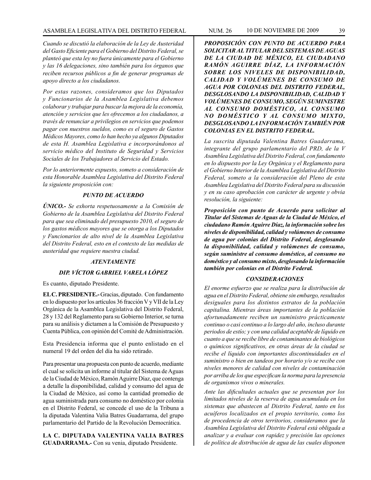#### ASAMBLEA LEGISLATIVA DEL DISTRITO FEDERAL NUM. 26 10 de NOVIEMRE de 2009 39

*Cuando se discutió la elaboración de la Ley de Austeridad del Gasto Eficiente para el Gobierno del Distrito Federal, se planteó que esta ley no fuera únicamente para el Gobierno y las 16 delegaciones, sino también para los órganos que reciben recursos públicos a fin de generar programas de apoyo directo a los ciudadanos.*

*Por estas razones, consideramos que los Diputados y Funcionarios de la Asamblea Legislativa debemos colaborar y trabajar para buscar la mejora de la economía, atención y servicios que les ofrecemos a los ciudadanos, a través de renunciar a privilegios en servicios que podemos pagar con nuestros sueldos, como es el seguro de Gastos Médicos Mayores, como lo han hecho ya algunos Diputados de esta H. Asamblea Legislativa e incorporándonos al servicio médico del Instituto de Seguridad y Servicios Sociales de los Trabajadores al Servicio del Estado.*

*Por lo anteriormente expuesto, someto a consideración de esta Honorable Asamblea Legislativa del Distrito Federal la siguiente proposición con:*

#### *PUNTO DE ACUERDO*

*ÚNICO.- Se exhorta respetuosamente a la Comisión de Gobierno de la Asamblea Legislativa del Distrito Federal para que sea eliminado del presupuesto 2010, el seguro de los gastos médicos mayores que se otorga a los Diputados y Funcionarios de alto nivel de la Asamblea Legislativa del Distrito Federal, esto en el contexto de las medidas de austeridad que requiere nuestra ciudad.* 

#### *ATENTAMENTE*

### *DIP. VÍCTOR GABRIEL VARELA LÓPEZ*

Es cuanto, diputado Presidente.

**EL C. PRESIDENTE.-** Gracias, diputado. Con fundamento en lo dispuesto por los artículos 36 fracción V y VII de la Ley Orgánica de la Asamblea Legislativa del Distrito Federal, 28 y 132 del Reglamento para su Gobierno Interior, se turna para su análisis y dictamen a la Comisión de Presupuesto y Cuenta Pública, con opinión del Comité de Administración.

Esta Presidencia informa que el punto enlistado en el numeral 19 del orden del día ha sido retirado.

Para presentar una propuesta con punto de acuerdo, mediante el cual se solicita un informe al titular del Sistema de Aguas de la Ciudad de México, Ramón Aguirre Díaz, que contenga a detalle la disponibilidad, calidad y consumo del agua de la Ciudad de México, así como la cantidad promedio de agua suministrada para consumo no doméstico por colonia en el Distrito Federal, se concede el uso de la Tribuna a la diputada Valentina Valia Batres Guadarrama, del grupo parlamentario del Partido de la Revolución Democrática.

**LA C. DIPUTADA VALENTINA VALIA BATRES GUADARRAMA.-** Con su venia, diputado Presidente.

*PROPOSICIÓN CON PUNTO DE ACUERDO PARA SOLICITAR AL TITULAR DEL SISTEMAS DE AGUAS DE LA CIUDAD DE MÉXICO, EL CIUDADANO RAMÓN AGUIRRE DÍAZ, LA INFORMACIÓN SOBRE LOS NIVELES DE DISPONIBILIDAD, CALIDAD Y VOLÚMENES DE CONSUMO DE AGUA POR COLONIAS DEL DISTRITO FEDERAL, DESGLOSANDO LA DISPONIBILIDAD, CALIDAD Y VOLÚMENES DE CONSUMO, SEGÚN SUMINISTRE AL CONSUMO DOMÉSTICO, AL CONSUMO NO DOMÉSTICO Y AL CONSUMO MIXTO, DESGLOSANDO LA INFORMACIÓN TAMBIÉN POR COLONIAS EN EL DISTRITO FEDERAL.*

*La suscrita diputada Valentina Batres Guadarrama, integrante del grupo parlamentario del PRD, de la V Asamblea Legislativa del Distrito Federal, con fundamento en lo dispuesto por la Ley Orgánica y el Reglamento para el Gobierno Interior de la Asamblea Legislativa del Distrito Federal, someto a la consideración del Pleno de esta Asamblea Legislativa del Distrito Federal para su discusión y en su caso aprobación con carácter de urgente y obvia resolución, la siguiente:*

*Proposición con punto de Acuerdo para solicitar al Titular del Sistemas de Aguas de la Ciudad de México, el ciudadano Ramón Aguirre Díaz, la información sobre los niveles de disponibilidad, calidad y volúmenes de consumo de agua por colonias del Distrito Federal, desglosando la disponibilidad, calidad y volúmenes de consumo, según suministre al consumo doméstico, al consumo no doméstico y al consumo mixto, desglosando la información también por colonias en el Distrito Federal.*

#### *CONSIDERACIONES*

*El enorme esfuerzo que se realiza para la distribución de agua en el Distrito Federal, obtiene sin embargo, resultados desiguales para los distintos estratos de la población capitalina. Mientras áreas importantes de la población afortunadamente reciben un suministro prácticamente continuo o casi continuo a lo largo del año, incluso durante periodos de estío; y con una calidad aceptable de líquido en cuanto a que se recibe libre de contaminantes de biológicos o químicos significativos, en otras áreas de la ciudad se recibe el líquido con importantes discontinuidades en el suministro o bien en tandeos por horario y/o se recibe con niveles menores de calidad con niveles de contaminación por arriba de los que especifican la norma para la presencia de organismos vivos o minerales.* 

*Ante las dificultades actuales que se presentan por los limitados niveles de la reserva de agua acumulada en los sistemas que abastecen al Distrito Federal, tanto en los acuíferos localizados en el propio territorio, como los de procedencia de otros territorios, consideramos que la Asamblea Legislativa del Distrito Federal está obligada a analizar y a evaluar con rapidez y precisión las opciones de política de distribución de agua de las cuales disponen*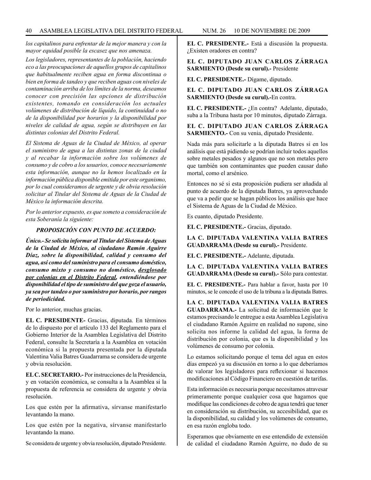*los capitalinos para enfrentar de la mejor manera y con la mayor equidad posible la escasez que nos amenaza.*

*Los legisladores, representantes de la población, haciendo eco a las preocupaciones de aquellos grupos de capitalinos que habitualmente reciben agua en forma discontinua o bien en forma de tandeo y que reciben aguas con niveles de contaminación arriba de los límites de la norma, deseamos conocer con precisión las opciones de distribución existentes, tomando en consideración los actuales volúmenes de distribución de líquido, la continuidad o no de la disponibilidad por horarios y la disponibilidad por niveles de calidad de agua, según se distribuyen en las distintas colonias del Distrito Federal.*

*El Sistema de Aguas de la Ciudad de México, al operar el suministro de agua a las distintas zonas de la ciudad y al recabar la información sobre los volúmenes de consumo y de cobro a los usuarios, conoce necesariamente esta información, aunque no la hemos localizado en la información pública disponible emitida por este organismo, por lo cual consideramos de urgente y de obvia resolución solicitar al Titular del Sistema de Aguas de la Ciudad de México la información descrita.*

*Por lo anterior expuesto, es que someto a consideración de esta Soberanía la siguiente:*

#### *PROPOSICIÓN CON PUNTO DE ACUERDO:*

*Único.- Se solicita informar al Titular del Sistema de Aguas de la Ciudad de México, al ciudadano Ramón Aguirre Díaz, sobre la disponibilidad, calidad y consumo del agua, así como del suministro para el consumo doméstico, consumo mixto y consumo no doméstico, desglosado por colonias en el Distrito Federal, entendiéndose por disponibilidad el tipo de suministro del que goza el usuario, ya sea por tandeo o por suministro por horario, por rangos de periodicidad.*

Por lo anterior, muchas gracias.

**EL C. PRESIDENTE-** Gracias, diputada. En términos de lo dispuesto por el artículo 133 del Reglamento para el Gobierno Interior de la Asamblea Legislativa del Distrito Federal, consulte la Secretaría a la Asamblea en votación económica si la propuesta presentada por la diputada Valentina Valia Batres Guadarrama se considera de urgente y obvia resolución.

**EL C. SECRETARIO.-** Por instrucciones de la Presidencia, y en votación económica, se consulta a la Asamblea si la propuesta de referencia se considera de urgente y obvia resolución.

Los que estén por la afirmativa, sírvanse manifestarlo levantando la mano.

Los que estén por la negativa, sírvanse manifestarlo levantando la mano.

Se considera de urgente y obvia resolución, diputado Presidente.

**EL C. PRESIDENTE.-** Está a discusión la propuesta. ¿Existen oradores en contra?

#### **EL C. DIPUTADO JUAN CARLOS ZÁRRAGA SARMIENTO (Desde su curul).-** Presidente

**EL C. PRESIDENTE.-** Dígame, diputado.

**EL C. DIPUTADO JUAN CARLOS ZÁRRAGA SARMIENTO (Desde su curul).-**En contra.

**EL C. PRESIDENTE.-** ¿En contra? Adelante, diputado, suba a la Tribuna hasta por 10 minutos, diputado Zárraga.

**EL C. DIPUTADO JUAN CARLOS ZÁRRAGA SARMIENTO.-** Con su venia, diputado Presidente.

Nada más para solicitarle a la diputada Batres si en los análisis que está pidiendo se podrían incluir todos aquellos sobre metales pesados y algunos que no son metales pero que también son contaminantes que pueden causar daño mortal, como el arsénico.

Entonces no sé si esta proposición pudiera ser añadida al punto de acuerdo de la diputada Batres, ya aprovechando que va a pedir que se hagan públicos los análisis que hace el Sistema de Aguas de la Ciudad de México.

Es cuanto, diputado Presidente.

**EL C. PRESIDENTE.-** Gracias, diputado.

**LA C. DIPUTADA VALENTINA VALIA BATRES GUADARRAMA (Desde su curul).-** Presidente.

**EL C. PRESIDENTE.-** Adelante, diputada.

**LA C. DIPUTADA VALENTINA VALIA BATRES GUADARRAMA (Desde su curul).-** Sólo para contestar.

**EL C. PRESIDENTE.-** Para hablar a favor, hasta por 10 minutos, se le concede el uso de la tribuna a la diputada Batres.

**LA C. DIPUTADA VALENTINA VALIA BATRES GUADARRAMA.-** La solicitud de información que le estamos precisando le entregue a esta Asamblea Legislativa el ciudadano Ramón Aguirre en realidad no supone, sino solicita nos informe la calidad del agua, la forma de distribución por colonia, que es la disponibilidad y los volúmenes de consumo por colonia.

Lo estamos solicitando porque el tema del agua en estos días empezó ya su discusión en torno a lo que deberíamos de valorar los legisladores para reflexionar si hacemos modificaciones al Código Financiero en cuestión de tarifas.

Esta información es necesaria porque necesitamos atravesar primeramente porque cualquier cosa que hagamos que modifique las condiciones de cobro de agua tendrá que tener en consideración su distribución, su accesibilidad, que es la disponibilidad, su calidad y los volúmenes de consumo, en esa razón engloba todo.

Esperamos que obviamente en ese entendido de extensión de calidad el ciudadano Ramón Aguirre, no dudo de su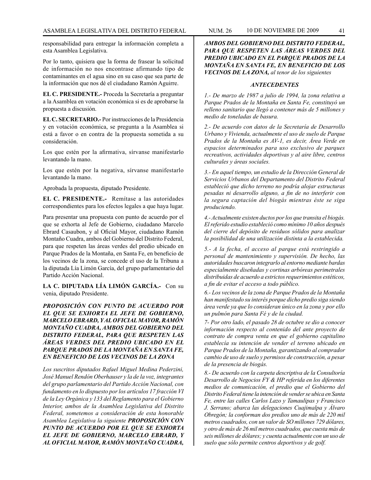responsabilidad para entregar la información completa a esta Asamblea Legislativa.

Por lo tanto, quisiera que la forma de frasear la solicitud de información no nos encontrase afirmando tipo de contaminantes en el agua sino en su caso que sea parte de la información que nos dé el ciudadano Ramón Aguirre.

**EL C. PRESIDENTE.-** Proceda la Secretaría a preguntar a la Asamblea en votación económica si es de aprobarse la propuesta a discusión.

**EL C. SECRETARIO.-** Por instrucciones de la Presidencia y en votación económica, se pregunta a la Asamblea si está a favor o en contra de la propuesta sometida a su consideración.

Los que estén por la afirmativa, sírvanse manifestarlo levantando la mano.

Los que estén por la negativa, sírvanse manifestarlo levantando la mano.

Aprobada la propuesta, diputado Presidente.

**EL C. PRESIDENTE.-** Remítase a las autoridades correspondientes para los efectos legales a que haya lugar.

Para presentar una propuesta con punto de acuerdo por el que se exhorta al Jefe de Gobierno, ciudadano Marcelo Ebrard Casaubon, y al Oficial Mayor, ciudadano Ramón Montaño Cuadra, ambos del Gobierno del Distrito Federal, para que respeten las áreas verdes del predio ubicado en Parque Prados de la Montaña, en Santa Fe, en beneficio de los vecinos de la zona, se concede el uso de la Tribuna a la diputada Lía Limón García, del grupo parlamentario del Partido Acción Nacional.

**LA C. DIPUTADA LÍA LIMÓN GARCÍA.-** Con su venia, diputado Presidente.

*PROPOSICIÓN CON PUNTO DE ACUERDO POR EL QUE SE EXHORTA EL JEFE DE GOBIERNO, MARCELO EBRARD, Y AL OFICIAL MAYOR, RAMÓN MONTAÑO CUADRA, AMBOS DEL GOBIERNO DEL DISTRITO FEDERAL, PARA QUE RESPETEN LAS ÁREAS VERDES DEL PREDIO UBICADO EN EL PARQUE PRADOS DE LA MONTAÑA EN SANTA FE, EN BENEFICIO DE LOS VECINOS DE LA ZONA*

*Los suscritos diputados Rafael Miguel Medina Pederzini, José Manuel Rendón Oberhauser y la de la voz, integrantes del grupo parlamentario del Partido Acción Nacional, con fundamento en lo dispuesto por los artículos 17 fracción VI de la Ley Orgánica y 133 del Reglamento para el Gobierno Interior, ambos de la Asamblea Legislativa del Distrito Federal, sometemos a consideración de esta honorable Asamblea Legislativa la siguiente PROPOSICIÓN CON PUNTO DE ACUERDO POR EL QUE SE EXHORTA EL JEFE DE GOBIERNO, MARCELO EBRARD, Y AL OFICIAL MAYOR, RAMÓN MONTAÑO CUADRA,* 

*AMBOS DEL GOBIERNO DEL DISTRITO FEDERAL, PARA QUE RESPETEN LAS ÁREAS VERDES DEL PREDIO UBICADO EN EL PARQUE PRADOS DE LA MONTAÑA EN SANTA FE, EN BENEFICIO DE LOS VECINOS DE LA ZONA, al tenor de los siguientes* 

#### *ANTECEDENTES*

*1.- De marzo de 1987 a julio de 1994, la zona relativa a Parque Prados de la Montaña en Santa Fe, constituyó un relleno sanitario que llegó a contener más de 5 millones y medio de toneladas de basura.*

*2.- De acuerdo con datos de la Secretaría de Desarrollo Urbano y Vivienda, actualmente el uso de suelo de Parque Prados de la Montaña es AV-1, es decir, Área Verde en espacios determinados para uso exclusivo de parques recreativos, actividades deportivas y al aire libre, centros culturales y áreas sociales.*

*3.- En aquel tiempo, un estudio de la Dirección General de Servicios Urbanos del Departamento del Distrito Federal estableció que dicho terreno no podría alojar estructuras pesadas ni desarrollo alguno, a fin de no interferir con la segura captación del biogás mientras éste se siga produciendo.*

*4.- Actualmente existen ductos por los que transita el biogás. El referido estudio estableció como mínimo 10 años después del cierre del depósito de residuos sólidos para analizar la posibilidad de una utilización distinta a la establecida.*

*5.- A la fecha, el acceso al parque está restringido a personal de mantenimiento y supervisión. De hecho, las autoridades buscaron integrarlo al entorno mediante bardas especialmente diseñadas y cortinas arbóreas perimetrales distribuidas de acuerdo a estrictos requerimientos estéticos, a fin de evitar el acceso a todo público.*

*6.- Los vecinos de la zona de Parque Prados de la Montaña han manifestado su interés porque dicho predio siga siendo área verde ya que lo consideran único en la zona y por ello un pulmón para Santa Fé y de la ciudad.*

*7- Por otro lado, el pasado 28 de octubre se dio a conocer información respecto al contenido del ante proyecto de contrato de compra venta en que el gobierno capitalino establecía su intención de vender el terreno ubicado en Parque Prados de la Montaña, garantizando al comprador cambio de uso de suelo y permisos de construcción, a pesar de la presencia de biogás.*

*8.- De acuerdo con la carpeta descriptiva de la Consultoría Desarrollo de Negocios FY & HP referida en los diferentes medios de comunicación, el predio que el Gobierno del Distrito Federal tiene la intención de vender se ubica en Santa Fe, entre las calles Carlos Lazo y Tamaulipas y Francisco J. Serrano; abarca las delegaciones Cuajimalpa y Álvaro Obregón; la conforman dos predios uno de más de 220 mil metros cuadrados, con un valor de SO millones 729 dólares, y otro de más de 26 mil metros cuadrados, que cuesta más de seis millones de dólares; y cuenta actualmente con un uso de suelo que sólo permite centros deportivos y de golf.*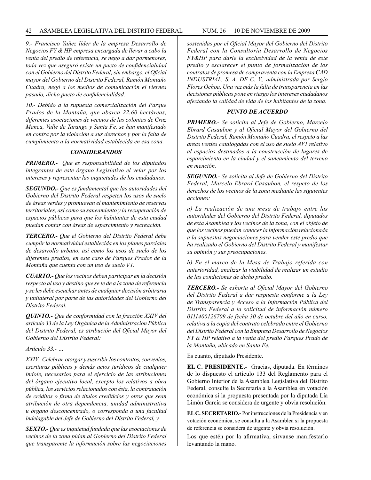#### 42 ASAMBLEA LEGISLATIVA DEL DISTRITO FEDERAL NUM. 26 10 de NOVIEMBRE de 2009

*9.- Francisco Yañez líder de la empresa Desarrollo de Negocios FY & HP empresa encargada de llevar a cabo la venta del predio de referencia, se negó a dar pormenores, toda vez que aseguró existe un pacto de confidencialidad con el Gobierno del Distrito Federal; sin embargo, el Oficial mayor del Gobierno del Distrito Federal, Ramón Montaño Cuadra, negó a los medios de comunicación el viernes pasado, dicho pacto de confidencialidad.*

*10.- Debido a la supuesta comercialización del Parque Prados de la Montaña, que abarca 22.60 hectáreas, diferentes asociaciones de vecinos de las colonias de Cruz Manca, Valle de Tarango y Santa Fe, se han manifestado en contra por la violación a sus derechos y por la falta de cumplimiento a la normatividad establecida en esa zona.*

#### *CONSIDERANDOS*

*PRIMERO.- Que es responsabilidad de los diputados integrantes de este órgano Legislativo el velar por los intereses y representar las inquietudes de los ciudadanos.*

*SEGUNDO.- Que es fundamental que las autoridades del Gobierno del Distrito Federal respeten los usos de suelo de áreas verdes y promuevan el mantenimiento de reservas territoriales, así como su saneamiento y la recuperación de espacios públicos para que los habitantes de esta ciudad puedan contar con áreas de esparcimiento y recreación.*

*TERCERO.- Que el Gobierno del Distrito Federal debe cumplir la normatividad establecida en los planes parciales de desarrollo urbano, así como los usos de suelo de los diferentes predios, en este caso de Parques Prados de la Montaña que cuenta con un uso de suelo V1.*

*CUARTO.- Que los vecinos deben participar en la decisión respecto al uso y destino que se le dé a la zona de referencia y se les debe escuchar antes de cualquier decisión arbitraria y unilateral por parte de las autoridades del Gobierno del Distrito Federal.*

*QUINTO.- Que de conformidad con la fracción XXIV del artículo 33 de la Ley Orgánica de la Administración Pública del Distrito Federal, es atribución del Oficial Mayor del Gobierno del Distrito Federal:* 

*Artículo 33.- …*

*XXIV.- Celebrar, otorgar y suscribir los contratos, convenios, escrituras públicas y demás actos jurídicos de cualquier índole, necesarios para el ejercicio de las atribuciones del órgano ejecutivo local, excepto los relativos a obra pública, los servicios relacionados con ésta, la contratación de créditos o firma de títulos crediticios y otros que sean atribución de otra dependencia, unidad administrativa u órgano desconcentrado, o corresponda a una facultad indelagable del Jefe de Gobierno del Distrito Federal, y* 

*SEXTO.- Que es inquietud fundada que las asociaciones de vecinos de la zona pidan al Gobierno del Distrito Federal que transparente la información sobre las negociaciones* 

*sostenidas por el Oficial Mayor del Gobierno del Distrito Federal con la Consultoría Desarrollo de Negocios FY&HP para darle la exclusividad de la venta de este predio y esclarecer el punto de formalización de los contratos de promesa de compraventa con la Empresa CAD INDUSTRIAL, S. A. DE C. V., administrada por Sergio Flores Ochoa. Una vez más la falta de transparencia en las decisiones públicas pone en riesgo los intereses ciudadanos afectando la calidad de vida de los habitantes de la zona.*

#### *PUNTO DE ACUERDO*

*PRIMERO.- Se solicita al Jefe de Gobierno, Marcelo Ebrard Casaubon y al Oficial Mayor del Gobierno del Distrito Federal, Ramón Montaño Cuadra, el respeto a las áreas verdes catalogadas con el uso de suelo AV1 relativo al espacios destinados a la construcción de lugares de esparcimiento en la ciudad y el saneamiento del terreno en mención.*

*SEGUNDO.- Se solicita al Jefe de Gobierno del Distrito Federal, Marcelo Ebrard Casaubon, el respeto de los derechos de los vecinos de la zona mediante las siguientes acciones:*

*a) La realización de una mesa de trabajo entre las autoridades del Gobierno del Distrito Federal, diputados de esta Asamblea y los vecinos de la zona, con el objeto de que los vecinos puedan conocer la información relacionada a la supuestas negociaciones para vender este predio que ha realizado el Gobierno del Distrito Federal y manifestar su opinión y sus preocupaciones.*

*b) En el marco de la Mesa de Trabajo referida con anterioridad, analizar la viabilidad de realizar un estudio de las condiciones de dicho predio.*

*TERCERO.- Se exhorta al Oficial Mayor del Gobierno del Distrito Federal a dar respuesta conforme a la Ley de Transparencia y Acceso a la Información Pública del Distrito Federal a la solicitud de información número 0111400126709 de fecha 30 de octubre del año en curso, relativa a la copia del contrato celebrado entre el Gobierno del Distrito Federal con la Empresa Desarrollo de Negocios FY & HP relativo a la venta del predio Parques Prado de la Montaña, ubicado en Santa Fe.*

Es cuanto, diputado Presidente.

**EL C. PRESIDENTE.-** Gracias, diputada. En términos de lo dispuesto el artículo 133 del Reglamento para el Gobierno Interior de la Asamblea Legislativa del Distrito Federal, consulte la Secretaría a la Asamblea en votación económica si la propuesta presentada por la diputada Lía Limón García se considera de urgente y obvia resolución.

**EL C. SECRETARIO.-** Por instrucciones de la Presidencia y en votación económica, se consulta a la Asamblea si la propuesta de referencia se considera de urgente y obvia resolución.

Los que estén por la afirmativa, sírvanse manifestarlo levantando la mano.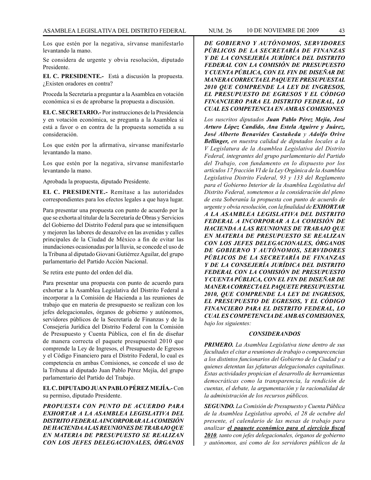Los que estén por la negativa, sírvanse manifestarlo levantando la mano.

Se considera de urgente y obvia resolución, diputado Presidente.

**EL C. PRESIDENTE.-** Está a discusión la propuesta. ¿Existen oradores en contra?

Proceda la Secretaría a preguntar a la Asamblea en votación económica si es de aprobarse la propuesta a discusión.

**EL C. SECRETARIO.-** Por instrucciones de la Presidencia y en votación económica, se pregunta a la Asamblea si está a favor o en contra de la propuesta sometida a su consideración.

Los que estén por la afirmativa, sírvanse manifestarlo levantando la mano.

Los que estén por la negativa, sírvanse manifestarlo levantando la mano.

Aprobada la propuesta, diputado Presidente.

**EL C. PRESIDENTE.-** Remítase a las autoridades correspondientes para los efectos legales a que haya lugar.

Para presentar una propuesta con punto de acuerdo por la que se exhorta al titular de la Secretaría de Obras y Servicios del Gobierno del Distrito Federal para que se intensifiquen y mejoren las labores de desazolve en las avenidas y calles principales de la Ciudad de México a fin de evitar las inundaciones ocasionadas por la lluvia, se concede el uso de la Tribuna al diputado Giovani Gutiérrez Aguilar, del grupo parlamentario del Partido Acción Nacional.

Se retira este punto del orden del día.

Para presentar una propuesta con punto de acuerdo para exhortar a la Asamblea Legislativa del Distrito Federal a incorporar a la Comisión de Hacienda a las reuniones de trabajo que en materia de presupuesto se realizan con los jefes delegacionales, órganos de gobierno y autónomos, servidores públicos de la Secretaría de Finanzas y de la Consejería Jurídica del Distrito Federal con la Comisión de Presupuesto y Cuenta Pública, con el fin de diseñar de manera correcta el paquete presupuestal 2010 que comprende la Ley de Ingresos, el Presupuesto de Egresos y el Código Financiero para el Distrito Federal, lo cual es competencia en ambas Comisiones, se concede el uso de la Tribuna al diputado Juan Pablo Pérez Mejía, del grupo parlamentario del Partido del Trabajo.

**EL C. DIPUTADO JUAN PABLO PÉREZ MEJÍA.-** Con su permiso, diputado Presidente.

*PROPUESTA CON PUNTO DE ACUERDO PARA EXHORTAR A LA ASAMBLEA LEGISLATIVA DEL DISTRITO FEDERAL A INCORPORAR A LA COMISIÓN DE HACIENDA A LAS REUNIONES DE TRABAJO QUE EN MATERIA DE PRESUPUESTO SE REALIZAN CON LOS JEFES DELEGACIONALES, ÓRGANOS* 

*DE GOBIERNO Y AUTÓNOMOS, SERVIDORES PÚBLICOS DE LA SECRETARÍA DE FINANZAS Y DE LA CONSEJERÍA JURÍDICA DEL DISTRITO FEDERAL CON LA COMISIÓN DE PRESUPUESTO Y CUENTA PÚBLICA, CON EL FIN DE DISEÑAR DE MANERA CORRECTA EL PAQUETE PRESUPUESTAL 2010 QUE COMPRENDE LA LEY DE INGRESOS, EL PRESUPUESTO DE EGRESOS Y EL CÓDIGO FINANCIERO PARA EL DISTRITO FEDERAL, LO CUAL ES COMPETENCIA EN AMBAS COMISIONES*

*Los suscritos diputados Juan Pablo Pérez Mejía, José Arturo López Candido, Ana Estela Aguirre y Juárez, José Alberto Benavides Castañeda y Adolfo Orive Bellinger, en nuestra calidad de diputados locales a la V Legislatura de la Asamblea Legislativa del Distrito Federal, integrantes del grupo parlamentario del Partido del Trabajo, con fundamento en lo dispuesto por los artículos 17 fracción VI de la Ley Orgánica de la Asamblea Legislativa Distrito Federal, 93 y 133 del Reglamento para el Gobierno Interior de la Asamblea Legislativa del Distrito Federal, sometemos a la consideración del pleno de esta Soberanía la propuesta con punto de acuerdo de urgente y obvia resolución, con la finalidad de EXHORTAR A LA ASAMBLEA LEGISLATIVA DEL DISTRITO FEDERAL A INCORPORAR A LA COMISIÓN DE HACIENDA A LAS REUNIONES DE TRABAJO QUE EN MATERIA DE PRESUPUESTO SE REALIZAN CON LOS JEFES DELEGACIONALES, ÓRGANOS DE GOBIERNO Y AUTÓNOMOS, SERVIDORES PÚBLICOS DE LA SECRETARÍA DE FINANZAS Y DE LA CONSEJERÍA JURÍDICA DEL DISTRITO FEDERAL CON LA COMISIÓN DE PRESUPUESTO Y CUENTA PÚBLICA, CON EL FIN DE DISEÑAR DE MANERA CORRECTA EL PAQUETE PRESUPUESTAL 2010, QUE COMPRENDE LA LEY DE INGRESOS, EL PRESUPUESTO DE EGRESOS, Y EL CÓDIGO FINANCIERO PARA EL DISTRITO FEDERAL, LO CUAL ES COMPETENCIA DE AMBAS COMISIONES, bajo los siguientes:*

#### *CONSIDERANDOS*

*PRIMERO. La Asamblea Legislativa tiene dentro de sus facultades el citar a reuniones de trabajo o comparecencias a los distintos funcionarios del Gobierno de la Ciudad y a quienes detentan las jefaturas delegacionales capitalinas. Estas actividades propician el desarrollo de herramientas democráticas como la transparencia, la rendición de cuentas, el debate, la argumentación y la racionalidad de la administración de los recursos públicos.*

*SEGUNDO. La Comisión de Presupuesto y Cuenta Pública de la Asamblea Legislativa aprobó, el 28 de octubre del presente, el calendario de las mesas de trabajo para analizar el paquete económico para el ejercicio fiscal 2010, tanto con jefes delegacionales, órganos de gobierno y autónomos, así como de los servidores públicos de la*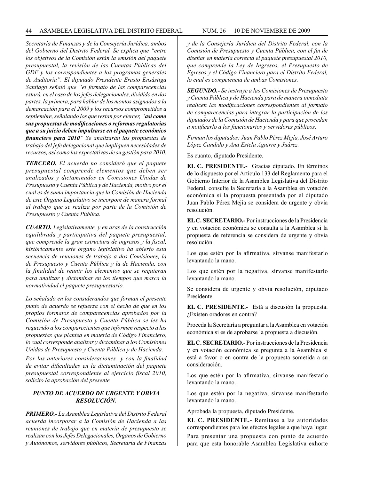*Secretaría de Finanzas y de la Consejería Jurídica, ambos del Gobierno del Distrito Federal. Se explica que "entre los objetivos de la Comisión están la emisión del paquete presupuestal, la revisión de las Cuentas Públicas del GDF y los correspondientes a los programas generales de Auditoría". El diputado Presidente Erasto Ensástiga Santiago señaló que "el formato de las comparecencias estará, en el caso de los jefes delegacionales, dividido en dos partes, la primera, para hablar de los montos asignados a la demarcación para el 2009 y los recursos comprometidos a septiembre, señalando los que restan por ejercer, "así como sus propuestas de modificaciones o reformas regulatorias que a su juicio deben impulsarse en el paquete económico financiero para 2010" Se analizarán las propuestas de trabajo del jefe delegacional que impliquen necesidades de recursos, así como las expectativas de su gestión para 2010.*

*TERCERO. El acuerdo no consideró que el paquete presupuestal comprende elementos que deben ser analizados y dictaminados en Comisiones Unidas de Presupuesto y Cuenta Pública y de Hacienda, motivo por el cual es de suma importancia que la Comisión de Hacienda de este Órgano Legislativo se incorpore de manera formal al trabajo que se realiza por parte de la Comisión de Presupuesto y Cuenta Pública.*

*CUARTO. Legislativamente, y en aras de la construcción equilibrada y participativa del paquete presupuestal, que comprende la gran estructura de ingresos y la fiscal, históricamente este órgano legislativo ha abierto esta secuencia de reuniones de trabajo a dos Comisiones, la de Presupuesto y Cuenta Pública y la de Hacienda, con la finalidad de reunir los elementos que se requieran para analizar y dictaminar en los tiempos que marca la normatividad el paquete presupuestario.*

*Lo señalado en los considerandos que forman el presente punto de acuerdo se refuerza con el hecho de que en los propios formatos de comparecencias aprobados por la Comisión de Presupuesto y Cuenta Pública se les ha requerido a los comparecientes que informen respecto a las propuestas que plantea en materia de Código Financiero, lo cual corresponde analizar y dictaminar a los Comisiones Unidas de Presupuesto y Cuenta Pública y de Hacienda.*

*Por las anteriores consideraciones y con la finalidad de evitar dificultades en la dictaminación del paquete presupuestal correspondiente al ejercicio fiscal 2010, solicito la aprobación del presente* 

#### *PUNTO DE ACUERDO DE URGENTE Y OBVIA RESOLUCIÓN.*

*PRIMERO.- La Asamblea Legislativa del Distrito Federal acuerda incorporar a la Comisión de Hacienda a las reuniones de trabajo que en materia de presupuesto se realizan con los Jefes Delegacionales, Órganos de Gobierno y Autónomos, servidores públicos, Secretaría de Finanzas* 

*y de la Consejería Jurídica del Distrito Federal, con la Comisión de Presupuesto y Cuenta Pública, con el fin de diseñar en materia correcta el paquete presupuestal 2010, que comprende la Ley de Ingresos, el Presupuesto de Egresos y el Código Financiero para el Distrito Federal, lo cual es competencia de ambas Comisiones.*

*SEGUNDO.- Se instruye a las Comisiones de Presupuesto y Cuenta Pública y de Hacienda para de manera inmediata realicen las modificaciones correspondientes al formato de comparecencias para integrar la participación de los diputados de la Comisión de Hacienda y para que procedan a notificarlo a los funcionarios y servidores públicos.*

*Firman los diputados: Juan Pablo Pérez Mejía, José Arturo López Candido y Ana Estela Aguirre y Juárez.*

Es cuanto, diputado Presidente.

**EL C. PRESIDENTE.-** Gracias diputado. En términos de lo dispuesto por el Artículo 133 del Reglamento para el Gobierno Interior de la Asamblea Legislativa del Distrito Federal, consulte la Secretaría a la Asamblea en votación económica si la propuesta presentada por el diputado Juan Pablo Pérez Mejía se considera de urgente y obvia resolución.

**EL C. SECRETARIO.-** Por instrucciones de la Presidencia y en votación económica se consulta a la Asamblea si la propuesta de referencia se considera de urgente y obvia resolución.

Los que estén por la afirmativa, sírvanse manifestarlo levantando la mano.

Los que estén por la negativa, sírvanse manifestarlo levantando la mano.

Se considera de urgente y obvia resolución, diputado Presidente.

**EL C. PRESIDENTE.-** Está a discusión la propuesta. ¿Existen oradores en contra?

Proceda la Secretaría a preguntar a la Asamblea en votación económica si es de aprobarse la propuesta a discusión.

**EL C. SECRETARIO.-** Por instrucciones de la Presidencia y en votación económica se pregunta a la Asamblea si está a favor o en contra de la propuesta sometida a su consideración.

Los que estén por la afirmativa, sírvanse manifestarlo levantando la mano.

Los que estén por la negativa, sírvanse manifestarlo levantando la mano.

Aprobada la propuesta, diputado Presidente.

**EL C. PRESIDENTE.-** Remítase a las autoridades correspondientes para los efectos legales a que haya lugar. Para presentar una propuesta con punto de acuerdo para que esta honorable Asamblea Legislativa exhorte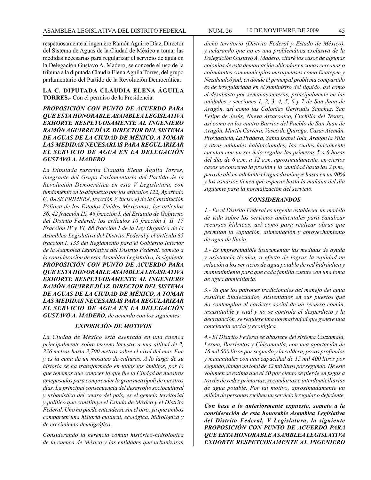respetuosamente al ingeniero Ramón Aguirre Díaz, Director del Sistema de Aguas de la Ciudad de México a tomar las medidas necesarias para regularizar el servicio de agua en la Delegación Gustavo A. Madero, se concede el uso de la tribuna a la diputada Claudia Elena Aguila Torres, del grupo parlamentario del Partido de la Revolución Democrática.

**LA C. DIPUTADA CLAUDIA ELENA ÁGUILA TORRES.-** Con el permiso de la Presidencia.

*PROPOSICIÓN CON PUNTO DE ACUERDO PARA QUE ESTA HONORABLE ASAMBLEA LEGISLATIVA EXHORTE RESPETUOSAMENTE AL INGENIERO RAMÓN AGUIRRE DÍAZ, DIRECTOR DEL SISTEMA DE AGUAS DE LA CIUDAD DE MÉXICO, A TOMAR LAS MEDIDAS NECESARIAS PARA REGULARIZAR EL SERVICIO DE AGUA EN LA DELEGACIÓN GUSTAVO A. MADERO*

*La Diputada suscrita Claudia Elena Águila Torres, integrante del Grupo Parlamentario del Partido de la Revolución Democrática en esta V Legislatura, con fundamento en lo dispuesto por los artículos 122, Apartado C, BASE PRIMERA, fracción V, inciso e) de la Constitución Política de los Estados Unidos Mexicanos; los artículos 36, 42 fracción IX, 46 fracción I, del Estatuto de Gobierno del Distrito Federal; los artículos 10 fracción I, II, 17 Fracción IV y VI, 88 fracción I de la Ley Orgánica de la Asamblea Legislativa del Distrito Federal y el artículo 85 fracción I, 133 del Reglamento para el Gobierno Interior de la Asamblea Legislativa del Distrito Federal, someto a la consideración de esta Asamblea Legislativa, la siguiente PROPOSICIÓN CON PUNTO DE ACUERDO PARA QUE ESTA HONORABLE ASAMBLEA LEGISLATIVA EXHORTE RESPETUOSAMENTE AL INGENIERO RAMÓN AGUIRRE DÍAZ, DIRECTOR DEL SISTEMA DE AGUAS DE LA CIUDAD DE MÉXICO, A TOMAR LAS MEDIDAS NECESARIAS PARA REGULARIZAR EL SERVICIO DE AGUA EN LA DELEGACIÓN GUSTAVO A. MADERO, de acuerdo con los siguientes:*

#### *EXPOSICIÓN DE MOTIVOS*

*La Ciudad de México está asentada en una cuenca principalmente sobre terreno lacustre a una altitud de 2, 236 metros hasta 3,700 metros sobre el nivel del mar. Fue y es la cuna de un mosaico de culturas. A lo largo de su historia se ha transformado en todos los ámbitos, por lo que tenemos que conocer lo que fue la Ciudad de nuestros antepasados para comprender la gran metrópoli de nuestros días. La principal consecuencia del desarrollo sociocultural y urbanístico del centro del país, es el gemelo territorial y político que constituye el Estado de México y el Distrito Federal. Uno no puede entenderse sin el otro, ya que ambos comparten una historia cultural, ecológica, hidrológica y de crecimiento demográfico.* 

*Considerando la herencia común histórico-hidrológica de la cuenca de México y las entidades que urbanizaron* 

*dicho territorio (Distrito Federal y Estado de México), y aclarando que no es una problemática exclusiva de la Delegación Gustavo A. Madero, citaré los casos de algunas colonias de esta demarcación ubicadas en zonas cercanas o colindantes con municipios mexiquenses como Ecatepec y Nezahualcóyotl, en donde el principal problema compartido es de irregularidad en el suministro del líquido, así como el desabasto por semanas enteras, principalmente en las unidades y secciones 1, 2, 3, 4, 5, 6 y 7 de San Juan de Aragón, así como las Colonias Gertrudis Sánchez, San Felipe de Jesús, Nueva Atzacoalco, Cuchilla del Tesoro, así como en los cuatro Barrios del Pueblo de San Juan de Aragón, Martín Carrera, Vasco de Quiroga, Casas Alemán, Providencia, La Pradera, Santa Isabel Tola, Aragón la Villa y otras unidades habitacionales, las cuales únicamente cuentan con un servicio regular las primeras 5 a 6 horas del día, de 6 a.m. a 12 a.m. aproximadamente, en ciertos casos se conserva la presión y la cantidad hasta las 2 p.m., pero de ahí en adelante el agua disminuye hasta en un 90% y los usuarios tienen qué esperar hasta la mañana del día siguiente para la normalización del servicio.*

#### *CONSIDERANDOS*

*1.- En el Distrito Federal es urgente establecer un modelo de vida sobre los servicios ambientales para canalizar recursos hídricos, así como para realizar obras que permitan la captación, alimentación y aprovechamiento de agua de lluvia.*

*2.- Es imprescindible instrumentar las medidas de ayuda y asistencia técnica, a efecto de lograr la equidad en relación a los servicios de agua potable de red hidráulica y mantenimiento para que cada familia cuente con una toma de agua domiciliaria.*

*3.- Ya que los patrones tradicionales del manejo del agua resultan inadecuados, sustentados en sus puestos que no contemplan el carácter social de un recurso común, insustituible y vital y no se controla el desperdicio y la degradación, se requiere una normatividad que genere una conciencia social y ecológica.*

*4.- El Distrito Federal se abastece del sistema Cutzamala, Lerma, Barrientos y Chiconautla, con una aportación de 16 mil 600 litros por segundo y la caldera, pozos profundos y manantiales con una capacidad de 15 mil 400 litros por segundo, dando un total de 32 mil litros por segundo. De este volumen se estima que el 30 por ciento se pierde en fugas a través de redes primarias, secundarias e interdomiciliarias de agua potable. Por tal motivo, aproximadamente un millón de personas reciben un servicio irregular o deficiente.*

*Con base a lo anteriormente expuesto, someto a la consideración de esta honorable Asamblea Legislativa del Distrito Federal, V Legislatura, la siguiente PROPOSICIÓN CON PUNTO DE ACUERDO PARA QUE ESTA HONORABLE ASAMBLEA LEGISLATIVA EXHORTE RESPETUOSAMENTE AL INGENIERO*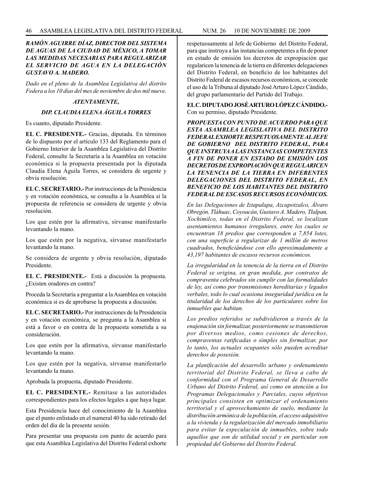#### *RAMÓN AGUIRRE DÍAZ, DIRECTOR DEL SISTEMA DE AGUAS DE LA CIUDAD DE MÉXICO, A TOMAR LAS MEDIDAS NECESARIAS PARA REGULARIZAR EL SERVICIO DE AGUA EN LA DELEGACIÓN GUSTAVO A. MADERO.*

*Dado en el pleno de la Asamblea Legislativa del distrito Federa a los 10 días del mes de noviembre de dos mil nueve.*

#### *ATENTAMENTE,*

#### *DIP. CLAUDIA ELENA ÁGUILA TORRES*

Es cuanto, diputado Presidente.

**EL C. PRESIDENTE.-** Gracias, diputada. En términos de lo dispuesto por el artículo 133 del Reglamento para el Gobierno Interior de la Asamblea Legislativa del Distrito Federal, consulte la Secretaría a la Asamblea en votación económica si la propuesta presentada por la diputada Claudia Elena Águila Torres, se considera de urgente y obvia resolución.

**EL C. SECRETARIO.-** Por instrucciones de la Presidencia y en votación económica, se consulta a la Asamblea si la propuesta de referencia se considera de urgente y obvia resolución.

Los que estén por la afirmativa, sírvanse manifestarlo levantando la mano.

Los que estén por la negativa, sírvanse manifestarlo levantando la mano.

Se considera de urgente y obvia resolución, diputado Presidente.

**EL C. PRESIDENTE.-** Está a discusión la propuesta. ¿Existen oradores en contra?

Proceda la Secretaría a preguntar a la Asamblea en votación económica si es de aprobarse la propuesta a discusión.

**EL C. SECRETARIO.-** Por instrucciones de la Presidencia y en votación económica, se pregunta a la Asamblea si está a favor o en contra de la propuesta sometida a su consideración.

Los que estén por la afirmativa, sírvanse manifestarlo levantando la mano.

Los que estén por la negativa, sírvanse manifestarlo levantando la mano.

Aprobada la propuesta, diputado Presidente.

**EL C. PRESIDENTE.-** Remítase a las autoridades correspondientes para los efectos legales a que haya lugar.

Esta Presidencia hace del conocimiento de la Asamblea que el punto enlistado en el numeral 40 ha sido retirado del orden del día de la presente sesión.

Para presentar una propuesta con punto de acuerdo para que esta Asamblea Legislativa del Distrito Federal exhorte respetuosamente al Jefe de Gobierno del Distrito Federal, para que instruya a las instancias competentes a fin de poner en estado de emisión los decretos de expropiación que regularicen la tenencia de la tierra en diferentes delegaciones del Distrito Federal, en beneficio de los habitantes del Distrito Federal de escasos recursos económicos, se concede el uso de la Tribuna al diputado José Arturo López Cándido, del grupo parlamentario del Partido del Trabajo.

**EL C. DIPUTADO JOSÉ ARTURO LÓPEZ CÁNDIDO.-**  Con su permiso, diputado Presidente.

*PROPUESTA CON PUNTO DE ACUERDO PARA QUE ESTA ASAMBLEA LEGISLATIVA DEL DISTRITO FEDERAL EXHORTE RESPETUOSAMENTE AL JEFE DE GOBIERNO DEL DISTRITO FEDERAL, PARA QUE INSTRUYA A LAS INSTANCIAS COMPETENTES A FIN DE PONER EN ESTADO DE EMISIÓN LOS DECRETOS DE EXPROPIACIÓN QUE REGULARICEN LA TENENCIA DE LA TIERRA EN DIFERENTES DELEGACIONES DEL DISTRITO FEDERAL, EN BENEFICIO DE LOS HABITANTES DEL DISTRITO FEDERAL DE ESCASOS RECURSOS ECONÓMICOS.*

*En las Delegaciones de Iztapalapa, Azcapotzalco, Álvaro Obregón, Tláhuac, Coyoacán, Gustavo A. Madero, Tlalpan, Xochimilco, todas en el Distrito Federal, se localizan asentamientos humanos irregulares, entre los cuales se encuentran 18 predios que corresponden a 7,854 lotes, con una superficie a regularizar de 1 millón de metros cuadrados, beneficiándose con ello aproximadamente a 43,197 habitantes de escasos recursos económicos.*

*La irregularidad en la tenencia de la tierra en el Distrito Federal se origina, en gran medida, por contratos de compraventa celebrados sin cumplir con las formalidades de ley, así como por transmisiones hereditarias y legados verbales, todo lo cual ocasiona inseguridad jurídica en la titularidad de los derechos de los particulares sobre los inmuebles que habitan.*

*Los predios referidos se subdividieron a través de la enajenación sin formalizar, posteriormente se transmitieron por diversos medios, como cesiones de derechos, compraventas ratificadas o simples sin formalizar, por lo tanto, los actuales ocupantes sólo pueden acreditar derechos de posesión.*

*La planificación del desarrollo urbano y ordenamiento territorial del Distrito Federal, se lleva a cabo de conformidad con el Programa General de Desarrollo Urbano del Distrito Federal, así como en atención a los Programas Delegacionales y Parciales, cuyos objetivos principales consisten en optimizar el ordenamiento territorial y el aprovechamiento de suelo, mediante la distribución armónica de la población, el acceso adquisitivo a la vivienda y la regularización del mercado inmobiliario para evitar la especulación de inmuebles, sobre todo aquellos que son de utilidad social y en particular son propiedad del Gobierno del Distrito Federal.*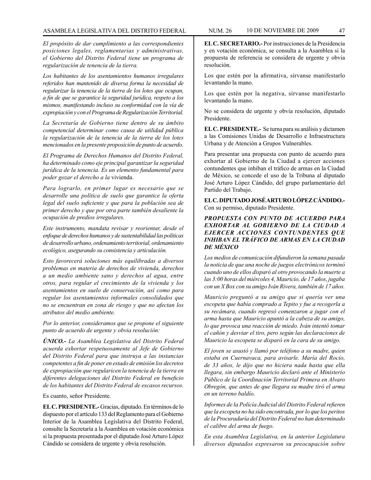*El propósito de dar cumplimiento a las correspondientes posiciones legales, reglamentarias y administrativas, el Gobierno del Distrito Federal tiene un programa de regularización de tenencia de la tierra.*

*Los habitantes de los asentamientos humanos irregulares referidos han mantenido de diversa forma la necesidad de regularizar la tenencia de la tierra de los lotes que ocupan, a fin de que se garantice la seguridad jurídica, respeto a los mismos, manifestando incluso su conformidad con la vía de expropiación y con el Programa de Regularización Territorial.*

*La Secretaría de Gobierno tiene dentro de su ámbito competencial determinar como causa de utilidad pública la regularización de la tenencia de la tierra de los lotes mencionados en la presente proposición de punto de acuerdo.*

*El Programa de Derechos Humanos del Distrito Federal, ha determinado como eje principal garantizar la seguridad jurídica de la tenencia. Es un elemento fundamental para poder gozar el derecho a la* vivienda.

*Para lograrlo, en primer lugar es necesario que se desarrolle una política de suelo que garantice la oferta legal del suelo suficiente y que para la población sea de primer derecho y que por otra parte también desaliente la ocupación de predios irregulares.*

*Este instrumento, mandata revisar y reorientar, desde el enfoque de derechos humanos y de sustentabilidad las políticas de desarrollo urbano, ordenamiento territorial, ordenamiento ecológico, asegurando su consistencia y articulación.* 

*Esto favorecerá soluciones más equilibradas a diversos problemas en materia de derechos de vivienda, derechos a un medio ambiente sano y derechos al agua, entre otros, para regular el crecimiento de la vivienda y los asentamientos en suelo de conservación, así como para regular los asentamientos informales consolidados que no se encuentran en zona de riesgo y que no afectan los atributos del medio ambiente.*

*Por lo anterior, consideramos que se propone el siguiente punto de acuerdo de urgente y obvia resolución:*

*ÚNICO.- La Asamblea Legislativa del Distrito Federal acuerda exhortar respetuosamente al Jefe de Gobierno del Distrito Federal para que instruya a las instancias competentes a fin de poner en estado de emisión los decretos de expropiación que regularicen la tenencia de la tierra en diferentes delegaciones del Distrito Federal en beneficio de los habitantes del Distrito Federal de escasos recursos.*

Es cuanto, señor Presidente.

**EL C. PRESIDENTE.-** Gracias, diputado. En términos de lo dispuesto por el artículo 133 del Reglamento para el Gobierno Interior de la Asamblea Legislativa del Distrito Federal, consulte la Secretaría a la Asamblea en votación económica si la propuesta presentada por el diputado José Arturo López Cándido se considera de urgente y obvia resolución.

**EL C. SECRETARIO.-** Por instrucciones de la Presidencia y en votación económica, se consulta a la Asamblea si la propuesta de referencia se considera de urgente y obvia resolución.

Los que estén por la afirmativa, sírvanse manifestarlo levantando la mano.

Los que estén por la negativa, sírvanse manifestarlo levantando la mano.

No se considera de urgente y obvia resolución, diputado Presidente.

**EL C. PRESIDENTE.-** Se turna para su análisis y dictamen a las Comisiones Unidas de Desarrollo e Infraestructura Urbana y de Atención a Grupos Vulnerables.

Para presentar una propuesta con punto de acuerdo para exhortar al Gobierno de la Ciudad a ejercer acciones contundentes que inhiban el tráfico de armas en la Ciudad de México, se concede el uso de la Tribuna al diputado José Arturo López Cándido, del grupo parlamentario del Partido del Trabajo.

**EL C. DIPUTADO JOSÉ ARTURO LÓPEZ CÁNDIDO.-**  Con su permiso, diputado Presidente.

#### *PROPUESTA CON PUNTO DE ACUERDO PARA EXHORTAR AL GOBIERNO DE LA CIUDAD A EJERCER ACCIONES CONTUNDENTES QUE INHIBAN EL TRÁFICO DE ARMAS EN LA CIUDAD DE MÉXICO*

*Los medios de comunicación difundieron la semana pasada la noticia de que una noche de juegos electrónicos terminó cuando uno de ellos disparó al otro provocando la muerte a las 3:00 horas del miércoles 4, Mauricio, de 17 años, jugaba con un X Box con su amigo Iván Rivera, también de 17 años.* 

*Mauricio preguntó a su amigo que si quería ver una escopeta que había comprado a Tepito y fue a recogerla a su recámara, cuando regresó comenzaron a jugar con el arma hasta que Mauricio apuntó a la cabeza de su amigo, lo que provoca una reacción de miedo. Iván intentó tomar el cañón y desviar el tiro, pero según las declaraciones de Mauricio la escopeta se disparó en la cara de su amigo.* 

*El joven se asustó y llamó por teléfono a su madre, quien estaba en Cuernavaca, para avisarle. María del Rocío, de 33 años, le dijo que no hiciera nada hasta que ella llegara, sin embargo Mauricio declaró ante el Ministerio Público de la Coordinación Territorial Primera en Alvaro Obregón, que antes de que llegara su madre tiró el arma en un terreno baldío.*

*Informes de la Policía Judicial del Distrito Federal refieren que la escopeta no ha sido encontrada, por lo que los peritos de la Procuraduría del Distrito Federal no han determinado el calibre del arma de fuego.* 

*En esta Asamblea Legislativa, en la anterior Legislatura diversos diputados expresaron su preocupación sobre*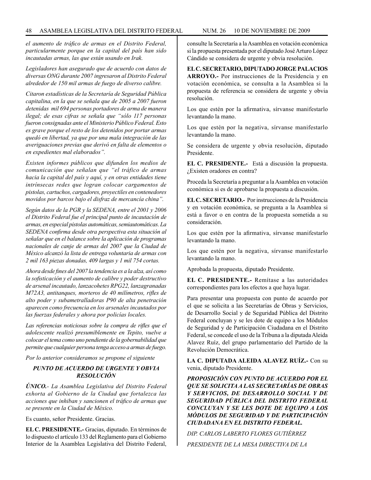*el aumento de tráfico de armas en el Distrito Federal, particularmente porque en la capital del país han sido incautadas armas, las que están usando en Irak.*

*Legisladores han asegurado que de acuerdo con datos de diversas ONG durante 2007 ingresaron al Distrito Federal alrededor de 150 mil armas de fuego de diverso calibre.*

*Citaron estadísticas de la Secretaría de Seguridad Pública capitalina, en la que se señala que de 2005 a 2007 fueron detenidas mil 694 personas portadores de arma de manera ilegal; de esas cifras se señala que "sólo 117 personas fueron consignadas ante el Ministerio Público Federal. Esto es grave porque el resto de los detenidos por portar armas quedó en libertad, ya que por una mala integración de las averiguaciones previas que derivó en falta de elementos o en expedientes mal elaborados".* 

*Existen informes públicos que difunden los medios de comunicación que señalan que "el tráfico de armas hacia la capital del país y aquí, y en otras entidades tiene intrínsecas redes que logran colocar cargamentos de pistolas, cartuchos, cargadores, proyectiles en contenedores movidos por barcos bajo el disfraz de mercancía china".*

*Según datos de la PGR y la SEDENA, entre el 2001 y 2006 el Distrito Federal fue el principal punto de incautación de armas, en especial pistolas automáticas, semiautomáticas. La SEDENA confirma desde otra perspectiva esta situación al señalar que en el balance sobre la aplicación de programas nacionales de canje de armas del 2007 que la Ciudad de México alcanzó la lista de entrega voluntaria de armas con 2 mil 163 piezas donadas, 409 largas y 1 mil 754 cortas.*

*Ahora desde fines del 2007 la tendencia es a la alza, así como la sofisticación y el aumento de calibre y poder destructivo de arsenal incautado, lanzacohetes RPG22, lanzagranadas M72A3, antitanques, morteros de 40 milímetros, rifles de alto poder y subametralladoras P90 de alta penetración aparecen como frecuencia en los arsenales incautados por las fuerzas federales y ahora por policías locales.*

*Las referencias noticiosas sobre la compra de rifles que el adolescente realizó presumiblemente en Tepito, vuelve a colocar el tema como uno pendiente de la gobernabilidad que permite que cualquier persona tenga acceso a armas de fuego.*

*Por lo anterior consideramos se propone el siguiente* 

#### *PUNTO DE ACUERDO DE URGENTE Y OBVIA RESOLUCIÓN*

*ÚNICO.- La Asamblea Legislativa del Distrito Federal exhorta al Gobierno de la Ciudad que fortalezca las acciones que inhiban y sancionen el tráfico de armas que se presente en la Ciudad de México.*

Es cuanto, señor Presidente. Gracias.

**EL C. PRESIDENTE.-** Gracias, diputado. En términos de lo dispuesto el artículo 133 del Reglamento para el Gobierno Interior de la Asamblea Legislativa del Distrito Federal, consulte la Secretaría a la Asamblea en votación económica si la propuesta presentada por el diputado José Arturo López Cándido se considera de urgente y obvia resolución.

**EL C. SECRETARIO, DIPUTADO JORGE PALACIOS ARROYO.-** Por instrucciones de la Presidencia y en votación económica, se consulta a la Asamblea si la propuesta de referencia se considera de urgente y obvia resolución.

Los que estén por la afirmativa, sírvanse manifestarlo levantando la mano.

Los que estén por la negativa, sírvanse manifestarlo levantando la mano.

Se considera de urgente y obvia resolución, diputado Presidente.

**EL C. PRESIDENTE.-** Está a discusión la propuesta. ¿Existen oradores en contra?

Proceda la Secretaría a preguntar a la Asamblea en votación económica si es de aprobarse la propuesta a discusión.

**EL C. SECRETARIO.-** Por instrucciones de la Presidencia y en votación económica, se pregunta a la Asamblea si está a favor o en contra de la propuesta sometida a su consideración.

Los que estén por la afirmativa, sírvanse manifestarlo levantando la mano.

Los que estén por la negativa, sírvanse manifestarlo levantando la mano.

Aprobada la propuesta, diputado Presidente.

**EL C. PRESIDENTE.-** Remítase a las autoridades correspondientes para los efectos a que haya lugar.

Para presentar una propuesta con punto de acuerdo por el que se solicita a las Secretarías de Obras y Servicios, de Desarrollo Social y de Seguridad Pública del Distrito Federal concluyan y se les dote de equipo a los Módulos de Seguridad y de Participación Ciudadana en el Distrito Federal, se concede el uso de la Tribuna a la diputada Aleida Alavez Ruíz, del grupo parlamentario del Partido de la Revolución Democrática.

**LA C. DIPUTADA ALEIDA ALAVEZ RUÍZ.-** Con su venia, diputado Presidente.

*PROPOSICIÓN CON PUNTO DE ACUERDO POR EL QUE SE SOLICITA A LAS SECRETARÍAS DE OBRAS Y SERVICIOS, DE DESARROLLO SOCIAL Y DE SEGURIDAD PÚBLICA DEL DISTRITO FEDERAL CONCLUYAN Y SE LES DOTE DE EQUIPO A LOS MÓDULOS DE SEGURIDAD Y DE PARTICIPACIÓN CIUDADANA EN EL DISTRITO FEDERAL.*

*DIP. CARLOS LABERTO FLORES GUTIÉRREZ PRESIDENTE DE LA MESA DIRECTIVA DE LA*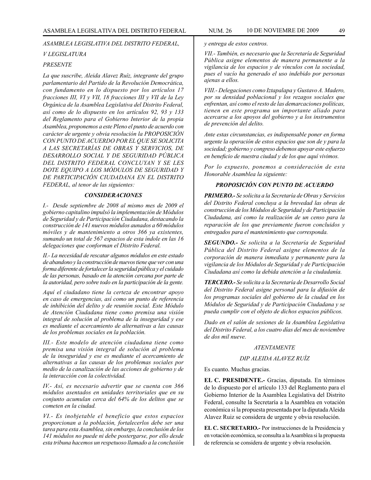#### *ASAMBLEA LEGISLATIVA DEL DISTRITO FEDERAL,*

#### *V LEGISLATURA*

#### *PRESENTE*

*La que suscribe, Aleida Alavez Ruíz, integrante del grupo parlamentario del Partido de la Revolución Democrática, con fundamento en lo dispuesto por los artículos 17 fracciones III, VI y VII, 18 fracciones III y VII de la Ley Orgánica de la Asamblea Legislativa del Distrito Federal, así como de lo dispuesto en los artículos 92, 93 y 133 del Reglamento para el Gobierno Interior de la propia Asamblea, proponemos a este Pleno el punto de acuerdo con carácter de urgente y obvia resolución la PROPOSICIÓN CON PUNTO DE ACUERDO POR EL QUE SE SOLICITA A LAS SECRETARÍAS DE OBRAS Y SERVICIOS, DE DESARROLLO SOCIAL Y DE SEGURIDAD PÚBLICA DEL DISTRITO FEDERAL CONCLUYAN Y SE LES DOTE EQUIPO A LOS MÓDULOS DE SEGURIDAD Y DE PARTICIPACIÓN CIUDADANA EN EL DISTRITO FEDERAL, al tenor de las siguientes:* 

#### *CONSIDERACIONES*

*I.- Desde septiembre de 2008 al mismo mes de 2009 el gobierno capitalino impulsó la implementación de Módulos de Seguridad y de Participación Ciudadana, destacando la construcción de 141 nuevos módulos aunados a 60 módulos móviles y de mantenimiento a otros 366 ya existentes, sumando un total de 567 espacios de esta índole en las 16 delegaciones que conforman el Distrito Federal.*

*II.- La necesidad de rescatar algunos módulos en este estado de abandono y la construcción de nuevos tiene que ver con una forma diferente de fortalecer la seguridad pública y el cuidado de las personas, basado en la atención cercana por parte de la autoridad, pero sobre todo en la participación de la gente.*

*Aquí el ciudadano tiene la certeza de encontrar apoyo en caso de emergencias, así como un punto de referencia de inhibición del delito y de reunión social. Este Módulo de Atención Ciudadana tiene como premisa una visión integral de solución al problema de la inseguridad y ese es mediante el acercamiento de alternativas a las causas de los problemas sociales en la población.*

*III.- Este modelo de atención ciudadana tiene como premisa una visión integral de solución al problema de la inseguridad y ese es mediante el acercamiento de alternativas a las causas de los problemas sociales por medio de la canalización de las acciones de gobierno y de la interacción con la colectividad.*

*IV.- Así, es necesario advertir que se cuenta con 366 módulos asentados en unidades territoriales que en su conjunto acumulan cerca del 64% de los delitos que se cometen en la ciudad.* 

*VI.- Es inobjetable el beneficio que estos espacios proporcionan a la población, fortalecerlos debe ser una tarea para esta Asamblea, sin embargo, la conclusión de los 141 módulos no puede ni debe postergarse, por ello desde esta tribuna hacemos un respetuoso llamado a la conclusión* 

*y entrega de estos centros.*

*VII.- También, es necesario que la Secretaría de Seguridad Pública asigne elementos de manera permanente a la vigilancia de los espacios y de vínculos con la sociedad, pues el vacío ha generado el uso indebido por personas ajenas a ellos.*

*VIII.- Delegaciones como Iztapalapa y Gustavo A. Madero, por su densidad poblacional y los rezagos sociales que enfrentan, así como el resto de las demarcaciones políticas, tienen en este programa un importante aliado para acercarse a los apoyos del gobierno y a los instrumentos de prevención del delito.*

*Ante estas circunstancias, es indispensable poner en forma urgente la operación de estos espacios que son de y para la sociedad; gobierno y congreso debemos apoyar este esfuerzo en beneficio de nuestra ciudad y de los que aquí vivimos.*

*Por lo expuesto, ponemos a consideración de esta Honorable Asamblea la siguiente:*

#### *PROPOSICIÓN CON PUNTO DE ACUERDO*

*PRIMERO.- Se solicita a la Secretaría de Obras y Servicios del Distrito Federal concluya a la brevedad las obras de construcción de los Módulos de Seguridad y de Participación Ciudadana, así como la realización de un censo para la reparación de los que previamente fueron concluidos y entregados para el mantenimiento que corresponda.*

*SEGUNDO.- Se solicita a la Secretaría de Seguridad Pública del Distrito Federal asigne elementos de la corporación de manera inmediata y permanente para la vigilancia de los Módulos de Seguridad y de Participación Ciudadana así como la debida atención a la ciudadanía.*

*TERCERO.- Se solicita a la Secretaría de Desarrollo Social del Distrito Federal asigne personal para la difusión de los programas sociales del gobierno de la ciudad en los Módulos de Seguridad y de Participación Ciudadana y se pueda cumplir con el objeto de dichos espacios públicos.*

*Dado en el salón de sesiones de la Asamblea Legislativa del Distrito Federal, a los cuatro días del mes de noviembre de dos mil nueve.*

#### *ATENTAMENTE*

#### *DIP ALEIDA ALAVEZ RUÍZ*

Es cuanto. Muchas gracias.

**EL C. PRESIDENTE.-** Gracias, diputada. En términos de lo dispuesto por el artículo 133 del Reglamento para el Gobierno Interior de la Asamblea Legislativa del Distrito Federal, consulte la Secretaría a la Asamblea en votación económica si la propuesta presentada por la diputada Aleida Alavez Ruiz se considera de urgente y obvia resolución.

**EL C. SECRETARIO.-** Por instrucciones de la Presidencia y en votación económica, se consulta a la Asamblea si la propuesta de referencia se considera de urgente y obvia resolución.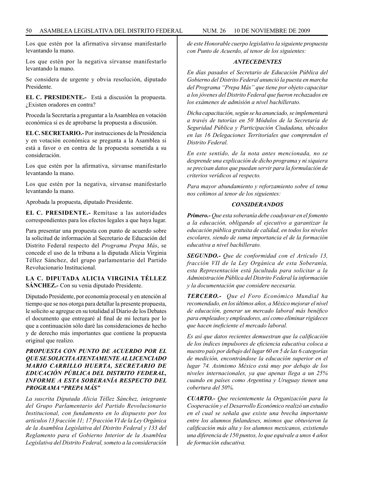Los que estén por la afirmativa sírvanse manifestarlo levantando la mano.

Los que estén por la negativa sírvanse manifestarlo levantando la mano.

Se considera de urgente y obvia resolución, diputado Presidente.

**EL C. PRESIDENTE.-** Está a discusión la propuesta. ¿Existen oradores en contra?

Proceda la Secretaría a preguntar a la Asamblea en votación económica si es de aprobarse la propuesta a discusión.

**EL C. SECRETARIO.-** Por instrucciones de la Presidencia y en votación económica se pregunta a la Asamblea si está a favor o en contra de la propuesta sometida a su consideración.

Los que estén por la afirmativa, sírvanse manifestarlo levantando la mano.

Los que estén por la negativa, sírvanse manifestarlo levantando la mano.

Aprobada la propuesta, diputado Presidente.

**EL C. PRESIDENTE.-** Remítase a las autoridades correspondientes para los efectos legales a que haya lugar.

Para presentar una propuesta con punto de acuerdo sobre la solicitud de información al Secretario de Educación del Distrito Federal respecto del *Programa Prepa Más*, se concede el uso de la tribuna a la diputada Alicia Virginia Téllez Sánchez, del grupo parlamentario del Partido Revolucionario Institucional.

#### **LA C. DIPUTADA ALICIA VIRGINIA TÉLLEZ SÁNCHEZ.-** Con su venia diputado Presidente.

Diputado Presidente, por economía procesal y en atención al tiempo que se nos otorga para detallar la presente propuesta, le solicito se agregue en su totalidad al Diario de los Debates el documento que entregaré al final de mi lectura por lo que a continuación sólo daré las consideraciones de hecho y de derecho más importantes que contiene la propuesta original que realizo.

#### *PROPUESTA CON PUNTO DE ACUERDO POR EL QUE SE SOLICITA ATENTAMENTE AL LICENCIADO MARIO CARRILLO HUERTA, SECRETARIO DE EDUCACIÓN PÚBLICA DEL DISTRITO FEDERAL, INFORME A ESTA SOBERANÍA RESPECTO DEL PROGRAMA "PREPA MÁS"*

*La suscrita Diputada Alicia Téllez Sánchez, integrante del Grupo Parlamentario del Partido Revolucionario Institucional, con fundamento en lo dispuesto por los artículos 13 fracción 11; 17 fracción VI de la Ley Orgánica de la Asamblea Legislativa del Distrito Federal y 133 del Reglamento para el Gobierno Interior de la Asamblea Legislativa del Distrito Federal, someto a la consideración* *de este Honorable cuerpo legislativo la siguiente propuesta con Punto de Acuerdo, al tenor de los siguientes:*

#### *ANTECEDENTES*

*En días pasados el Secretario de Educación Pública del Gobierno del Distrito Federal anunció la puesta en marcha del Programa "Prepa Más" que tiene por objeto capacitar a los jóvenes del Distrito Federal que fueron rechazados en los exámenes de admisión a nivel bachillerato.*

*Dicha capacitación, según se ha anunciado, se implementará a través de tutorías en 50 Módulos de la Secretaría de Seguridad Pública y Participación Ciudadana, ubicados en las 16 Delegaciones Territoriales que comprenden el Distrito Federal.*

*En este sentido, de la nota antes mencionada, no se desprende una explicación de dicho programa y ni siquiera se precisan datos que puedan servir para la formulación de criterios verídicos al respecto.*

*Para mayor abundamiento y reforzamiento sobre el tema nos ceñimos al tenor de los siguientes:*

#### *CONSIDERANDOS*

*Primero.- Que esta soberanía debe coadyuvar en el fomento a la educación, obligando al ejecutivo a garantizar la educación pública gratuita de calidad, en todos los niveles escolares, siendo de suma importancia el de la formación educativa a nivel bachillerato.*

*SEGUNDO.- Que de conformidad con el Artículo 13, fracción VII de la Ley Orgánica de esta Soberanía, esta Representación está facultada para solicitar a la Administración Pública del Distrito Federal la información y la documentación que considere necesaria.*

*TERCERO.- Que el Foro Económico Mundial ha recomendado, en los últimos años, a México mejorar el nivel de educación, generar un mercado laboral más benéfico para empleados y empleadores, así como eliminar rigideces que hacen ineficiente el mercado laboral.*

*Es así que datos recientes demuestran que la calificación de los índices impulsores de eficiencia educativa coloca a nuestro país por debajo del lugar 60 en 5 de las 6 categorías de medición, encontrándose la educación superior en el lugar 74. Asimismo México está muy por debajo de los niveles internacionales, ya que apenas llega a un 25% cuando en países como Argentina y Uruguay tienen una cobertura del 50%.*

*CUARTO.- Que recientemente la Organización para la Cooperación y el Desarrollo Económico realizó un estudio en el cual se señala que existe una brecha importante entre los alumnos finlandeses, mismos que obtuvieron la calificación más alta y los alumnos mexicanos, existiendo una diferencia de 150 puntos, lo que equivale a unos 4 años de formación educativa.*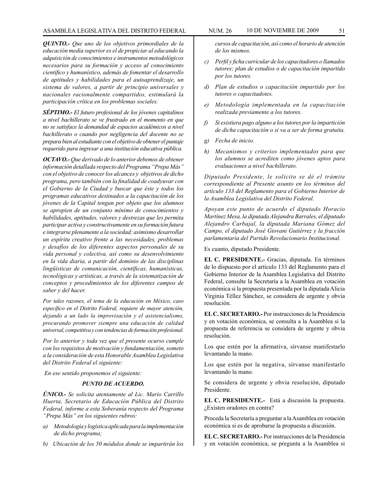*QUINTO.- Que uno de los objetivos primordiales de la educación media superior es el de propiciar al educando la adquisición de conocimientos e instrumentos metodológicos necesarios para su formación y acceso al conocimiento científico y humanístico, además de fomentar el desarrollo de aptitudes y habilidades para el autoaprendizaje, un sistema de valores, a partir de principio universales y nacionales racionalmente compartidos, estimulará la participación crítica en los problemas sociales.*

*SÉPTIMO.- El futuro profesional de los jóvenes capitalinos a nivel bachillerato se ve frustrado en el momento en que no se satisface la demandad de espacios académicos a nivel bachillerato o cuando por negligencia del docente no se prepara bien al estudiante con el objetivo de obtener el puntaje requerido para ingresar a una institución educativa pública.*

*OCTAVO.- Que derivado de lo anterior debemos de obtener información detallada respecto del Programa "Prepa Más" con el objetivo de conocer los alcances y objetivos de dicho programa, pero también con la finalidad de coadyuvar con el Gobierno de la Ciudad y buscar que éste y todos los programas educativos destinados a la capacitación de los jóvenes de la Capital tengan por objeto que los alumnos se apropien de un conjunto mínimo de conocimientos y habilidades, aptitudes, valores y destrezas que les permita participar activa y constructivamente en su formación futura e integrarse plenamente a la sociedad; asimismo desarrollar un espíritu creativo frente a las necesidades, problemas y desafíos de los diferentes aspectos personales de su vida personal y colectiva, así como su desenvolvimiento en la vida diaria, a partir del dominio de las disciplinas lingüísticas de comunicación, científicas, humanísticas, tecnológicas y artísticas, a través de la sistematización de conceptos y procedimientos de los diferentes campos de saber y del hacer.*

*Por tales razones, el tema de la educación en México, caso específico en el Distrito Federal, requiere de mayor atención, dejando a un lado la improvisación y el asistencialismo, procurando promover siempre una educación de calidad universal, competitiva y con tendencias de formación profesional.* 

*Por lo anterior y toda vez que el presente ocurso cumple con los requisitos de motivación y fundamentación, someto a la consideración de esta Honorable Asamblea Legislativa del Distrito Federal el siguiente:*

*En ese sentido proponemos el siguiente:* 

#### *PUNTO DE ACUERDO.*

*ÚNICO.- Se solicita atentamente al Lic. Mario Carrillo Huerta, Secretario de Educación Pública del Distrito Federal, informe a esta Soberanía respecto del Programa "Prepa Más" en los siguientes rubros:* 

- *a) Metodología y logística aplicada para la implementación de dicho programa;*
- *b) Ubicación de los 50 módulos donde se impartirán los*

*cursos de capacitación, así como el horario de atención de los mismos.*

- *c) Perfil y ficha curricular de los capacitadores o llamados tutores; plan de estudios o de capacitación impartido por los tutores.*
- *d) Plan de estudios o capacitación impartido por los tutores o capacitadotes.*
- *e) Metodología implementada en la capacitación realizada previamente a los tutores.*
- *f) Si existiera pago alguno a los tutores por la impartición de dicha capacitación o si va a ser de forma gratuita.*
- *g) Fecha de inicio.*
- *h) Mecanismos y criterios implementados para que los alumnos se acrediten como jóvenes aptos para evaluaciones a nivel bachillerato.*

*Diputado Presidente, le solicito se dé el trámite correspondiente al Presente asunto en los términos del artículo 133 del Reglamento para el Gobierno Interior de la Asamblea Legislativa del Distrito Federal.* 

*Apoyan este punto de acuerdo el diputado Horacio Martínez Mesa, la diputada Alejandra Barrales, el diputado Alejandro Carbajal, la diputada Mariana Gómez del Campo, el diputado José Giovani Gutiérrez y la fracción parlamentaria del Partido Revolucionario Institucional.* 

Es cuanto, diputado Presidente.

**EL C. PRESIDENTE.-** Gracias, diputada. En términos de lo dispuesto por el artículo 133 del Reglamento para el Gobierno Interior de la Asamblea Legislativa del Distrito Federal, consulte la Secretaría a la Asamblea en votación económica si la propuesta presentada por la diputada Alicia Virginia Téllez Sánchez, se considera de urgente y obvia resolución.

**EL C. SECRETARIO.-** Por instrucciones de la Presidencia y en votación económica, se consulta a la Asamblea si la propuesta de referencia se considera de urgente y obvia resolución.

Los que estén por la afirmativa, sírvanse manifestarlo levantando la mano.

Los que estén por la negativa, sírvanse manifestarlo levantando la mano.

Se considera de urgente y obvia resolución, diputado Presidente.

**EL C. PRESIDENTE.-** Está a discusión la propuesta. ¿Existen oradores en contra?

Proceda la Secretaría a preguntar a la Asamblea en votación económica si es de aprobarse la propuesta a discusión.

**EL C. SECRETARIO.-** Por instrucciones de la Presidencia y en votación económica, se pregunta a la Asamblea si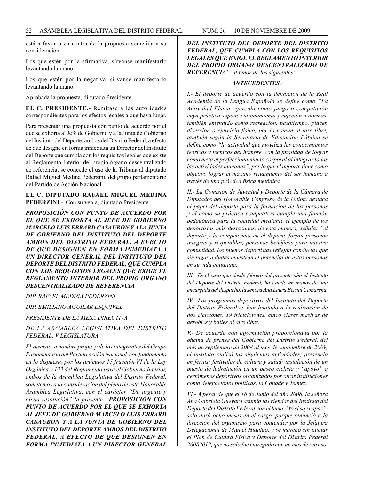está a favor o en contra de la propuesta sometida a su consideración.

Los que estén por la afirmativa, sírvanse manifestarlo levantando la mano.

Los que estén por la negativa, sírvanse manifestarlo levantando la mano.

Aprobada la propuesta, diputado Presidente.

**EL C. PRESIDENTE.-** Remítase a las autoridades correspondientes para los efectos legales a que haya lugar.

Para presentar una propuesta con punto de acuerdo por el que se exhorta al Jefe de Gobierno y a la Junta de Gobierno del Instituto del Deporte, ambos del Distrito Federal, a efecto de que designe en forma inmediata un Director del Instituto del Deporte que cumpla con los requisitos legales que existe al Reglamento Interior del propio órgano descentralizado de referencia, se concede el uso de la Tribuna al diputado Rafael Miguel Medina Pederzini, del grupo parlamentario del Partido de Acción Nacional.

#### **EL C. DIPUTADO RAFAEL MIGUEL MEDINA PEDERZINI.-** Con su venia, diputado Presidente.

*PROPOSICIÓN CON PUNTO DE ACUERDO POR EL QUE SE EXHORTA AL JEFE DE GOBIERNO MARCELO LUIS EBRARD CASAUBON Y A LA JUNTA DE GOBIERNO DEL INSTITUTO DEL DEPORTE AMBOS DEL DISTRITO FEDERAL, A EFECTO DE QUE DESIGNEN EN FORMA INMEDIATA A UN DIRECTOR GENERAL DEL INSTITUTO DEL DEPORTE DEL DISTRITO FEDERAL, QUE CUMPLA CON LOS REQUISITOS LEGALES QUE EXIGE EL REGLAMENTO INTERIOR DEL PROPIO ORGANO DESCENTRALIZADO DE REFERENCIA*

*DIP. RAFAEL MEDINA PEDERZINI*

*DIP. EMILIANO AGUILAR ESQUIVEL.*

*PRESIDENTE DE LA MESA DIRECTIVA*

*DE LA ASAMBLEA LEGISLATIVA DEL DISTRITO FEDERAL, V LEGISLATURA.*

*El suscrito, a nombre propio y de los integrantes del Grupo Parlamentario del Partido Acción Nacional, con fundamento en lo dispuesto por los artículos 17 fracción VI de la Ley Orgánica y 133 del Reglamento para el Gobierno Interior, ambos de la Asamblea Legislativa del Distrito Federal, sometemos a la consideración del pleno de esta Honorable Asamblea Legislativa, con el carácter "De urgente y obvia resolución" la presente "PROPOSICIÓN CON PUNTO DE ACUERDO POR EL QUE SE EXHORTA AL JEFE DE GOBIERNO MARCELO LUIS EBRARD CASAUBON Y A LA JUNTA DE GOBIERNO DEL INSTITUTO DEL DEPORTE AMBOS DEL DISTRITO FEDERAL, A EFECTO DE QUE DESIGNEN EN FORMA INMEDIATA A UN DIRECTOR GENERAL*  *DEL INSTITUTO DEL DEPORTE DEL DISTRITO FEDERAL, QUE CUMPLA CON LOS REQUISITOS LEGALES QUE EXIGE EL REGLAMENTO INTERIOR DEL PROPIO ORGANO DESCENTRALIZADO DE REFERENCIA", al tenor de los siguientes:*

#### *ANTECEDENTES.-*

*I.- El deporte de acuerdo con la definición de la Real Academia de la Lengua Española se define como "La Actividad Física, ejercida como juego o competición cuya práctica supone entrenamiento y sujeción a normas, también entendido como recreación, pasatiempo, placer, diversión o ejercicio físico, por lo común al aíre libre, también según la Secretaría de Educación Pública se define como "la actividad que moviliza los conocimientos teóricos y técnicos del hombre, con la finalidad de lograr como meta el perfeccionamiento corporal al integrar todas las actividades humanas", por lo que el deporte tiene como objetivo lograr el máximo rendimiento del ser humano a través de una práctica física metódica.* 

*II.- La Comisión de Juventud y Deporte de la Cámara de Diputados del Honorable Congreso de la Unión, destaca el papel del deporte para la formación de las personas y él como su práctica competitiva cumple una función pedagógica para la sociedad mediante el ejemplo de los deportistas más destacados, de esta manera, señala: "el deporte y la competencia en el deporte forjan personas integras y respetables, personas benéficas para nuestra comunidad, los buenos deportistas reflejan conductas que sin lugar a dudas muestran el potencial de estas personas en su vida cotidiana.*

*III.- Es el caso que desde febrero del presente año el Instituto del Deporte del Distrito Federal, ha estado en manos de una encargada del despacho, la señora Ana Laura Bernal Camarena.*

*IV.- Los programas deportivos del Instituto del Deporte del Distrito Federal se han limitado a la realización de dos ciclotones, 19 triciclotones, cinco clases masivas de aerobics y bailes al aire libre.*

*V.- De acuerdo con información proporcionada por la oficina de prensa del Gobierno del Distrito Federal, del mes de septiembre de 2008 al mes de septiembre de 2009, el instituto realizó las siguientes actividades; presencia en ferias; festivales de cultura y salud; instalación de un puesto de hidratación en un paseo ciclista y "apoyo" a certámenes deportivos organizados por otras instituciones como delegaciones políticas, la Conade y Telmex.*

*VI.- A pesar de que el 16 de Junio del año 2008, la señora Ana Gabriela Guevara asumió las riendas del Instituto del Deporte del Distrito Federal con el lema "Yo sí soy capaz", solo duró ocho meses en el cargo, porque renunció a la dirección del organismo para contender por la Jefatura Delegacional de Miguel Hidalgo, y se marchó sin iniciar el Plan de Cultura Física y Deporte del Distrito Federal 20082012, que no sólo fue entregado con un mes de retraso,*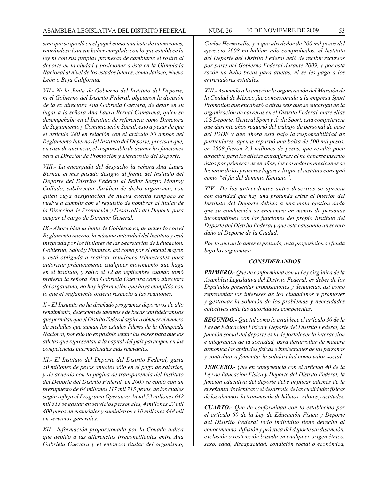*sino que se quedó en el papel como una lista de intenciones, retirándose ésta sin haber cumplido con lo que establece la ley ni con sus propias promesas de cambiarle el rostro al deporte en la ciudad y posicionar a ésta en la Olimpiada Nacional al nivel de los estados líderes, como Jalisco, Nuevo León o Baja California.* 

*VII.- Ni la Junta de Gobierno del Instituto del Deporte, ni el Gobierno del Distrito Federal, objetaron la decisión de la ex directora Ana Gabriela Guevara, de dejar en su lugar a la señora Ana Laura Bernal Camarena, quien se desempeñaba en el Instituto de referencia como Directora de Seguimiento y Comunicación Social, esto a pesar de que el artículo 280 en relación con el artículo 50 ambos del Reglamento Interno del Instituto del Deporte, precisan que, en caso de ausencia, el responsable de asumir las funciones será el Director de Promoción y Desarrollo del Deporte.*

*VIII.- La encargada del despacho la señora Ana Laura Bernal, el mes pasado designó al frente del Instituto del Deporte del Distrito Federal al Señor Sergio Monroy Collado, subdirector Jurídico de dicho organismo, con quien cuya designación de nueva cuenta tampoco se vuelve a cumplir con el requisito de nombrar al titular de la Dirección de Promoción y Desarrollo del Deporte para ocupar el cargo de Director General.*

*IX.- Ahora bien la junta de Gobierno es, de acuerdo con el Reglamento interno, la máxima autoridad del Instituto y está integrada por los titulares de las Secretarías de Educación, Gobierno, Salud y Finanzas, así como por el oficial mayor, y está obligada a realizar reuniones trimestrales para autorizar prácticamente cualquier movimiento que haga en el instituto, y salvo el 12 de septiembre cuando tomó protesta la señora Ana Gabriela Guevara como directora del organismo, no hay información que haya cumplido con lo que el reglamento ordena respecto a las reuniones.*

*X.- El Instituto no ha diseñado programas deportivos de alto rendimiento, detección de talentos y de becas con fideicomisos que permitan que el Distrito Federal aspire a obtener el número de medallas que suman los estados líderes de la Olimpiada Nacional, por ello no es posible sentar las bases para que los atletas que representan a la capital del país participen en las competencias internacionales más relevantes.*

*XI.- El Instituto del Deporte del Distrito Federal, gasta 50 millones de pesos anuales sólo en el pago de salarios, y de acuerdo con la página de transparencia del Instituto del Deporte del Distrito Federal, en 2009 se contó con un presupuesto de 68 millones 117 mil 713 pesos, de los cuales según refleja el Programa Operativo Anual 53 millones 642 mil 313 se gastan en servicios personales, 4 millones 27 mil 400 pesos en materiales y suministros y 10 millones 448 mil en servicios generales.*

*XII.- Información proporcionada por la Conade indica que debido a las diferencias irreconciliables entre Ana Gabriela Guevara y el entonces titular del organismo,* *Carlos Hermosillo, y a que alrededor de 200 mil pesos del ejercicio 2008 no habían sido comprobados, el Instituto del Deporte del Distrito Federal dejó de recibir recursos por parte del Gobierno Federal durante 2009, y por esta razón no hubo becas para atletas, ni se les pagó a los entrenadores estatales.* 

*XIII.- Asociado a lo anterior la organización del Maratón de la Ciudad de México fue concesionada a la empresa Sport Promotion que encabezó a otras seis que se encargan de la organización de carreras en el Distrito Federal, entre ellas A S Deporte, General Sport y Ávila Sport, esta competencia que durante años requirió del trabajo de personal de base del IDDF y que ahora está bajo la responsabilidad de particulares, apenas repartió una bolsa de 500 mil pesos, en 2008 fueron 2.3 millones de pesos, que resultó poco atractiva para los atletas extranjeros; al no haberse inscrito éstos por primera vez en años, los corredores mexicanos se hicieron de los primeros lugares, lo que el instituto consignó como "el fin del dominio Keniano".*

*XIV.- De los antecedentes antes descritos se aprecia con claridad que hay una profunda crisis al interior del Instituto del Deporte debido a una mala gestión dado que su conducción se encuentra en manos de personas incompatibles con las funciones del propio Instituto del Deporte del Distrito Federal y que está causando un severo daño al Deporte de la Ciudad.*

*Por lo que de lo antes expresado, esta proposición se funda bajo los siguientes:*

#### *CONSIDERANDOS*

*PRIMERO.- Que de conformidad con la Ley Orgánica de la Asamblea Legislativa del Distrito Federal, es deber de los Diputados presentar proposiciones y denuncias, así como representar los intereses de los ciudadanos y promover y gestionar la solución de los problemas y necesidades colectivas ante las autoridades competentes.*

*SEGUNDO.- Que tal como lo establece el artículo 30 de la Ley de Educación Física y Deporte del Distrito Federal, la función social del deporte es la de fortalecer la interacción e integración de la sociedad, para desarrollar de manera armónica las aptitudes físicas e intelectuales de las personas y contribuir a fomentar la solidaridad como valor social.*

*TERCERO.- Que en congruencia con el artículo 40 de la Ley de Educación Física y Deporte del Distrito Federal, la función educativa del deporte debe implicar además de la enseñanza de técnicas y el desarrollo de las cualidades físicas de los alumnos, la transmisión de hábitos, valores y actitudes.*

*CUARTO.- Que de conformidad con lo establecido por el artículo 60 de la Ley de Educación Física y Deporte del Distrito Federal todo individuo tiene derecho al conocimiento, difusión y práctica del deporte sin distinción, exclusión o restricción basada en cualquier origen étnico, sexo, edad, discapacidad, condición social o económica,*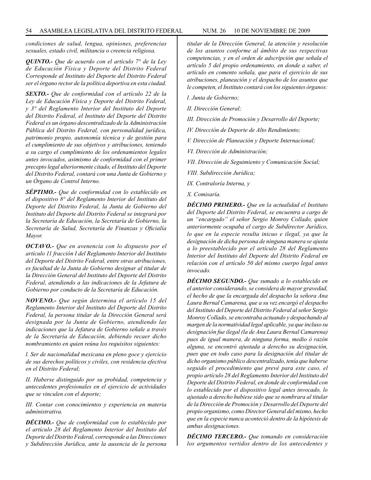*condiciones de salud, lengua, opiniones, preferencias sexuales, estado civil, militancia o creencia religiosa.*

*QUINTO.- Que de acuerdo con el artículo 7° de la Ley de Educación Física y Deporte del Distrito Federal Corresponde al Instituto del Deporte del Distrito Federal ser el órgano rector de la política deportiva en esta ciudad.*

*SEXTO.- Que de conformidad con el artículo 22 de la Ley de Educación Física y Deporte del Distrito Federal, y 3° del Reglamento Interior del Instituto del Deporte del Distrito Federal, el Instituto del Deporte del Distrito Federal es un órgano descentralizado de la Administración Pública del Distrito Federal, con personalidad jurídica, patrimonio propio, autonomía técnica y de gestión para el cumplimiento de sus objetivos y atribuciones, teniendo a su cargo el cumplimiento de los ordenamientos legales antes invocados, asimismo de conformidad con el primer precepto legal ulteriormente citado, el Instituto del Deporte del Distrito Federal, contará con una Junta de Gobierno y un Órgano de Control Interno.*

*SÉPTIMO.- Que de conformidad con lo establecido en el dispositivo 8° del Reglamento Interior del Instituto del Deporte del Distrito Federal, la Junta de Gobierno del Instituto del Deporte del Distrito Federal se integrará por la Secretaría de Educación, la Secretaría de Gobierno, la Secretaría de Salud, Secretaría de Finanzas y Oficialía Mayor.*

*OCTAVO.- Que en avenencia con lo dispuesto por el artículo 11 fracción I del Reglamento Interior del Instituto del Deporte del Distrito Federal, entre otras atribuciones, es facultad de la Junta de Gobierno designar al titular de la Dirección General del Instituto del Deporte del Distrito Federal, atendiendo a las indicaciones de la Jefatura de Gobierno por conducto de la Secretaría de Educación.* 

*NOVENO.- Que según determina el artículo 15 del Reglamento Interior del Instituto del Deporte del Distrito Federal, la persona titular de la Dirección General será designada por la Junta de Gobierno, atendiendo las indicaciones que la Jefatura de Gobierno señale a través de la Secretaría de Educación, debiendo recaer dicho nombramiento en quien reúna los requisitos siguientes:*

*l. Ser de nacionalidad mexicana en pleno goce y ejercicio de sus derechos políticos y civiles, con residencia efectiva en el Distrito Federal;* 

*II. Haberse distinguido por su probidad, competencia y antecedentes profesionales en el ejercicio de actividades que se vinculen con el deporte;*

*III. Contar con conocimientos y experiencia en materia administrativa.*

*DÉCIMO.- Que de conformidad con lo establecido por el artículo 28 del Reglamento Interior del Instituto del Deporte del Distrito Federal, corresponde a las Direcciones y Subdirección Jurídica, ante la ausencia de la persona* 

*titular de la Dirección General, la atención y resolución de los asuntos conforme al ámbito de sus respectivas competencias, y en el orden de adscripción que señala el artículo 5 del propio ordenamiento, en donde a saber, el artículo en comento señala, que para el ejercicio de sus atribuciones, planeación y el despacho de los asuntos que le competen, el Instituto contará con los siguientes órganos:*

*l. Junta de Gobierno;*

*II. Dirección General;*

*III. Dirección de Promoción y Desarrollo del Deporte;* 

*IV. Dirección de Deporte de Alto Rendimiento;*

*V. Dirección de Planeación y Deporte Internacional;*

*VI. Dirección de Administración;*

*VII. Dirección de Seguimiento y Comunicación Social;*

*VIII. Subdirección Jurídica;*

*IX. Contraloría Interna, y*

*X. Comisaría.*

*DÉCIMO PRIMERO.- Que en la actualidad el Instituto del Deporte del Distrito Federal, se encuentra a cargo de un "encargado" el señor Sergio Monroy Collado, quien anteriormente ocupaba el cargo de Subdirector Jurídico, lo que en la especie resulta inicuo e ilegal, ya que la designación de dicha persona de ninguna manera se ajusta a lo preestablecido por el artículo 28 del Reglamento Interior del Instituto del Deporte del Distrito Federal en relación con el artículo 50 del mismo cuerpo legal antes invocado.*

*DÉCIMO SEGUNDO.- Que sumado a lo establecido en el anterior considerando, se considera de mayor gravedad, el hecho de que la encargada del despacho la señora Ana Laura Bernal Camarena, que a su vez encargó el despacho del Instituto del Deporte del Distrito Federal al señor Sergio Monroy Collado, se encontraba actuando y despachando al margen de la normatividad legal aplicable, ya que incluso su designación fue ilegal (la de Ana Laura Bernal Camarena) pues de igual manera, de ninguna forma, medio ó razón alguna, se encontró ajustada a derecho su designación, pues que en todo caso para la designación del titular de dicho organismo público descentralizado, tenía que haberse seguido el procedimiento que prevé para este caso, el propio artículo 28 del Reglamento Interior del Instituto del Deporte del Distrito Federal, en donde de conformidad con lo establecido por el dispositivo legal antes invocado, lo ajustado a derecho hubiese sido que se nombrara al titular de la Dirección de Promoción y Desarrollo del Deporte del propio organismo, como Director General del mismo, hecho que en la especie nunca aconteció dentro de la hipótesis de ambas designaciones.* 

*DÉCIMO TERCERO.- Que tomando en consideración los argumentos vertidos dentro de los antecedentes y*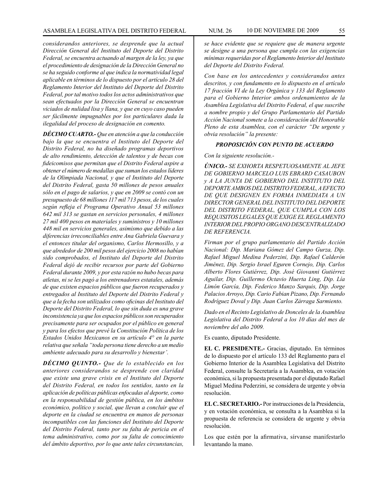*considerandos anteriores, se desprende que la actual Dirección General del Instituto del Deporte del Distrito Federal, se encuentra actuando al margen de la ley, ya que el procedimiento de designación de la Dirección General no se ha seguido conforme al que indica la normatividad legal aplicable en términos de lo dispuesto por el artículo 28 del Reglamento Interior del Instituto del Deporte del Distrito Federal, por tal motivo todos los actos administrativos que sean efectuados por la Dirección General se encuentran viciados de nulidad lisa y llana, y que en cuyo caso pueden ser fácilmente impugnables por los particulares dada la ilegalidad del proceso de designación en comento.*

*DÉCIMO CUARTO.- Que en atención a que la conducción bajo la que se encuentra el Instituto del Deporte del Distrito Federal, no ha diseñado programas deportivos de alto rendimiento, detección de talentos y de becas con fideicomisos que permitan que el Distrito Federal aspire a obtener el número de medallas que suman los estados líderes de la Olimpiada Nacional, y que el Instituto del Deporte del Distrito Federal, gasta 50 millones de pesos anuales sólo en el pago de salarios, y que en 2009 se contó con un presupuesto de 68 millones 117 mil 713 pesos, de los cuales según refleja el Programa Operativo Anual 53 millones 642 mil 313 se gastan en servicios personales, 4 millones 27 mil 400 pesos en materiales y suministros y 10 millones 448 mil en servicios generales, asimismo que debido a las diferencias irreconciliables entre Ana Gabriela Guevara y el entonces titular del organismo, Carlos Hermosillo, y a que alrededor de 200 mil pesos del ejercicio 2008 no habían sido comprobados, el Instituto del Deporte del Distrito Federal dejó de recibir recursos por parte del Gobierno Federal durante 2009, y por esta razón no hubo becas para atletas, ni se les pagó a los entrenadores estatales, además de que existen espacios públicos que fueron recuperados y entregados al Instituto del Deporte del Distrito Federal y que a la fecha son utilizados como oficinas del Instituto del Deporte del Distrito Federal, lo que sin duda es una grave inconsistencia ya que los espacios públicos son recuperados precisamente para ser ocupados por el público en general y para los efectos que prevé la Constitución Política de los Estados Unidos Mexicanos en su artículo 4° en la parte relativa que señala "toda persona tiene derecho a un medio ambiente adecuado para su desarrollo y bienestar'.*

*DÉCIMO QUINTO.- Que de lo establecido en los anteriores considerandos se desprende con claridad que existe una grave crisis en el Instituto del Deporte del Distrito Federal, en todos los sentidos, tanto en la aplicación de políticas públicas enfocadas al deporte, como en la responsabilidad de gestión pública, en los ámbitos económico, político y social, que llevan a concluir que el deporte en la ciudad se encuentra en manos de personas incompatibles con las funciones del Instituto del Deporte del Distrito Federal, tanto por su falta de pericia en el tema administrativo, como por su falta de conocimiento del ámbito deportivo, por lo que ante tales circunstancias,*

*se hace evidente que se requiere que de manera urgente se designe a una persona que cumpla con las exigencias mínimas requeridas por el Reglamento Interior del Instituto del Deporte del Distrito Federal.* 

*Con base en los antecedentes y considerandos antes descritos, y con fundamento en lo dispuesto en el artículo 17 fracción VI de la Ley Orgánica y 133 del Reglamento para el Gobierno Interior ambos ordenamientos de la Asamblea Legislativa del Distrito Federal, el que suscribe a nombre propio y del Grupo Parlamentario del Partido Acción Nacional somete a la consideración del Honorable Pleno de esta Asamblea, con el carácter "De urgente y obvia resolución" la presente:*

#### *PROPOSICIÓN CON PUNTO DE ACUERDO*

*Con la siguiente resolución.-*

*ÚNICO.- SE EXHORTA RESPETUOSAMENTE AL JEFE DE GOBIERNO MARCELO LUIS EBRARD CASAUBON y A LA JUNTA DE GOBIERNO DEL INSTITUTO DEL DEPORTE AMBOS DEL DISTRITO FEDERAL, A EFECTO DE QUE DESIGNEN EN FORMA INMEDIATA A UN DIRECTOR GENERAL DEL INSTITUTO DEL DEPORTE DEL DISTRITO FEDERAL, QUE CUMPLA CON LOS REQUISITOS LEGALES QUE EXIGE EL REGLAMENTO INTERIOR DEL PROPIO ORGANO DESCENTRALIZADO DE REFERENCIA.*

*Firman por el grupo parlamentario del Partido Acción Nacional: Dip. Mariana Gómez del Campo Gurza, Dip. Rafael Miguel Medina Pederzini, Dip. Rafael Calderón Jiménez, Dip. Sergio Israel Eguren Cornejo, Dip. Carlos Alberto Flores Gutiérrez, Dip. José Giovanni Gutiérrez Aguilar, Dip. Guillermo Octavio Huerta Ling, Dip. Lía Limón García, Dip. Federico Manzo Sarquis, Dip. Jorge Palacios Arroyo, Dip. Cario Fabian Pizano, Dip. Fernando Rodríguez Doval y Dip. Juan Carlos Zárraga Sarmiento.*

*Dado en el Recinto Legislativo de Donceles de la Asamblea Legislativa del Distrito Federal a los 10 días del mes de noviembre del año 2009.*

Es cuanto, diputado Presidente.

**EL C. PRESIDENTE.-** Gracias, diputado. En términos de lo dispuesto por el artículo 133 del Reglamento para el Gobierno Interior de la Asamblea Legislativa del Distrito Federal, consulte la Secretaría a la Asamblea, en votación económica, si la propuesta presentada por el diputado Rafael Miguel Medina Pederzini, se considera de urgente y obvia resolución.

**EL C. SECRETARIO.-** Por instrucciones de la Presidencia, y en votación económica, se consulta a la Asamblea si la propuesta de referencia se considera de urgente y obvia resolución.

Los que estén por la afirmativa, sírvanse manifestarlo levantando la mano.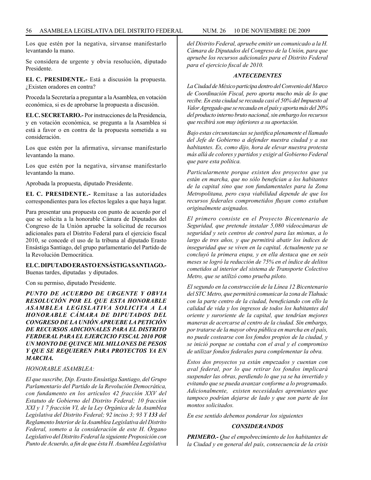Los que estén por la negativa, sírvanse manifestarlo levantando la mano.

Se considera de urgente y obvia resolución, diputado Presidente.

**EL C. PRESIDENTE.-** Está a discusión la propuesta. ¿Existen oradores en contra?

Proceda la Secretaría a preguntar a la Asamblea, en votación económica, si es de aprobarse la propuesta a discusión.

**EL C. SECRETARIO.-** Por instrucciones de la Presidencia, y en votación económica, se pregunta a la Asamblea si está a favor o en contra de la propuesta sometida a su consideración.

Los que estén por la afirmativa, sírvanse manifestarlo levantando la mano.

Los que estén por la negativa, sírvanse manifestarlo levantando la mano.

Aprobada la propuesta, diputado Presidente.

**EL C. PRESIDENTE.-** Remítase a las autoridades correspondientes para los efectos legales a que haya lugar.

Para presentar una propuesta con punto de acuerdo por el que se solicita a la honorable Cámara de Diputados del Congreso de la Unión apruebe la solicitud de recursos adicionales para el Distrito Federal para el ejercicio fiscal 2010, se concede el uso de la tribuna al diputado Erasto Ensástiga Santiago, del grupo parlamentario del Partido de la Revolución Democrática.

#### **EL C. DIPUTADO ERASTO ENSÁSTIGA SANTIAGO.-**

Buenas tardes, diputadas y diputados.

Con su permiso, diputado Presidente.

*PUNTO DE ACUERDO DE URGENTE Y OBVIA RESOLUCIÓN POR EL QUE ESTA HONORABLE ASAMBLEA LEGISLATIVA SOLICITA A LA HONORABLE CÁMARA DE DIPUTADOS DEL CONGRESO DE LA UNIÓN APRUEBE LA PETICIÓN DE RECURSOS ADICIONALES PARA EL DISTRITO FERDERAL PARA EL EJERCICIO FISCAL 2010 POR UN MONTO DE QUINCE MIL MILLONES DE PESOS Y QUE SE REQUIEREN PARA PROYECTOS YA EN MARCHA.*

#### *HONORABLE ASAMBLEA:*

*El que suscribe, Dip. Erasto Ensástiga Santiago, del Grupo Parlamentario del Partido de la Revolución Democrática, con fundamento en los artículos 42 fracción XXV del Estatuto de Gobierno del Distrito Federal; 10 fracción XXI y 1 7 fracción VI, de la Ley Orgánica de la Asamblea Legislativa del Distrito Federal; 92 inciso 3; 93 Y 133 del Reglamento Interior de la Asamblea Legislativa del Distrito Federal, someto a la consideración de este H. Órgano Legislativo del Distrito Federal la siguiente Proposición con Punto de Acuerdo, a fin de que ésta H. Asamblea Legislativa*  *del Distrito Federal, apruebe emitir un comunicado a la H. Cámara de Diputados del Congreso de la Unión, para que apruebe los recursos adicionales para el Distrito Federal para el ejercicio fiscal de 2010.*

#### *ANTECEDENTES*

*La Ciudad de México participa dentro del Convenio del Marco de Coordinación Fiscal, pero aporta mucho más de lo que recibe. En esta ciudad se recauda casi el 50% del Impuesto al Valor Agregado que se recauda en el país y aporta más del 20% del producto interno bruto nacional, sin embargo los recursos que recibirá son muy inferiores a su aportación.*

*Bajo estas circunstancias se justifica plenamente el llamado del Jefe de Gobierno a defender nuestra ciudad y a sus habitantes. Es, como dijo, hora de elevar nuestra protesta más allá de colores y partidos y exigir al Gobierno Federal que pare esta política.*

*Particularmente porque existen dos proyectos que ya están en marcha, que no sólo benefician a los habitantes de la capital sino que son fundamentales para la Zona Metropolitana, pero cuya viabilidad depende de que los recursos federales comprometidos fluyan como estaban originalmente asignados.*

*El primero consiste en el Proyecto Bicentenario de Seguridad, que pretende instalar 5,080 videocámaras de seguridad y seis centros de control para las mismas, a lo largo de tres años, y que permitirá abatir los índices de inseguridad que se viven en la capital. Actualmente ya se concluyó la primera etapa, y en ella destaca que en seis meses se logró la reducción de 75% en el índice de delitos cometidos al interior del sistema de Transporte Colectivo Metro, que se utilizó como prueba piloto.*

*El segundo en la construcción de la Línea 12 Bicentenario del STC Metro, que permitirá comunicar la zona de Tlahuác con la parte centro de la ciudad, beneficiando con ello la calidad de vida y los ingresos de todos los habitantes del oriente y suroriente de la capital, que tendrían mejores maneras de acercarse al centro de la ciudad. Sin embargo, por tratarse de la mayor obra pública en marcha en el país, no puede costearse con los fondos propios de la ciudad, y se inició porque se contaba con el aval y el compromiso de utilizar fondos federales para complementar la obra.*

*Estos dos proyectos ya están empezados y cuentan con aval federal, por lo que retirar los fondos implicará suspender las obras, perdiendo lo que ya se ha invertido y evitando que se pueda avanzar conforme a lo programado. Adicionalmente, existen necesidades apremiantes que tampoco podrían dejarse de lado y que son parte de los montos solicitados.*

*En ese sentido debemos ponderar los siguientes*

#### *CONSIDERANDOS*

*PRIMERO.- Que el empobrecimiento de los habitantes de la Ciudad y en general del país, consecuencia de la crisis*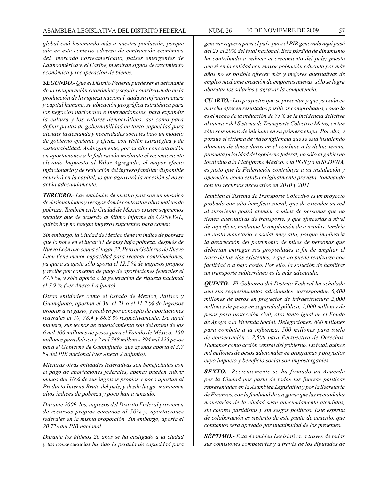*global está lesionando más a nuestra población, porque aún en este contexto adverso de contracción económica del mercado norteamericano, países emergentes de Latinoamérica y, el Caribe, muestran signos de crecimiento económico y recuperación de bienes.*

*SEGUNDO.- Que el Distrito Federal puede ser el detonante de la recuperación económica y seguir contribuyendo en la producción de la riqueza nacional, dada su infraestructura y capital humano, su ubicación geográfica estratégica para los negocios nacionales e internacionales, para expandir la cultura y los valores democráticos, así como para definir pautas de gobernabilidad en tanto capacidad para atender la demanda y necesidades sociales bajo un modelo de gobierno eficiente y eficaz, con visión estratégica y de sustentabilidad. Análogamente, por su alta concentración en aportaciones a la federación mediante el recientemente elevado Impuesto al Valor Agregado, el mayor efecto inflacionario y de reducción del ingreso familiar disponible ocurrirá en la capital, lo que agravará la recesión si no se actúa adecuadamente.*

*TERCERO.- Las entidades de nuestro país son un mosaico de desigualdades y rezagos donde contrastan altos índices de pobreza. También en la Ciudad de México existen segmentos sociales que de acuerdo al último informe de CONEVAL, quizás hoy no tengan ingresos suficientes para comer.*

*Sin embargo, la Ciudad de México tiene un índice de pobreza que lo pone en el lugar 31 de muy baja pobreza, después de Nuevo León que ocupa el lugar 32. Pero el Gobierno de Nuevo León tiene menor capacidad para recabar contribuciones, ya que a su gasto sólo aporta el 12.5 % de ingresos propios y recibe por concepto de pago de aportaciones federales el 87.5 %, y sólo aporta a la generación de riqueza nacional el 7.9 % (ver Anexo 1 adjunto).*

*Otras entidades como el Estado de México, Jalisco y Guanajuato, aportan el 30, el 21 o el 11.2 % de ingresos propios a su gasto, y reciben por concepto de aportaciones federales el 70, 78.4 y 88.8 % respectivamente. De igual manera, sus techos de endeudamiento son del orden de los 6 mil 400 millones de pesos para el Estado de México; 150 millones para Jalisco y 2 mil 748 millones 894 mil 225 pesos para el Gobierno de Guanajuato, que apenas aporta el 3.7 % del PIB nacional (ver Anexo 2 adjunto).* 

*Mientras otras entidades federativas son beneficiadas con el pago de aportaciones federales, apenas pueden cubrir menos del 10% de sus ingresos propios y poco aportan al Producto Interno Bruto del país, y desde luego, mantienen altos índices de pobreza y poco han avanzado.*

*Durante 2009, los, ingresos del Distrito Federal provienen de recursos propios cercanos al 50% y, aportaciones federales en la misma proporción. Sin embargo, aporta el 20.7% del PIB nacional.*

*Durante los últimos 20 años se ha castigado a la ciudad y las consecuencias ha sido la pérdida de capacidad para*  *generar riqueza para el país, pues el PIB generado aquí pasó del 25 al 20% del total nacional. Esta pérdida de dinamismo ha contribuido a reducir el crecimiento del país; puesto que si en la entidad con mayor población educada por más años no es posible ofrecer más y mejores alternativas de empleo mediante creación de empresas nuevas, sólo se logra abaratar los salarios y agravar la competencia.*

*CUARTO.- Los proyectos que se presentan y que ya están en marcha ofrecen resultados positivos comprobados, como lo es el hecho de la reducción de 75% de la incidencia delictiva al interior del Sistema de Transporte Colectivo Metro, en tan sólo seis meses de iniciado en su primera etapa. Por ello, y porque el sistema de videovigilancia que se está instalando alimenta de datos duros en el combate a la delincuencia, presunta prioridad del gobierno federal, no sólo al gobierno local sino a la Plataforma México, a la PGR y a la SEDENA, es justo que la Federación contribuya a su instalación y operación como estaba originalmente prevista, fondeando con los recursos necesarios en 2010 y 2011.*

*También el Sistema de Transporte Colectivo es un proyecto probado con alto beneficio social, que de extender su red al suroriente podrá atender a miles de personas que no tienen alternativas de transporte, y que ofrecerlas a nivel de superficie, mediante la ampliación de avenidas, tendría un costo monetario y social muy alto, porque implicaría la destrucción del patrimonio de miles de personas que deberían entregar sus propiedades a fin de ampliar el trazo de las vías existentes, y que no puede realizarse con facilidad o a bajo costo. Por ello, la solución de habilitar un transporte subterráneo es la más adecuada.*

*QUINTO.- El Gobierno del Distrito Federal ha señalado que sus requerimientos adicionales corresponden 6,400 millones de pesos en proyectos de infraestructura 2,000 millones de pesos en seguridad pública, 1,000 millones de pesos para protección civil, otro tanto igual en el Fondo de Apoyo a la Vivienda Social, Delegaciones: 600 millones para combate a la influenza, 500 millones para suelo de conservación y 2,500 para Perspectiva de Derechos. Humanos como acción central del gobierno. En total, quince mil millones de pesos adicionales en programas y proyectos cuyo impacto y beneficio social son impostergables.*

*SEXTO.- Recientemente se ha firmado un Acuerdo por la Ciudad por parte de todas las fuerzas políticas representadas en la Asamblea Legislativa y por la Secretaría de Finanzas, con la finalidad de asegurar que las necesidades monetarias de la ciudad sean adecuadamente atendidas, sin colores partidistas y sin sesgos políticos. Este espíritu de colaboración es sustento de este punto de acuerdo, que confiamos será apoyado por unanimidad de los presentes.*

*SÉPTIMO.- Esta Asamblea Legislativa, a través de todas sus comisiones competentes y a través de los diputados de*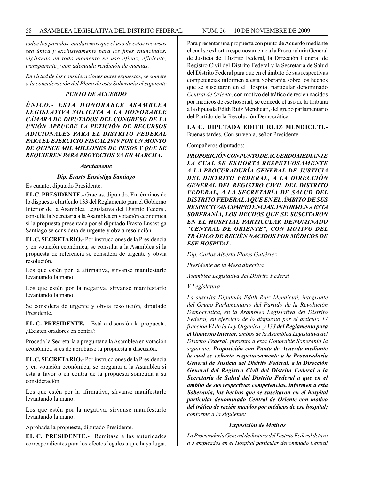*todos los partidos, cuidaremos que el uso de estos recursos sea única y exclusivamente para los fines enunciados, vigilando en todo momento su uso eficaz, eficiente, transparente y con adecuada rendición de cuentas.*

*En virtud de las consideraciones antes expuestas, se somete a la consideración del Pleno de esta Soberanía el siguiente*

#### *PUNTO DE ACUERDO*

*Ú N I C O . - E S TA H O N O R A B L E A S A M B L E A LEGISLATIVA SOLICITA A LA HONORABLE CÁMARA DE DIPUTADOS DEL CONGRESO DE LA UNIÓN APRUEBE LA PETICIÓN DE RECURSOS ADICIONALES PARA EL DISTRITO FEDERAL PARA EL EJERCICIO FISCAL 2010 POR UN MONTO DE QUINCE MIL MILLONES DE PESOS Y QUE SE REQUIEREN PARA PROYECTOS YA EN MARCHA.*

#### *Atentamente*

#### *Dip. Erasto Ensástiga Santiago*

Es cuanto, diputado Presidente.

**EL C. PRESIDENTE.-** Gracias, diputado. En términos de lo dispuesto el artículo 133 del Reglamento para el Gobierno Interior de la Asamblea Legislativa del Distrito Federal, consulte la Secretaría a la Asamblea en votación económica si la propuesta presentada por el diputado Erasto Ensástiga Santiago se considera de urgente y obvia resolución.

**EL C. SECRETARIO.-** Por instrucciones de la Presidencia y en votación económica, se consulta a la Asamblea si la propuesta de referencia se considera de urgente y obvia resolución.

Los que estén por la afirmativa, sírvanse manifestarlo levantando la mano.

Los que estén por la negativa, sírvanse manifestarlo levantando la mano.

Se considera de urgente y obvia resolución, diputado Presidente.

**EL C. PRESIDENTE.-** Está a discusión la propuesta. ¿Existen oradores en contra?

Proceda la Secretaría a preguntar a la Asamblea en votación económica si es de aprobarse la propuesta a discusión.

**EL C. SECRETARIO.-** Por instrucciones de la Presidencia y en votación económica, se pregunta a la Asamblea si está a favor o en contra de la propuesta sometida a su consideración.

Los que estén por la afirmativa, sírvanse manifestarlo levantando la mano.

Los que estén por la negativa, sírvanse manifestarlo levantando la mano.

Aprobada la propuesta, diputado Presidente.

**EL C. PRESIDENTE.-** Remítase a las autoridades correspondientes para los efectos legales a que haya lugar. Para presentar una propuesta con punto de Acuerdo mediante el cual se exhorta respetuosamente a la Procuraduría General de Justicia del Distrito Federal, la Dirección General de Registro Civil del Distrito Federal y la Secretaría de Salud del Distrito Federal para que en el ámbito de sus respectivas competencias informen a esta Soberanía sobre los hechos que se suscitaron en el Hospital particular denominado *Central de Oriente*, con motivo del tráfico de recién nacidos por médicos de ese hospital, se concede el uso de la Tribuna a la diputada Edith Ruíz Mendicuti, del grupo parlamentario del Partido de la Revolución Democrática.

**LA C. DIPUTADA EDITH RUÍZ MENDICUTI.-**  Buenas tardes. Con su venia, señor Presidente.

Compañeros diputados:

*PROPOSICIÓN CON PUNTO DE ACUERDO MEDIANTE LA CUAL SE EXHORTA RESPETUOSAMENTE A LA PROCURADURÍA GENERAL DE JUSTICIA DEL DISTRITO FEDERAL, A LA DIRECCIÓN GENERAL DEL REGISTRO CIVIL DEL DISTRITO FEDERAL, A LA SECRETARÍA DE SALUD DEL DISTRITO FEDERAL A QUE EN EL ÁMBITO DE SUS RESPECTIVAS COMPETENCIAS, INFORMEN A ESTA SOBERANÍA, LOS HECHOS QUE SE SUSCITARON EN EL HOSPITAL PARTICULAR DENOMINADO "CENTRAL DE ORIENTE", CON MOTIVO DEL TRÁFICO DE RECIÉN NACIDOS POR MÉDICOS DE ESE HOSPITAL.*

*Dip. Carlos Alberto Flores Gutiérrez*

*Presidente de la Mesa directiva*

*Asamblea Legislativa del Distrito Federal*

#### *V Legislatura*

*La suscrita Diputada Edith Ruíz Mendicuti, integrante del Grupo Parlamentario del Partido de la Revolución Democrática, en la Asamblea Legislativa del Distrito Federal, en ejercicio de lo dispuesto por el artículo 17 fracción VI de la Ley Orgánica, y 133 del Reglamento para el Gobierno Interior, ambos de la Asamblea Legislativa del Distrito Federal, presento a esta Honorable Soberanía la siguiente: Proposición con Punto de Acuerdo mediante la cual se exhorta respetuosamente a la Procuraduría General de Justicia del Distrito Federal, a la Dirección General del Registro Civil del Distrito Federal a la Secretaría de Salud del Distrito Federal a que en el ámbito de sus respectivas competencias, informen a esta Soberanía, los hechos que se suscitaron en el hospital particular denominado Central de Oriente con motivo del tráfico de recién nacidos por médicos de ese hospital; conforme a la siguiente:*

#### *Exposición de Motivos*

*La Procuraduría General de Justicia del Distrito Federal detuvo a 5 empleados en el Hospital particular denominado Central*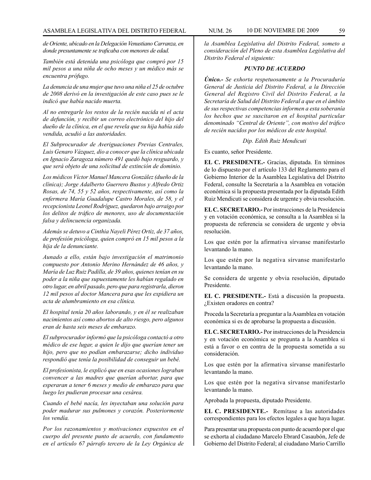*de Oriente, ubicado en la Delegación Venustiano Carranza, en donde presuntamente se traficaba con menores de edad.*

*También está detenida una psicóloga que compró por 15 mil pesos a una niña de ocho meses y un médico más se encuentra prófugo.*

*La denuncia de una mujer que tuvo una niña el 25 de octubre de 2008 derivó en la investigación de este caso pues se le indicó que había nacido muerta.*

*Al no entregarle los restos de la recién nacida ni el acta de defunción, y recibir un correo electrónico del hijo del dueño de la clínica, en el que revela que su hija había sido vendida, acudió a las autoridades.* 

*El Subprocurador de Averiguaciones Previas Centrales, Luis Genaro Vázquez, dio a conocer que la clínica ubicada en Ignacio Zaragoza número 491 quedó bajo resguardo, y que será objeto de una solicitud de extinción de dominio.*

*Los médicos Víctor Manuel Mancera González (dueño de la clínica); Jorge Adalberto Guerrero Bustos y Alfredo Ortiz Rosas, de 74, 55 y 52 años, respectivamente, así como la enfermera María Guadalupe Castro Morales, de 58, y el recepcionista Leonel Rodríguez, quedaron bajo arraigo por los delitos de tráfico de menores, uso de documentación falsa y delincuencia organizada.*

*Además se detuvo a Cinthia Nayeli Pérez Ortiz, de 37 años, de profesión psicóloga, quien compró en 15 mil pesos a la hija de la denunciante.* 

*Aunado a ello, están bajo investigación el matrimonio compuesto por Antonio Merino Hernández de 46 años, y María de Luz Ruiz Padilla, de 39 años, quienes tenían en su poder a la niña que supuestamente les habían regalado en otro lugar, en abril pasado, pero que para registrarla, dieron 12 mil pesos al doctor Mancera para que les expidiera un acta de alumbramiento en esa clínica.* 

*El hospital tenía 20 años laborando, y en él se realizaban nacimientos así como abortos de alto riesgo, pero algunos eran de hasta seis meses de embarazo.*

*El subprocurador informó que la psicóloga contactó a otro médico de ese lugar, a quien le dijo que querían tener un hijo, pero que no podían embarazarse; dicho individuo respondió que tenía la posibilidad de conseguir un bebé.* 

*El profesionista, le explicó que en esas ocasiones lograban convencer a las madres que querían abortar, para que esperaran a tener 6 meses y medio de embarazo para que luego les pudieran procesar una cesárea.*

*Cuando el bebé nacía, les inyectaban una solución para poder madurar sus pulmones y corazón. Posteriormente los vendía.*

*Por los razonamientos y motivaciones expuestos en el cuerpo del presente punto de acuerdo, con fundamento en el artículo 67 párrafo tercero de la Ley Orgánica de* 

*la Asamblea Legislativa del Distrito Federal, someto a consideración del Pleno de esta Asamblea Legislativa del Distrito Federal el siguiente:* 

#### *PUNTO DE ACUERDO*

*Único.- Se exhorta respetuosamente a la Procuraduría General de Justicia del Distrito Federal, a la Dirección General del Registro Civil del Distrito Federal, a la Secretaría de Salud del Distrito Federal a que en el ámbito de sus respectivas competencias informen a esta soberanía los hechos que se suscitaron en el hospital particular denominado "Central de Oriente", con motivo del tráfico de recién nacidos por los médicos de este hospital.*

#### *Dip. Edith Ruiz Mendicuti*

Es cuanto, señor Presidente.

**EL C. PRESIDENTE.-** Gracias, diputada. En términos de lo dispuesto por el artículo 133 del Reglamento para el Gobierno Interior de la Asamblea Legislativa del Distrito Federal, consulte la Secretaría a la Asamblea en votación económica si la propuesta presentada por la diputada Edith Ruiz Mendicuti se considera de urgente y obvia resolución.

**EL C. SECRETARIO.-** Por instrucciones de la Presidencia y en votación económica, se consulta a la Asamblea si la propuesta de referencia se considera de urgente y obvia resolución.

Los que estén por la afirmativa sírvanse manifestarlo levantando la mano.

Los que estén por la negativa sírvanse manifestarlo levantando la mano.

Se considera de urgente y obvia resolución, diputado Presidente.

**EL C. PRESIDENTE.-** Está a discusión la propuesta. ¿Existen oradores en contra?

Proceda la Secretaría a preguntar a la Asamblea en votación económica si es de aprobarse la propuesta a discusión.

**EL C. SECRETARIO.-** Por instrucciones de la Presidencia y en votación económica se pregunta a la Asamblea si está a favor o en contra de la propuesta sometida a su consideración.

Los que estén por la afirmativa sírvanse manifestarlo levantando la mano.

Los que estén por la negativa sírvanse manifestarlo levantando la mano.

Aprobada la propuesta, diputado Presidente.

**EL C. PRESIDENTE.-** Remítase a las autoridades correspondientes para los efectos legales a que haya lugar.

Para presentar una propuesta con punto de acuerdo por el que se exhorta al ciudadano Marcelo Ebrard Casaubón, Jefe de Gobierno del Distrito Federal; al ciudadano Mario Carrillo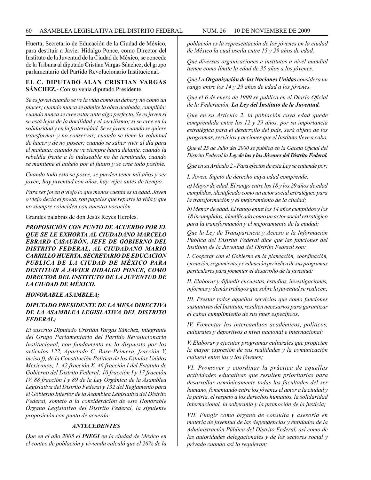Huerta, Secretario de Educación de la Ciudad de México, para destituir a Javier Hidalgo Ponce, como Director del Instituto de la Juventud de la Ciudad de México, se concede de la Tribuna al diputado Cristian Vargas Sánchez, del grupo parlamentario del Partido Revolucionario Institucional.

#### **EL C. DIPUTADO ALAN CRISTIAN VARGAS SÁNCHEZ.-** Con su venia diputado Presidente.

*Se es joven cuando se ve la vida como un deber y no como un placer; cuando nunca se admite la obra acabada, cumplida; cuando nunca se cree estar ante algo perfecto. Se es joven si se está lejos de la docilidad y el servilismo; si se cree en la solidaridad y en la fraternidad. Se es joven cuando se quiere transformar y no conservar; cuando se tiene la voluntad de hacer y de no poseer; cuando se saber vivir al día para el mañana; cuando se ve siempre hacia delante, cuando la rebeldía frente a lo indeseable no ha terminado, cuando se mantiene el anhelo por el futuro y se cree todo posible.*

*Cuando todo esto se posee, se pueden tener mil años y ser joven; hay juventud con años, hay vejez antes de tiempo.*

*Para ser joven o viejo lo que menos cuenta es la edad. Joven o viejo decía el poeta, son papeles que reparte la vida y que no siempre coinciden con nuestra vocación.* 

Grandes palabras de don Jesús Reyes Heroles.

*PROPOSICIÓN CON PUNTO DE ACUERDO POR EL QUE SE LE EXHORTA AL CIUDADANO MARCELO EBRARD CASAUBÓN, JEFE DE GOBIERNO DEL DISTRITO FEDERAL, AL CIUDADANO MARIO CARRILLO HUERTA, SECRETARIO DE EDUCACION PUBLICA DE LA CIUDAD DE MÉXICO PARA DESTITUIR A JAVIER HIDALGO PONCE, COMO DIRECTOR DEL INSTITUTO DE LA JUVENTUD DE LA CIUDAD DE MÉXICO.*

#### *HONORABLE ASAMBLEA;*

#### *DIPUTADO PRESIDENTE DE LA MESA DIRECTIVA DE LA ASAMBLEA LEGISLATIVA DEL DISTRITO FEDERAL;*

*El suscrito Diputado Cristian Vargas Sánchez, integrante del Grupo Parlamentario del Partido Revolucionario Institucional, con fundamento en lo dispuesto por los artículos 122, Apartado C, Base Primera, fracción V, inciso f), de la Constitución Política de los Estados Unidos Mexicanos; 1, 42 fracción X, 46 fracción I del Estatuto de Gobierno del Distrito Federal; 10 fracción I y 17 fracción IV, 88 fracción I y 89 de la Ley Orgánica de la Asamblea Legislativa del Distrito Federal y 132 del Reglamento para el Gobierno Interior de la Asamblea Legislativa del Distrito Federal, someto a la consideración de este Honorable Órgano Legislativo del Distrito Federal, la siguiente proposición con punto de acuerdo:*

#### *ANTECEDENTES*

*Que en el año 2005 el INEGI en la ciudad de México en el conteo de población y vivienda calculó que el 26% de la*  *población es la representación de los jóvenes en la ciudad de México la cual oscila entre 15 y 29 años de edad.*

*Que diversas organizaciones e institutos a nivel mundial tienen como límite la edad de 35 años a los jóvenes.*

*Que La Organización de las Naciones Unidas considera un rango entre los 14 y 29 años de edad a los jóvenes.*

*Que el 6 de enero de 1999 se publica en el Diario Oficial de la Federación, La Ley del Instituto de la Juventud.*

*Que en su Artículo 2. la población cuya edad quede comprendida entre los 12 y 29 años, por su importancia estratégica para el desarrollo del país, será objeto de los programas, servicios y acciones que el Instituto lleve a cabo.*

*Que el 25 de Julio del 2000 se publica en la Gaceta Oficial del Distrito Federal la Ley de las y los Jóvenes del Distrito Federal.*

*Que en su Artículo 2.- Para efectos de esta Ley se entiende por:*

*I. Joven. Sujeto de derecho cuya edad comprende:*

*a) Mayor de edad. El rango entre los 18 y los 29 años de edad cumplidos, identificado como un actor social estratégico para la transformación y el mejoramiento de la ciudad;*

*b) Menor de edad. El rango entre los 14 años cumplidos y los 18 incumplidos, identificado como un actor social estratégico para la transformación y el mejoramiento de la ciudad;*

*Que la Ley de Transparencia y Acceso a la Información Pública del Distrito Federal dice que las funciones del Instituto de la Juventud del Distrito Federal son:*

*I. Cooperar con el Gobierno en la planeación, coordinación, ejecución, seguimiento y evaluación periódica de sus programas particulares para fomentar el desarrollo de la juventud;*

*II. Elaborar y difundir encuestas, estudios, investigaciones, informes y demás trabajos que sobre la juventud se realicen;*

*III. Prestar todos aquellos servicios que como funciones sustantivas del Instituto, resulten necesarios para garantizar el cabal cumplimiento de sus fines específicos;*

*IV. Fomentar los intercambios académicos, políticos, culturales y deportivos a nivel nacional e internacional;*

*V. Elaborar y ejecutar programas culturales que propicien la mayor expresión de sus realidades y la comunicación cultural entre las y los jóvenes;*

*VI. Promover y coordinar la práctica de aquellas actividades educativas que resulten prioritarias para desarrollar armónicamente todas las facultades del ser humano, fomentando entre los jóvenes el amor a la ciudad y la patria, el respeto a los derechos humanos, la solidaridad internacional, la soberanía y la promoción de la justicia;*

*VII. Fungir como órgano de consulta y asesoría en materia de juventud de las dependencias y entidades de la Administración Pública del Distrito Federal, así como de las autoridades delegacionales y de los sectores social y privado cuando así lo requieran;*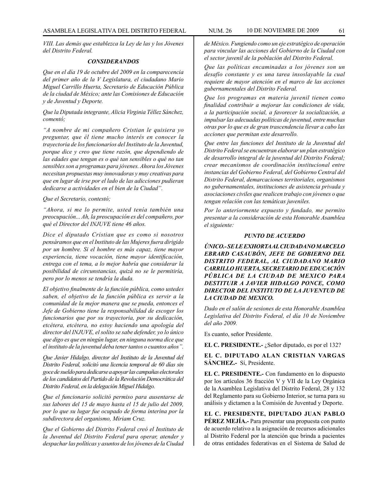*VIII. Las demás que establezca la Ley de las y los Jóvenes del Distrito Federal.*

#### *CONSIDERANDOS*

*Que en el día 19 de octubre del 2009 en la comparecencia del primer año de la V Legislatura, el ciudadano Mario Miguel Carrillo Huerta, Secretario de Educación Pública de la ciudad de México; ante las Comisiones de Educación y de Juventud y Deporte.*

*Que la Diputada integrante, Alicia Virginia Téllez Sánchez, comentó;*

*"A nombre de mi compañero Cristian le quisiera yo preguntar, que él tiene mucho interés en conocer la trayectoria de los funcionarios del Instituto de la Juventud, porque dice y creo que tiene razón, que dependiendo de las edades que tengan es o qué tan sensibles o qué no tan sensibles son a programas para jóvenes. Ahora los Jóvenes necesitan propuestas muy innovadoras y muy creativas para que en lugar de irse por el lado de las adicciones pudieran dedicarse a actividades en el bien de la Ciudad".*

#### *Que el Secretario, contestó;*

*"Ahora, si me lo permite, usted tenía también una preocupación... Ah, la preocupación es del compañero, por qué el Director del INJUVE tiene 46 años.* 

*Dice el diputado Cristian que es como si nosotros pensáramos que en el Instituto de las Mujeres fuera dirigido por un hombre. Si el hombre es más capaz, tiene mayor experiencia, tiene vocación, tiene mayor identificación, entrega con el tema, a lo mejor habría que considerar la posibilidad de circunstancias, quizá no se le permitiría, pero por lo menos se tendría la duda.*

*El objetivo finalmente de la función pública, como ustedes saben, el objetivo de la función pública es servir a la comunidad de la mejor manera que se pueda, entonces el Jefe de Gobierno tiene la responsabilidad de escoger los funcionarios que por su trayectoria, por su dedicación, etcétera, etcétera, no estoy haciendo una apología del director del INJUVE, el solito se sabe defender, yo lo único que digo es que en ningún lugar, en ninguna norma dice que el instituto de la juventud deba tener tantos o cuantos años".*

*Que Javier Hidalgo, director del Instituto de la Juventud del Distrito Federal, solicitó una licencia temporal de 60 días sin goce de sueldo para dedicarse a apoyar las campañas electorales de los candidatos del Partido de la Revolución Democrática del Distrito Federal, en la delegación Miguel Hidalgo.*

*Que el funcionario solicitó permiso para ausentarse de sus labores del 15 de mayo hasta el 15 de julio del 2009, por lo que su lugar fue ocupado de forma interina por la subdirectora del organismo, Miriam Cruz.*

*Que el Gobierno del Distrito Federal creó el Instituto de la Juventud del Distrito Federal para operar, atender y despachar las políticas y asuntos de los jóvenes de la Ciudad*  *de México. Fungiendo como un eje estratégico de operación para vincular las acciones del Gobierno de la Ciudad con el sector juvenil de la población del Distrito Federal.*

*Que las políticas encaminadas a los jóvenes son un desafío constante y es una tarea insoslayable la cual requiere de mayor atención en el marco de las acciones gubernamentales del Distrito Federal.*

*Que los programas en materia juvenil tienen como finalidad contribuir a mejorar las condiciones de vida, a la participación social, a favorecer la socialización, a impulsar las adecuadas políticas de juventud, entre muchas otras por lo que es de gran trascendencia llevar a cabo las acciones que permitan este desarrollo.*

*Que entre las funciones del Instituto de la Juventud del Distrito Federal se encuentran elaborar un plan estratégico de desarrollo integral de la juventud del Distrito Federal; crear mecanismos de coordinación institucional entre instancias del Gobierno Federal, del Gobierno Central del Distrito Federal, demarcaciones territoriales, organismos no gubernamentales, instituciones de asistencia privada y asociaciones civiles que realicen trabajo con jóvenes o que tengan relación con las temáticas juveniles.*

*Por lo anteriormente expuesto y fundado, me permito presentar a la consideración de esta Honorable Asamblea el siguiente:*

#### *PUNTO DE ACUERDO*

*ÚNICO.- SE LE EXHORTA AL CIUDADANO MARCELO EBRARD CASAUBÓN, JEFE DE GOBIERNO DEL DISTRITO FEDERAL, AL CIUDADANO MARIO CARRILLO HUERTA, SECRETARIO DE EDUCACIÓN PÚBLICA DE LA CIUDAD DE MEXICO PARA DESTITUIR A JAVIER HIDALGO PONCE, COMO DIRECTOR DEL INSTITUTO DE LA JUVENTUD DE LA CIUDAD DE MEXICO.*

*Dado en el salón de sesiones de esta Honorable Asamblea Legislativa del Distrito Federal, el día 10 de Noviembre del año 2009.*

Es cuanto, señor Presidente.

**EL C. PRESIDENTE.-** ¿Señor diputado, es por el 132?

**EL C. DIPUTADO ALAN CRISTIAN VARGAS SÁNCHEZ.-** Sí, Presidente.

**EL C. PRESIDENTE.-** Con fundamento en lo dispuesto por los artículos 36 fracción V y VII de la Ley Orgánica de la Asamblea Legislativa del Distrito Federal, 28 y 132 del Reglamento para su Gobierno Interior, se turna para su análisis y dictamen a la Comisión de Juventud y Deporte.

**EL C. PRESIDENTE, DIPUTADO JUAN PABLO PÉREZ MEJÍA.-** Para presentar una propuesta con punto de acuerdo relativo a la asignación de recursos adicionales al Distrito Federal por la atención que brinda a pacientes de otras entidades federativas en el Sistema de Salud de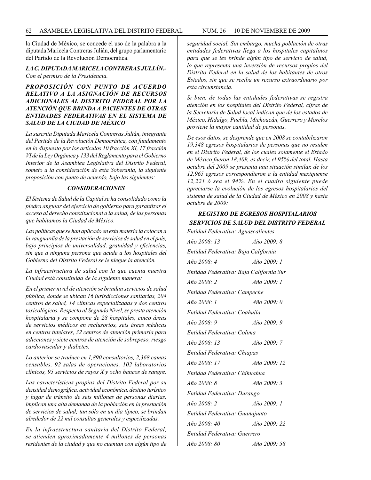la Ciudad de México, se concede el uso de la palabra a la diputada Maricela Contreras Julián, del grupo parlamentario del Partido de la Revolución Democrática.

#### *LA C. DIPUTADA MARICELA CONTRERAS JULIÁN.- Con el permiso de la Presidencia.*

#### *PROPOSICIÓN CON PUNTO DE ACUERDO RELATIVO A LA ASIGNACIÓN DE RECURSOS ADICIONALES AL DISTRITO FEDERAL POR LA ATENCIÓN QUE BRINDA A PACIENTES DE OTRAS ENTIDADES FEDERATIVAS EN EL SISTEMA DE SALUD DE LA CIUDAD DE MÉXICO*

*La suscrita Diputada Maricela Contreras Julián, integrante del Partido de la Revolución Democrática, con fundamento en lo dispuesto por los artículos 10 fracción XI, 17 fracción VI de la Ley Orgánica y 133 del Reglamento para el Gobierno Interior de la Asamblea Legislativa del Distrito Federal, someto a la consideración de esta Soberanía, la siguiente proposición con punto de acuerdo, bajo las siguientes:*

#### *CONSIDERACIONES*

*El Sistema de Salud de la Capital se ha consolidado como la piedra angular del ejercicio de gobierno para garantizar el acceso al derecho constitucional a la salud, de las personas que habitamos la Ciudad de México.* 

*Las políticas que se han aplicado en esta materia la colocan a la vanguardia de la prestación de servicios de salud en el país, bajo principios de universalidad, gratuidad y eficiencias, sin que a ninguna persona que acude a los hospitales del Gobierno del Distrito Federal se le niegue la atención.* 

*La infraestructura de salud con la que cuenta nuestra Ciudad está constituida de la siguiente manera:*

*En el primer nivel de atención se brindan servicios de salud pública, donde se ubican 16 jurisdicciones sanitarias, 204 centros de salud, 14 clínicas especializadas y dos centros toxicológicos. Respecto al Segundo Nivel, se presta atención hospitalaria y se compone de 28 hospitales, cinco áreas de servicios médicos en reclusorios, seis áreas médicas en centros tutelares, 32 centros de atención primaria para adicciones y siete centros de atención de sobrepeso, riesgo cardiovascular y diabetes.*

*Lo anterior se traduce en 1,890 consultorios, 2,368 camas censables, 92 salas de operaciones, 102 laboratorios clínicos, 95 servicios de rayos X y ocho bancos de sangre.*

*Las características propias del Distrito Federal por su densidad demográfica, actividad económica, destino turístico y lugar de tránsito de seis millones de personas diarias, implican una alta demanda de la población en la prestación de servicios de salud; tan sólo en un día típico, se brindan alrededor de 22 mil consultas generales y especilizadas.*

*En la infraestructura sanitaria del Distrito Federal, se atienden aproximadamente 4 millones de personas residentes de la ciudad y que no cuentan con algún tipo de* 

*seguridad social. Sin embargo, mucha población de otras entidades federativas llega a los hospitales capitalinos para que se les brinde algún tipo de servicio de salud, lo que representa una inversión de recursos propios del Distrito Federal en la salud de los habitantes de otros Estados, sin que se reciba un recurso extraordinario por esta circunstancia.*

*Si bien, de todas las entidades federativas se registra atención en los hospitales del Distrito Federal, cifras de la Secretaría de Salud local indican que de los estados de México, Hidalgo, Puebla, Michoacán, Guerrero y Morelos proviene la mayor cantidad de personas.*

*De esos datos, se desprende que en 2008 se contabilizaron 19,348 egresos hospitalarios de personas que no residen en el Distrito Federal, de los cuales solamente el Estado de México fueron 18,409, es decir, el 95% del total. Hasta octubre del 2009 se presenta una situación similar, de los 12,965 egresos correspondieron a la entidad mexiquense 12,221 ó sea el 94%. En el cuadro siguiente puede apreciarse la evolución de los egresos hospitalarios del sistema de salud de la Ciudad de México en 2008 y hasta octubre de 2009:*

#### *REGISTRO DE EGRESOS HOSPITALARIOS SERVICIOS DE SALUD DEL DISTRITO FEDERAL*

| Entidad Federativa: Aguascalientes      |                        |
|-----------------------------------------|------------------------|
| $A\tilde{n}$ o 2008: 13                 | $A\tilde{n}$ o 2009: 8 |
| Entidad Federativa: Baja California     |                        |
| Año 2008: 4                             | Año 2009: 1            |
| Entidad Federativa: Baja California Sur |                        |
| $A\tilde{n}$ o 2008: 2                  | $A\tilde{n}$ o 2009: 1 |
| Entidad Federativa: Campeche            |                        |
| Año 2008: 1                             | $A\tilde{n}$ o 2009: 0 |
| Entidad Federativa: Coahuila            |                        |
| Año 2008: 9                             | $A\tilde{n}$ o 2009: 9 |
| Entidad Federativa: Colima              |                        |
| Año 2008: 13                            | $A\tilde{n}$ o 2009: 7 |
| Entidad Federativa: Chiapas             |                        |
| Año 2008: 17                            | Año 2009: 12           |
| Entidad Federativa: Chihuahua           |                        |
| $A\tilde{n}$ o 2008: 8                  | Año 2009: 3            |
| Entidad Federativa: Durango             |                        |
| $A\tilde{n}$ o 2008: 2                  | $A\tilde{n}$ o 2009: 1 |
| Entidad Federativa: Guanajuato          |                        |
| Año 2008: 40                            | Año 2009: 22           |
| Entidad Federativa: Guerrero            |                        |
| Año 2008: 80                            | Año 2009: 58           |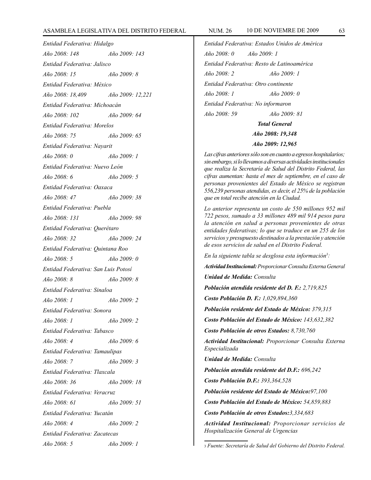#### ASAMBLEA LEGISLATIVA DEL DISTRITO FEDERAL NUM. 26 10 de NOVIEMRE de 2009 63

*Entidad Federativa: Hidalgo Año 2008: 148 Año 2009: 143 Entidad Federativa: Jalisco Año 2008: 15 Año 2009: 8 Entidad Federativa: México Año 2008: 18,409 Año 2009: 12,221 Entidad Federativa: Michoacán Año 2008: 102 Año 2009: 64 Entidad Federativa: Morelos Año 2008: 75 Año 2009: 65 Entidad Federativa: Nayarit Año 2008: 0 Año 2009: 1 Entidad Federativa: Nuevo León Año 2008: 6 Año 2009: 5 Entidad Federativa: Oaxaca Año 2008: 47 Año 2009: 38 Entidad Federativa: Puebla Año 2008: 131 Año 2009: 98 Entidad Federativa: Querétaro Año 2008: 32 Año 2009: 24 Entidad Federativa: Quintana Roo Año 2008: 5 Año 2009: 0 Entidad Federativa: San Luis Potosí Año 2008: 8 Año 2009: 8 Entidad Federativa: Sinaloa Año 2008: 1 Año 2009: 2 Entidad Federativa: Sonora Año 2008: 1 Año 2009: 2 Entidad Federativa: Tabasco Año 2008: 4 Año 2009: 6 Entidad Federativa: Tamaulipas Año 2008: 7 Año 2009: 3 Entidad Federativa: Tlaxcala Año 2008: 36 Año 2009: 18 Entidad Federativa: Veracruz Año 2008: 61 Año 2009: 51 Entidad Federativa: Yucatán Año 2008: 4 Año 2009: 2 Entidad Federativa: Zacatecas Año 2008: 5 Año 2009: 1*

*Entidad Federativa: Estados Unidos de América Año 2008: 0 Año 2009: 1 Entidad Federativa: Resto de Latinoamérica Año 2008: 2 Año 2009: 1 Entidad Federativa: Otro continente Año 2008: 1 Año 2009: 0 Entidad Federativa: No informaron Año 2008: 59 Año 2009: 81 Total General Año 2008: 19,348 Año 2009: 12,965*

*Las cifras anteriores sólo son en cuanto a egresos hospitalarios; sin embargo, si lo llevamos a diversas actividades institucionales que realiza la Secretaría de Salud del Distrito Federal, las cifras aumentan: hasta el mes de septiembre, en el caso de personas provenientes del Estado de México se registran 556,239 personas atendidas, es decir, el 25% de la población que en total recibe atención en la Ciudad.*

*Lo anterior representa un costo de 550 millones 952 mil 722 pesos, sumado a 33 millones 489 mil 914 pesos para la atención en salud a personas provenientes de otras entidades federativas; lo que se traduce en un 255 de los servicios y presupuesto destinados a la prestación y atención de esos servicios de salud en el Distrito Federal.*

*En la siguiente tabla se desglosa esta información3 :*

*Actividad Institucional: Proporcionar Consulta Externa General*

*Unidad de Medida: Consulta*

*Población atendida residente del D. F.: 2,719,825*

*Costo Población D. F.: 1,029,894,360*

*Población residente del Estado de México: 379,315*

*Costo Población del Estado de México: 143,632,382*

*Costo Población de otros Estados: 8,730,760*

*Actividad Institucional: Proporcionar Consulta Externa Especializada*

*Unidad de Medida: Consulta*

*Población atendida residente del D.F.: 696,242*

*Costo Población D.F.: 393,364,528*

*Población residente del Estado de México:97,100*

*Costo Población del Estado de México: 54,859,883*

*Costo Población de otros Estados:3,334,683*

*Actividad Institucional: Proporcionar servicios de Hospitalización General de Urgencias*

<sup>3</sup> *Fuente: Secretaría de Salud del Gobierno del Distrito Federal.*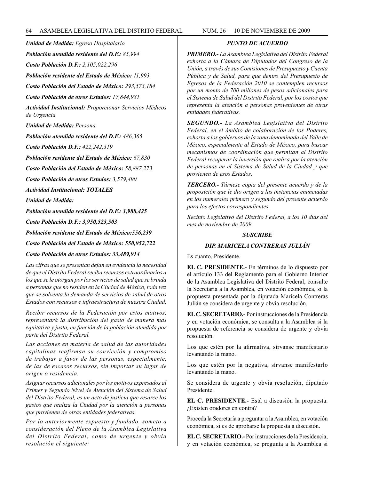*Unidad de Medida: Egreso Hospitalario*

*Población atendida residente del D.F.: 85,994*

*Costo Población D.F.: 2,105,022,296*

*Población residente del Estado de México: 11,993*

*Costo Población del Estado de México: 293,573,184*

*Costo Población de otros Estados: 17,844,981*

*Actividad Institucional: Proporcionar Servicios Médicos de Urgencia*

*Unidad de Medida: Persona*

*Población atendida residente del D.F.: 486,365*

*Costo Población D.F.: 422,242,319*

*Población residente del Estado de México: 67,830*

*Costo Población del Estado de México: 58,887,273*

*Costo Población de otros Estados: 3,579,490*

*Actividad Institucional: TOTALES*

*Unidad de Medida:*

*Población atendida residente del D.F.: 3,988,425*

*Costo Población D.F.: 3,950,523,503*

*Población residente del Estado de México:556,239*

*Costo Población del Estado de México: 550,952,722*

*Costo Población de otros Estados: 33,489,914*

*Las cifras que se presentan dejan en evidencia la necesidad de que el Distrito Federal reciba recursos extraordinarios a los que se le otorgan por los servicios de salud que se brinda a personas que no residen en la Ciudad de México, toda vez que se solventa la demanda de servicios de salud de otros Estados con recursos e infraestructura de nuestra Ciudad.*

*Recibir recursos de la Federación por estos motivos, representará la distribución del gasto de manera más equitativa y justa, en función de la población atendida por parte del Distrito Federal.*

*Las acciones en materia de salud de las autoridades capitalinas reafirman su convicción y compromiso de trabajar a favor de las personas, especialmente, de las de escasos recursos, sin importar su lugar de origen o residencia.*

*Asignar recursos adicionales por los motivos expresados al Primer y Segundo Nivel de Atención del Sistema de Salud del Distrito Federal, es un acto de justicia que resarce los gastos que realiza la Ciudad por la atención a personas que provienen de otras entidades federativas.*

*Por lo anteriormente expuesto y fundado, someto a consideración del Pleno de la Asamblea Legislativa del Distrito Federal, como de urgente y obvia resolución el siguiente:*

#### *PUNTO DE ACUERDO*

*PRIMERO.- La Asamblea Legislativa del Distrito Federal exhorta a la Cámara de Diputados del Congreso de la Unión, a través de sus Comisiones de Presupuesto y Cuenta Pública y de Salud, para que dentro del Presupuesto de Egresos de la Federación 2010 se contemplen recursos por un monto de 700 millones de pesos adicionales para el Sistema de Salud del Distrito Federal, por los costos que representa la atención a personas provenientes de otras entidades federativas.*

*SEGUNDO.- La Asamblea Legislativa del Distrito Federal, en el ámbito de colaboración de los Poderes, exhorta a los gobiernos de la zona denominada del Valle de México, especialmente al Estado de México, para buscar mecanismos de coordinación que permitan al Distrito Federal recuperar la inversión que realiza por la atención de personas en el Sistema de Salud de la Ciudad y que provienen de esos Estados.*

*TERCERO.- Túrnese copia del presente acuerdo y de la proposición que le dio origen a las instancias enunciadas en los numerales primero y segundo del presente acuerdo para los efectos correspondientes.*

*Recinto Legislativo del Distrito Federal, a los 10 días del mes de noviembre de 2009.*

#### *SUSCRIBE*

#### *DIP. MARICELA CONTRERAS JULIÁN*

Es cuanto, Presidente.

**EL C. PRESIDENTE.-** En términos de lo dispuesto por el artículo 133 del Reglamento para el Gobierno Interior de la Asamblea Legislativa del Distrito Federal, consulte la Secretaría a la Asamblea, en votación económica, si la propuesta presentada por la diputada Maricela Contreras Julián se considera de urgente y obvia resolución.

**EL C. SECRETARIO.-** Por instrucciones de la Presidencia y en votación económica, se consulta a la Asamblea si la propuesta de referencia se considera de urgente y obvia resolución.

Los que estén por la afirmativa, sírvanse manifestarlo levantando la mano.

Los que estén por la negativa, sírvanse manifestarlo levantando la mano.

Se considera de urgente y obvia resolución, diputado Presidente.

**EL C. PRESIDENTE.-** Está a discusión la propuesta. ¿Existen oradores en contra?

Proceda la Secretaría a preguntar a la Asamblea, en votación económica, si es de aprobarse la propuesta a discusión.

**EL C. SECRETARIO.-** Por instrucciones de la Presidencia, y en votación económica, se pregunta a la Asamblea si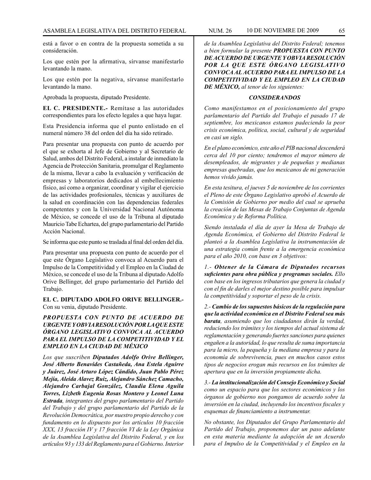está a favor o en contra de la propuesta sometida a su consideración.

Los que estén por la afirmativa, sírvanse manifestarlo levantando la mano.

Los que estén por la negativa, sírvanse manifestarlo levantando la mano.

Aprobada la propuesta, diputado Presidente.

**EL C. PRESIDENTE.-** Remítase a las autoridades correspondientes para los efecto legales a que haya lugar.

Esta Presidencia informa que el punto enlistado en el numeral número 38 del orden del día ha sido retirado.

Para presentar una propuesta con punto de acuerdo por el que se exhorta al Jefe de Gobierno y al Secretario de Salud, ambos del Distrito Federal, a instalar de inmediato la Agencia de Protección Sanitaria, promulgar el Reglamento de la misma, llevar a cabo la evaluación y verificación de empresas y laboratorios dedicados al embellecimiento físico, así como a organizar, coordinar y vigilar el ejercicio de las actividades profesionales, técnicas y auxiliares de la salud en coordinación con las dependencias federales competentes y con la Universidad Nacional Autónoma de México, se concede el uso de la Tribuna al diputado Mauricio Tabe Echartea, del grupo parlamentario del Partido Acción Nacional.

Se informa que este punto se traslada al final del orden del día.

Para presentar una propuesta con punto de acuerdo por el que este Órgano Legislativo convoca al Acuerdo para el Impulso de la Competitividad y el Empleo en la Ciudad de México, se concede el uso de la Tribuna al diputado Adolfo Orive Bellinger, del grupo parlamentario del Partido del Trabajo.

**EL C. DIPUTADO ADOLFO ORIVE BELLINGER.-**  Con su venia, diputado Presidente.

#### *PROPUESTA CON PUNTO DE ACUERDO DE URGENTE Y OBVIA RESOLUCIÓN POR LA QUE ESTE ÓRGANO LEGISLATIVO CONVOCA AL ACUERDO PARA EL IMPULSO DE LA COMPETITIVIDAD Y EL EMPLEO EN LA CIUDAD DE MÉXICO*

*Los que suscriben Diputados Adolfo Orive Bellinger, José Alberto Benavides Castañeda, Ana Estela Aguirre y Juárez, José Arturo López Cándido, Juan Pablo Pérez Mejía, Aleida Alavez Ruiz, Alejandro Sánchez Camacho, Alejandro Carbajal González, Claudia Elena Aguila Torres, Lizbeth Eugenia Rosas Montero y Leonel Luna Estrada, integrantes del grupo parlamentario del Partido del Trabajo y del grupo parlamentario del Partido de la Revolución Democrática, por nuestro propio derecho y con fundamento en lo dispuesto por los artículos 10 fracción XXX, 13 fracción IV y 17 fracción VI de la Ley Orgánica de la Asamblea Legislativa del Distrito Federal, y en los artículos 93 y 133 del Reglamento para el Gobierno. Interior* 

*de la Asamblea Legislativa del Distrito Federal; tenemos a bien formular la presente PROPUESTA CON PUNTO DE ACUERDO DE URGENTE Y OBVIA RESOLUCIÓN POR LA QUE ESTE ÓRGANO LEGISLATIVO CONVOCA AL ACUERDO PARA EL IMPULSO DE LA COMPETITIVIDAD Y EL EMPLEO EN LA CIUDAD DE MÉXICO, al tenor de los siguientes:*

#### *CONSIDERANDOS*

*Como manifestamos en el posicionamiento del grupo parlamentario del Partido del Trabajo el pasado 17 de septiembre, los mexicanos estamos padeciendo la peor crisis económica, política, social, cultural y de seguridad en casi un siglo.* 

*En el plano económico, este año el PIB nacional descenderá cerca del 10 por ciento; tendremos el mayor número de desempleados, de migrantes y de pequeñas y medianas empresas quebradas, que los mexicanos de mi generación hemos vivido jamás.*

*En esta tesitura, el jueves 5 de noviembre de los corrientes el Pleno de este Órgano Legislativo aprobó el Acuerdo de la Comisión de Gobierno por medio del cual se aprueba la creación de las Mesas de Trabajo Conjuntas de Agenda Económica y de Reforma Política.*

*Siendo instalada el día de ayer la Mesa de Trabajo de Agenda Económica, el Gobierno del Distrito Federal le planteó a la Asamblea Legislativa la instrumentación de una estrategia común frente a la emergencia económica para el año 2010, con base en 3 objetivos:*

*1.- Obtener de la Cámara de Diputados recursos suficientes para obra pública y programas sociales. Ello con base en los ingresos tributarios que genera la ciudad y con el fin de darles el mejor destino posible para impulsar la competitividad y soportar el peso de la crisis.*

*2.- Cambio de los supuestos básicos de la regulación para que la actividad económica en el Distrito Federal sea más barata, asumiendo que los ciudadanos dirán la verdad, reduciendo los trámites y los tiempos del actual sistema de reglamentación y generando fuertes sanciones para quienes engañen a la autoridad, lo que resulta de suma importancia para la micro, la pequeña y la mediana empresa y para la economía de sobrevivencia, pues en muchos casos estos tipos de negocios erogan más recursos en los trámites de apertura que en la inversión propiamente dicha.*

*3.- La institucionalización del Consejo Económico y Social como un espacio para que los sectores económicos y los órganos de gobierno nos pongamos de acuerdo sobre la inversión en la ciudad, incluyendo los incentivos fiscales y esquemas de financiamiento a instrumentar.* 

*No obstante, los Diputados del Grupo Parlamentario del Partido del Trabajo, proponemos dar un paso adelante en esta materia mediante la adopción de un Acuerdo para el Impulso de la Competitividad y el Empleo en la*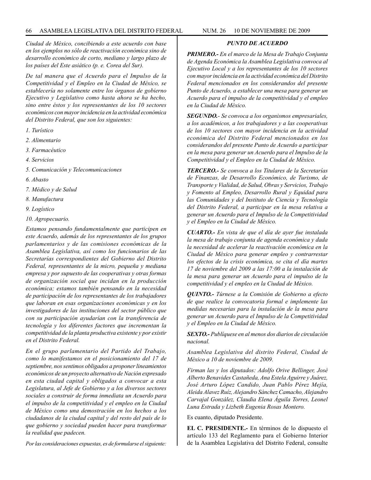*Ciudad de México, concibiendo a este acuerdo con base en los ejemplos no sólo de reactivación económica sino de desarrollo económico de corto, mediano y largo plazo de los países del Este asiático (p. e. Corea del Sur).*

*De tal manera que el Acuerdo para el Impulso de la Competitividad y el Empleo en la Ciudad de México, se establecería no solamente entre los órganos de gobierno Ejecutivo y Legislativo como hasta ahora se ha hecho, sino entre éstos y los representantes de los 10 sectores económicos con mayor incidencia en la actividad económica del Distrito Federal, que son los siguientes:* 

- *1. Turístico*
- *2. Alimentario*
- *3. Farmacéutico*
- *4. Servicios*
- *5. Comunicación y Telecomunicaciones*
- *6. Abasto*
- *7. Médico y de Salud*
- *8. Manufactura*
- *9. Logístico*
- *10. Agropecuario.*

*Estamos pensando fundamentalmente que participen en este Acuerdo, además de los representantes de los grupos parlamentarios y de las comisiones económicas de la Asamblea Legislativa, así como los funcionarios de las Secretarías correspondientes del Gobierno del Distrito Federal, representantes de la micro, pequeña y mediana empresa y por supuesto de las cooperativas y otras formas de organización social que incidan en la producción económica; estamos también pensando en la necesidad de participación de los representantes de los trabajadores que laboran en esas organizaciones económicas y en los investigadores de las instituciones del sector público que con su participación ayudarían con la transferencia de tecnología y los diferentes factores que incrementan la competitividad de la planta productiva existente y por existir en el Distrito Federal.*

*En el grupo parlamentario del Partido del Trabajo, como lo manifestamos en el posicionamiento del 17 de septiembre, nos sentimos obligados a proponer lineamientos económicos de un proyecto alternativo de Nación expresado en esta ciudad capital y obligados a convocar a esta Legislatura, al Jefe de Gobierno y a los diversos sectores sociales a construir de forma inmediata un Acuerdo para el impulso de la competitividad y el empleo en la Ciudad de México como una demostración en los hechos a los ciudadanos de la ciudad capital y del resto del país de lo que gobierno y sociedad pueden hacer para transformar la realidad que padecen.*

*Por las consideraciones expuestas, es de formularse el siguiente:*

#### *PUNTO DE ACUERDO*

*PRIMERO.- En el marco de la Mesa de Trabajo Conjunta de Agenda Económica la Asamblea Legislativa convoca al Ejecutivo Local y a los representantes de los 10 sectores con mayor incidencia en la actividad económica del Distrito Federal mencionados en los considerandos del presente Punto de Acuerdo, a establecer una mesa para generar un Acuerdo para el impulso de la competitividad y el empleo en la Ciudad de México.*

*SEGUNDO.- Se convoca a los organismos empresariales, a los académicos, a los trabajadores y a las cooperativas de los 10 sectores con mayor incidencia en la actividad económica del Distrito Federal mencionados en los considerandos del presente Punto de Acuerdo a participar en la mesa para generar un Acuerdo para el Impulso de la Competitividad y el Empleo en la Ciudad de México.*

*TERCERO.- Se convoca a los Titulares de la Secretarías de Finanzas, de Desarrollo Económico, de Turismo, de Transporte y Vialidad, de Salud, Obras y Servicios, Trabajo y Fomento al Empleo, Desarrollo Rural y Equidad para las Comunidades y del Instituto de Ciencia y Tecnología del Distrito Federal, a participar en la mesa relativa a generar un Acuerdo para el Impulso de la Competitividad y el Empleo en la Ciudad de México.*

*CUARTO.- En vista de que el día de ayer fue instalada la mesa de trabajo conjunta de agenda económica y dada la necesidad de acelerar la reactivación económica en la Ciudad de México para generar empleo y contrarrestar los efectos de la crisis económica, se cita el día martes 17 de noviembre del 2009 a las 17:00 a la instalación de la mesa para generar un Acuerdo para el impulso de la competitividad y el empleo en la Ciudad de México.*

*QUINTO.- Túrnese a la Comisión de Gobierno a efecto de que realice la convocatoria formal e implemente las medidas necesarias para la instalación de la mesa para generar un Acuerdo para el Impulso de la Competitividad y el Empleo en la Ciudad de México.*

*SEXTO.- Publíquese en al menos dos diarios de circulación nacional.*

*Asamblea Legislativa del distrito Federal, Ciudad de México a 10 de noviembre de 2009.*

*Firman las y los diputados: Adolfo Orive Bellinger, José Alberto Benavides Castañeda, Ana Estela Aguirre y Juárez, José Arturo López Candido, Juan Pablo Pérez Mejía, Aleida Alavez Ruíz, Alejandro Sánchez Camacho, Alejandro Carvajal González, Claudia Elena Águila Torres, Leonel Luna Estrada y Lizbeth Eugenia Rosas Montero.*

Es cuanto, diputado Presidente.

**EL C. PRESIDENTE.-** En términos de lo dispuesto el artículo 133 del Reglamento para el Gobierno Interior de la Asamblea Legislativa del Distrito Federal, consulte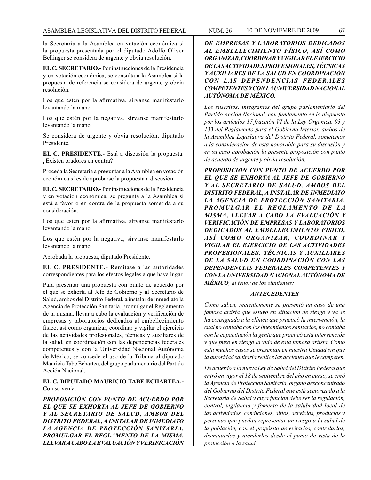la Secretaría a la Asamblea en votación económica si la propuesta presentada por el diputado Adolfo Oliver Bellinger se considera de urgente y obvia resolución.

**EL C. SECRETARIO.-** Por instrucciones de la Presidencia y en votación económica, se consulta a la Asamblea si la propuesta de referencia se considera de urgente y obvia resolución.

Los que estén por la afirmativa, sírvanse manifestarlo levantando la mano.

Los que estén por la negativa, sírvanse manifestarlo levantando la mano.

Se considera de urgente y obvia resolución, diputado Presidente.

**EL C. PRESIDENTE.-** Está a discusión la propuesta. ¿Existen oradores en contra?

Proceda la Secretaría a preguntar a la Asamblea en votación económica si es de aprobarse la propuesta a discusión.

**EL C. SECRETARIO.-** Por instrucciones de la Presidencia y en votación económica, se pregunta a la Asamblea si está a favor o en contra de la propuesta sometida a su consideración.

Los que estén por la afirmativa, sírvanse manifestarlo levantando la mano.

Los que estén por la negativa, sírvanse manifestarlo levantando la mano.

Aprobada la propuesta, diputado Presidente.

**EL C. PRESIDENTE.-** Remítase a las autoridades correspondientes para los efectos legales a que haya lugar.

Para presentar una propuesta con punto de acuerdo por el que se exhorta al Jefe de Gobierno y al Secretario de Salud, ambos del Distrito Federal, a instalar de inmediato la Agencia de Protección Sanitaria, promulgar el Reglamento de la misma, llevar a cabo la evaluación y verificación de empresas y laboratorios dedicados al embellecimiento físico, así como organizar, coordinar y vigilar el ejercicio de las actividades profesionales, técnicas y auxiliares de la salud, en coordinación con las dependencias federales competentes y con la Universidad Nacional Autónoma de México, se concede el uso de la Tribuna al diputado Mauricio Tabe Echartea, del grupo parlamentario del Partido Acción Nacional.

#### **EL C. DIPUTADO MAURICIO TABE ECHARTEA.-** Con su venia.

*PROPOSICIÓN CON PUNTO DE ACUERDO POR EL QUE SE EXHORTA AL JEFE DE GOBIERNO Y AL SECRETARIO DE SALUD, AMBOS DEL DISTRITO FEDERAL, A INSTALAR DE INMEDIATO LA AGENCIA DE PROTECCIÓN SANITARIA, PROMULGAR EL REGLAMENTO DE LA MISMA, LLEVAR A CABO LA EVALUACIÓN Y VERIFICACIÓN* 

*DE EMPRESAS Y LABORATORIOS DEDICADOS AL EMBELLECIMIENTO FÍSICO, ASÍ COMO ORGANIZAR, COORDINAR Y VIGILAR EL EJERCICIO DE LAS ACTIVIDADES PROFESIONALES, TÉCNICAS Y AUXILIARES DE LA SALUD EN COORDINACIÓN*  CON LAS DEPENDENCIAS FEDERALES *COMPETENTES Y CON LA UNIVERSIDAD NACIONAL AUTÓNOMA DE MÉXICO.*

*Los suscritos, integrantes del grupo parlamentario del Partido Acción Nacional, con fundamento en lo dispuesto por los artículos 17 fracción VI de la Ley Orgánica, 93 y 133 del Reglamento para el Gobierno Interior, ambos de la Asamblea Legislativa del Distrito Federal, sometemos a la consideración de esta honorable para su discusión y en su caso aprobación la presente proposición con punto de acuerdo de urgente y obvia resolución.*

*PROPOSICIÓN CON PUNTO DE ACUERDO POR EL QUE SE EXHORTA AL JEFE DE GOBIERNO Y AL SECRETARIO DE SALUD, AMBOS DEL DISTRITO FEDERAL, A INSTALAR DE INMEDIATO LA AGENCIA DE PROTECCIÓN SANITARIA, PROMULGAR EL REGLAMENTO DE LA MISMA, LLEVAR A CABO LA EVALUACIÓN Y VERIFICACIÓN DE EMPRESAS Y LABORATORIOS DEDICADOS AL EMBELLECIMIENTO FÍSICO, A S Í C O M O O R G A N I Z A R , C O O R D I N A R Y VIGILAR EL EJERCICIO DE LAS ACTIVIDADES PROFESIONALES, TÉCNICAS Y AUXILIARES DE LA SALUD EN COORDINACIÓN CON LAS DEPENDENCIAS FEDERALES COMPETENTES Y CON LA UNIVERSIDAD NACIONAL AUTÓNOMA DE MÉXICO, al tenor de los siguientes:* 

#### *ANTECEDENTES*

*Como saben, recientemente se presentó un caso de una famosa artista que estuvo en situación de riesgo y ya se ha consignado a la clínica que practicó la intervención, la cual no contaba con los lineamientos sanitarios, no contaba con la capacitación la gente que practicó esta intervención y que puso en riesgo la vida de esta famosa artista. Como ésta muchos casos se presentan en nuestra Ciudad sin que la autoridad sanitaria realice las acciones que le competen.*

*De acuerdo a la nueva Ley de Salud del Distrito Federal que entró en vigor el 18 de septiembre del año en curso, se creó la Agencia de Protección Sanitaria, órgano desconcentrado del Gobierno del Distrito Federal que está sectorizado a la Secretaría de Salud y cuya función debe ser la regulación, control, vigilancia y fomento de la salubridad local de las actividades, condiciones, sitios, servicios, productos y personas que puedan representar un riesgo a la salud de la población, con el propósito de evitarlos, controlarlos, disminuirlos y atenderlos desde el punto de vista de la protección a la salud.*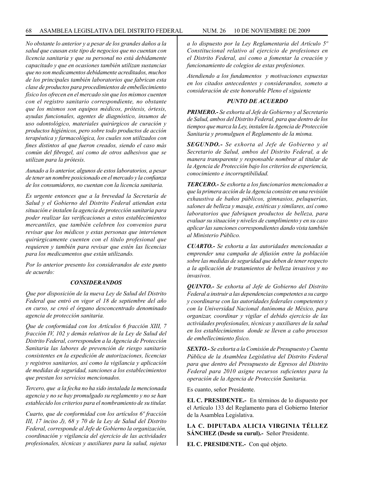*No obstante lo anterior y a pesar de los grandes daños a la salud que causan este tipo de negocios que no cuentan con licencia sanitaria y que su personal no está debidamente capacitado y que en ocasiones también utilizan sustancias que no son medicamentos debidamente acreditados, muchos de los principales también laboratorios que fabrican esta clase de productos para procedimientos de embellecimiento físico los ofrecen en el mercado sin que los mismos cuenten con el registro sanitario correspondiente, no obstante que los mismos son equipos médicos, prótesis, órtesis, ayudas funcionales, agentes de diagnóstico, insumos de uso odontológico, materiales quirúrgicos de curación y productos higiénicos, pero sobre todo productos de acción terapéutica y farmacológica, los cuales son utilizados con fines distintos al que fueron creados, siendo el caso más común del fibrogel, así como de otros adhesivos que se utilizan para la prótesis.*

*Aunado a lo anterior, algunos de estos laboratorios, a pesar de tener un nombre posicionado en el mercado y la confianza de los consumidores, no cuentan con la licencia sanitaria.*

*Es urgente entonces que a la brevedad la Secretaría de Salud y el Gobierno del Distrito Federal atiendan esta situación e instalen la agencia de protección sanitaria para poder realizar las verificaciones a estos establecimientos mercantiles, que también celebren los convenios para revisar que los médicos y estas personas que intervienen quirúrgicamente cuenten con el título profesional que requieren y también para revisar que estén las licencias para los medicamentos que están utilizando.*

*Por lo anterior presento los considerandos de este punto de acuerdo:*

#### *CONSIDERANDOS*

*Que por disposición de la nueva Ley de Salud del Distrito Federal que entró en vigor el 18 de septiembre del año en curso, se creó el órgano desconcentrado denominado agencia de protección sanitaria.*

*Que de conformidad con los Artículos 6 fracción XIII, 7 fracción IV, 102 y demás relativos de la Ley de Salud del Distrito Federal, corresponden a la Agencia de Protección Sanitaria las labores de prevención de riesgo sanitario consistentes en la expedición de autorizaciones, licencias y registros sanitarios, así como la vigilancia y aplicación de medidas de seguridad, sanciones a los establecimientos que prestan los servicios mencionados.*

*Tercero, que a la fecha no ha sido instalada la mencionada agencia y no se hay promulgado su reglamento y no se han establecido los criterios para el nombramiento de su titular.*

*Cuarto, que de conformidad con los artículos 6º fracción III, 17 inciso J), 68 y 70 de la Ley de Salud del Distrito Federal, corresponde al Jefe de Gobierno la organización, coordinación y vigilancia del ejercicio de las actividades profesionales, técnicas y auxiliares para la salud, sujetas* 

*a lo dispuesto por la Ley Reglamentaria del Artículo 5º Constitucional relativo al ejercicio de profesiones en el Distrito Federal, así como a fomentar la creación y funcionamiento de colegios de estas profesiones.*

*Atendiendo a los fundamentos y motivaciones expuestas en los citados antecedentes y considerandos, someto a consideración de este honorable Pleno el siguiente*

#### *PUNTO DE ACUERDO*

*PRIMERO.- Se exhorta al Jefe de Gobierno y al Secretario de Salud, ambos del Distrito Federal, para que dentro de los tiempos que marca la Ley, instalen la Agencia de Protección Sanitaria y promulguen el Reglamento de la misma.*

*SEGUNDO.- Se exhorta al Jefe de Gobierno y al Secretario de Salud, ambos del Distrito Federal, a de manera transparente y responsable nombrar al titular de la Agencia de Protección bajo los criterios de experiencia, conocimiento e incorruptibilidad.*

*TERCERO.- Se exhorta a los funcionarios mencionados a que la primera acción de la Agencia consiste en una revisión exhaustiva de baños públicos, gimnasios, peluquerías, salones de belleza y masaje, estéticas y similares, así como laboratorios que fabriquen productos de belleza, para evaluar su situación y niveles de cumplimiento y en su caso aplicar las sanciones correspondientes dando vista también al Ministerio Público.*

*CUARTO.- Se exhorta a las autoridades mencionadas a emprender una campaña de difusión entre la población sobre las medidas de seguridad que deben de tener respecto a la aplicación de tratamientos de belleza invasivos y no invasivos.*

*QUINTO.- Se exhorta al Jefe de Gobierno del Distrito Federal a instruir a las dependencias competentes a su cargo y coordinarse con las autoridades federales competentes y con la Universidad Nacional Autónoma de México, para organizar, coordinar y vigilar el debido ejercicio de las actividades profesionales, técnicas y auxiliares de la salud en los establecimientos donde se lleven a cabo procesos de embellecimiento físico.*

*SEXTO.- Se exhorta a la Comisión de Presupuesto y Cuenta Pública de la Asamblea Legislativa del Distrito Federal para que dentro del Presupuesto de Egresos del Distrito Federal para 2010 asigne recursos suficientes para la operación de la Agencia de Protección Sanitaria.*

Es cuanto, señor Presidente.

**EL C. PRESIDENTE.-** En términos de lo dispuesto por el Artículo 133 del Reglamento para el Gobierno Interior de la Asamblea Legislativa.

**LA C. DIPUTADA ALICIA VIRGINIA TÉLLEZ SÁNCHEZ (Desde su curul).-** Señor Presidente.

**EL C. PRESIDENTE.-** Con qué objeto.